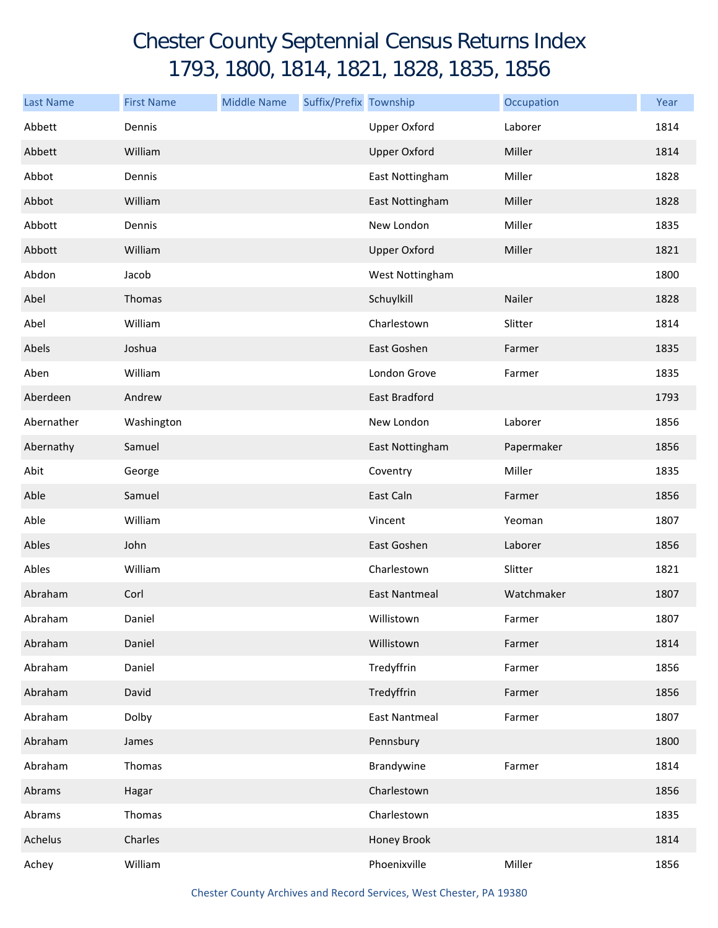## Chester County Septennial Census Returns Index 1793, 1800, 1814, 1821, 1828, 1835, 1856

| <b>Last Name</b> | <b>First Name</b> | <b>Middle Name</b> | Suffix/Prefix Township |                      | Occupation | Year |
|------------------|-------------------|--------------------|------------------------|----------------------|------------|------|
| Abbett           | Dennis            |                    |                        | <b>Upper Oxford</b>  | Laborer    | 1814 |
| Abbett           | William           |                    |                        | <b>Upper Oxford</b>  | Miller     | 1814 |
| Abbot            | Dennis            |                    |                        | East Nottingham      | Miller     | 1828 |
| Abbot            | William           |                    |                        | East Nottingham      | Miller     | 1828 |
| Abbott           | Dennis            |                    |                        | New London           | Miller     | 1835 |
| Abbott           | William           |                    |                        | <b>Upper Oxford</b>  | Miller     | 1821 |
| Abdon            | Jacob             |                    |                        | West Nottingham      |            | 1800 |
| Abel             | Thomas            |                    |                        | Schuylkill           | Nailer     | 1828 |
| Abel             | William           |                    |                        | Charlestown          | Slitter    | 1814 |
| Abels            | Joshua            |                    |                        | East Goshen          | Farmer     | 1835 |
| Aben             | William           |                    |                        | London Grove         | Farmer     | 1835 |
| Aberdeen         | Andrew            |                    |                        | East Bradford        |            | 1793 |
| Abernather       | Washington        |                    |                        | New London           | Laborer    | 1856 |
| Abernathy        | Samuel            |                    |                        | East Nottingham      | Papermaker | 1856 |
| Abit             | George            |                    |                        | Coventry             | Miller     | 1835 |
| Able             | Samuel            |                    |                        | East Caln            | Farmer     | 1856 |
| Able             | William           |                    |                        | Vincent              | Yeoman     | 1807 |
| Ables            | John              |                    |                        | East Goshen          | Laborer    | 1856 |
| Ables            | William           |                    |                        | Charlestown          | Slitter    | 1821 |
| Abraham          | Corl              |                    |                        | <b>East Nantmeal</b> | Watchmaker | 1807 |
| Abraham          | Daniel            |                    |                        | Willistown           | Farmer     | 1807 |
| Abraham          | Daniel            |                    |                        | Willistown           | Farmer     | 1814 |
| Abraham          | Daniel            |                    |                        | Tredyffrin           | Farmer     | 1856 |
| Abraham          | David             |                    |                        | Tredyffrin           | Farmer     | 1856 |
| Abraham          | Dolby             |                    |                        | <b>East Nantmeal</b> | Farmer     | 1807 |
| Abraham          | James             |                    |                        | Pennsbury            |            | 1800 |
| Abraham          | Thomas            |                    |                        | Brandywine           | Farmer     | 1814 |
| Abrams           | Hagar             |                    |                        | Charlestown          |            | 1856 |
| Abrams           | Thomas            |                    |                        | Charlestown          |            | 1835 |
| Achelus          | Charles           |                    |                        | Honey Brook          |            | 1814 |
| Achey            | William           |                    |                        | Phoenixville         | Miller     | 1856 |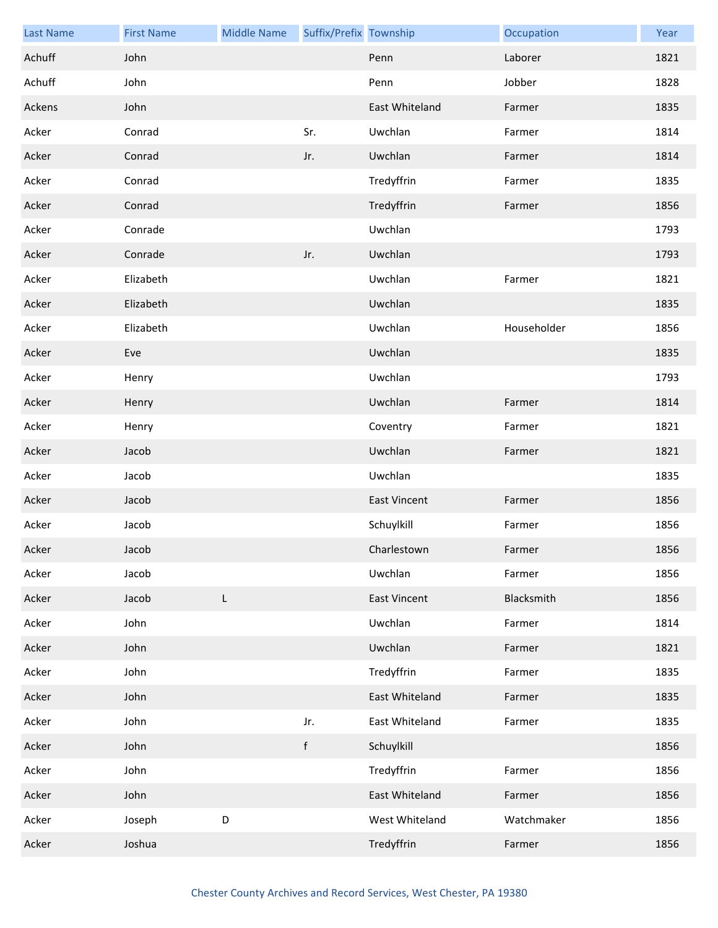| <b>Last Name</b> | <b>First Name</b> | <b>Middle Name</b> | Suffix/Prefix Township |                     | Occupation  | Year |
|------------------|-------------------|--------------------|------------------------|---------------------|-------------|------|
| Achuff           | John              |                    |                        | Penn                | Laborer     | 1821 |
| Achuff           | John              |                    |                        | Penn                | Jobber      | 1828 |
| Ackens           | John              |                    |                        | East Whiteland      | Farmer      | 1835 |
| Acker            | Conrad            |                    | Sr.                    | Uwchlan             | Farmer      | 1814 |
| Acker            | Conrad            |                    | Jr.                    | Uwchlan             | Farmer      | 1814 |
| Acker            | Conrad            |                    |                        | Tredyffrin          | Farmer      | 1835 |
| Acker            | Conrad            |                    |                        | Tredyffrin          | Farmer      | 1856 |
| Acker            | Conrade           |                    |                        | Uwchlan             |             | 1793 |
| Acker            | Conrade           |                    | Jr.                    | Uwchlan             |             | 1793 |
| Acker            | Elizabeth         |                    |                        | Uwchlan             | Farmer      | 1821 |
| Acker            | Elizabeth         |                    |                        | Uwchlan             |             | 1835 |
| Acker            | Elizabeth         |                    |                        | Uwchlan             | Householder | 1856 |
| Acker            | Eve               |                    |                        | Uwchlan             |             | 1835 |
| Acker            | Henry             |                    |                        | Uwchlan             |             | 1793 |
| Acker            | Henry             |                    |                        | Uwchlan             | Farmer      | 1814 |
| Acker            | Henry             |                    |                        | Coventry            | Farmer      | 1821 |
| Acker            | Jacob             |                    |                        | Uwchlan             | Farmer      | 1821 |
| Acker            | Jacob             |                    |                        | Uwchlan             |             | 1835 |
| Acker            | Jacob             |                    |                        | <b>East Vincent</b> | Farmer      | 1856 |
| Acker            | Jacob             |                    |                        | Schuylkill          | Farmer      | 1856 |
| Acker            | Jacob             |                    |                        | Charlestown         | Farmer      | 1856 |
| Acker            | Jacob             |                    |                        | Uwchlan             | Farmer      | 1856 |
| Acker            | Jacob             | L                  |                        | <b>East Vincent</b> | Blacksmith  | 1856 |
| Acker            | John              |                    |                        | Uwchlan             | Farmer      | 1814 |
| Acker            | John              |                    |                        | Uwchlan             | Farmer      | 1821 |
| Acker            | John              |                    |                        | Tredyffrin          | Farmer      | 1835 |
| Acker            | John              |                    |                        | East Whiteland      | Farmer      | 1835 |
| Acker            | John              |                    | Jr.                    | East Whiteland      | Farmer      | 1835 |
| Acker            | John              |                    | f                      | Schuylkill          |             | 1856 |
| Acker            | John              |                    |                        | Tredyffrin          | Farmer      | 1856 |
| Acker            | John              |                    |                        | East Whiteland      | Farmer      | 1856 |
| Acker            | Joseph            | D                  |                        | West Whiteland      | Watchmaker  | 1856 |
| Acker            | Joshua            |                    |                        | Tredyffrin          | Farmer      | 1856 |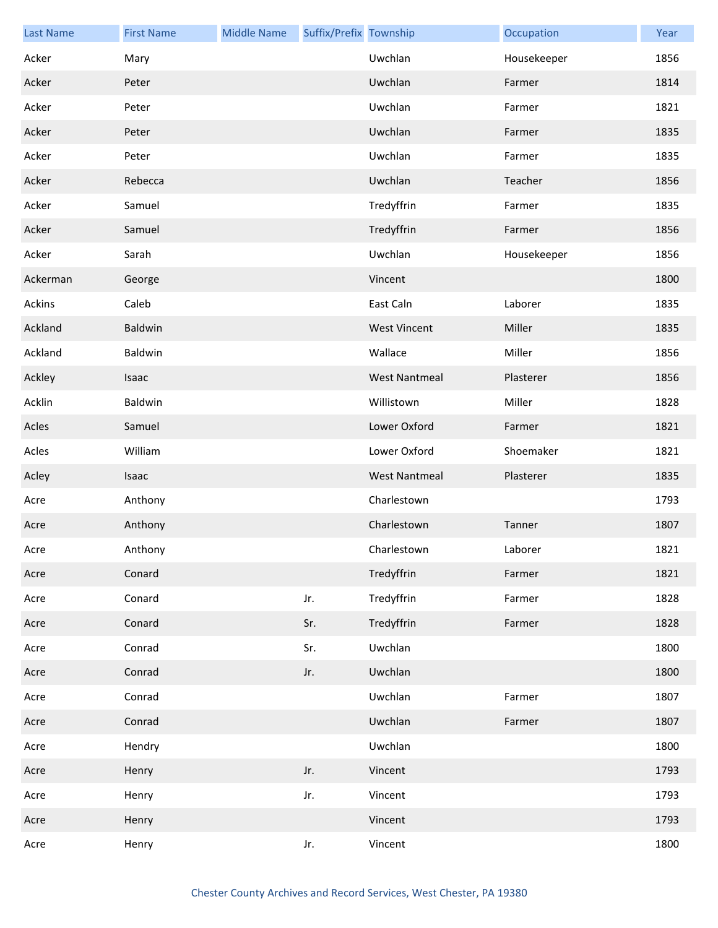| <b>Last Name</b> | <b>First Name</b> | <b>Middle Name</b> | Suffix/Prefix Township |                      | Occupation  | Year |
|------------------|-------------------|--------------------|------------------------|----------------------|-------------|------|
| Acker            | Mary              |                    |                        | Uwchlan              | Housekeeper | 1856 |
| Acker            | Peter             |                    |                        | Uwchlan              | Farmer      | 1814 |
| Acker            | Peter             |                    |                        | Uwchlan              | Farmer      | 1821 |
| Acker            | Peter             |                    |                        | Uwchlan              | Farmer      | 1835 |
| Acker            | Peter             |                    |                        | Uwchlan              | Farmer      | 1835 |
| Acker            | Rebecca           |                    |                        | Uwchlan              | Teacher     | 1856 |
| Acker            | Samuel            |                    |                        | Tredyffrin           | Farmer      | 1835 |
| Acker            | Samuel            |                    |                        | Tredyffrin           | Farmer      | 1856 |
| Acker            | Sarah             |                    |                        | Uwchlan              | Housekeeper | 1856 |
| Ackerman         | George            |                    |                        | Vincent              |             | 1800 |
| Ackins           | Caleb             |                    |                        | East Caln            | Laborer     | 1835 |
| Ackland          | Baldwin           |                    |                        | <b>West Vincent</b>  | Miller      | 1835 |
| Ackland          | Baldwin           |                    |                        | Wallace              | Miller      | 1856 |
| Ackley           | Isaac             |                    |                        | <b>West Nantmeal</b> | Plasterer   | 1856 |
| Acklin           | Baldwin           |                    |                        | Willistown           | Miller      | 1828 |
| Acles            | Samuel            |                    |                        | Lower Oxford         | Farmer      | 1821 |
| Acles            | William           |                    |                        | Lower Oxford         | Shoemaker   | 1821 |
| Acley            | Isaac             |                    |                        | <b>West Nantmeal</b> | Plasterer   | 1835 |
| Acre             | Anthony           |                    |                        | Charlestown          |             | 1793 |
| Acre             | Anthony           |                    |                        | Charlestown          | Tanner      | 1807 |
| Acre             | Anthony           |                    |                        | Charlestown          | Laborer     | 1821 |
| Acre             | Conard            |                    |                        | Tredyffrin           | Farmer      | 1821 |
| Acre             | Conard            |                    | Jr.                    | Tredyffrin           | Farmer      | 1828 |
| Acre             | Conard            |                    | Sr.                    | Tredyffrin           | Farmer      | 1828 |
| Acre             | Conrad            |                    | Sr.                    | Uwchlan              |             | 1800 |
| Acre             | Conrad            |                    | Jr.                    | Uwchlan              |             | 1800 |
| Acre             | Conrad            |                    |                        | Uwchlan              | Farmer      | 1807 |
| Acre             | Conrad            |                    |                        | Uwchlan              | Farmer      | 1807 |
| Acre             | Hendry            |                    |                        | Uwchlan              |             | 1800 |
| Acre             | Henry             |                    | Jr.                    | Vincent              |             | 1793 |
| Acre             | Henry             |                    | Jr.                    | Vincent              |             | 1793 |
| Acre             | Henry             |                    |                        | Vincent              |             | 1793 |
| Acre             | Henry             |                    | Jr.                    | Vincent              |             | 1800 |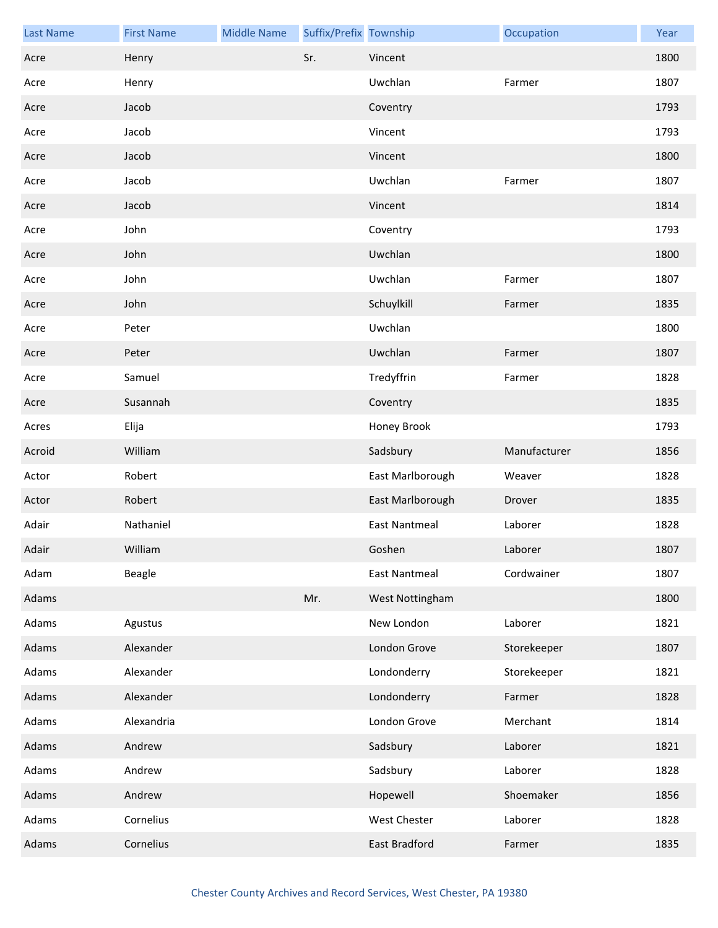| <b>Last Name</b> | <b>First Name</b> | <b>Middle Name</b> | Suffix/Prefix Township |                      | Occupation   | Year |
|------------------|-------------------|--------------------|------------------------|----------------------|--------------|------|
| Acre             | Henry             |                    | Sr.                    | Vincent              |              | 1800 |
| Acre             | Henry             |                    |                        | Uwchlan              | Farmer       | 1807 |
| Acre             | Jacob             |                    |                        | Coventry             |              | 1793 |
| Acre             | Jacob             |                    |                        | Vincent              |              | 1793 |
| Acre             | Jacob             |                    |                        | Vincent              |              | 1800 |
| Acre             | Jacob             |                    |                        | Uwchlan              | Farmer       | 1807 |
| Acre             | Jacob             |                    |                        | Vincent              |              | 1814 |
| Acre             | John              |                    |                        | Coventry             |              | 1793 |
| Acre             | John              |                    |                        | Uwchlan              |              | 1800 |
| Acre             | John              |                    |                        | Uwchlan              | Farmer       | 1807 |
| Acre             | John              |                    |                        | Schuylkill           | Farmer       | 1835 |
| Acre             | Peter             |                    |                        | Uwchlan              |              | 1800 |
| Acre             | Peter             |                    |                        | Uwchlan              | Farmer       | 1807 |
| Acre             | Samuel            |                    |                        | Tredyffrin           | Farmer       | 1828 |
| Acre             | Susannah          |                    |                        | Coventry             |              | 1835 |
| Acres            | Elija             |                    |                        | Honey Brook          |              | 1793 |
| Acroid           | William           |                    |                        | Sadsbury             | Manufacturer | 1856 |
| Actor            | Robert            |                    |                        | East Marlborough     | Weaver       | 1828 |
| Actor            | Robert            |                    |                        | East Marlborough     | Drover       | 1835 |
| Adair            | Nathaniel         |                    |                        | <b>East Nantmeal</b> | Laborer      | 1828 |
| Adair            | William           |                    |                        | Goshen               | Laborer      | 1807 |
| Adam             | Beagle            |                    |                        | <b>East Nantmeal</b> | Cordwainer   | 1807 |
| Adams            |                   |                    | Mr.                    | West Nottingham      |              | 1800 |
| Adams            | Agustus           |                    |                        | New London           | Laborer      | 1821 |
| Adams            | Alexander         |                    |                        | London Grove         | Storekeeper  | 1807 |
| Adams            | Alexander         |                    |                        | Londonderry          | Storekeeper  | 1821 |
| Adams            | Alexander         |                    |                        | Londonderry          | Farmer       | 1828 |
| Adams            | Alexandria        |                    |                        | London Grove         | Merchant     | 1814 |
| Adams            | Andrew            |                    |                        | Sadsbury             | Laborer      | 1821 |
| Adams            | Andrew            |                    |                        | Sadsbury             | Laborer      | 1828 |
| Adams            | Andrew            |                    |                        | Hopewell             | Shoemaker    | 1856 |
| Adams            | Cornelius         |                    |                        | West Chester         | Laborer      | 1828 |
| Adams            | Cornelius         |                    |                        | East Bradford        | Farmer       | 1835 |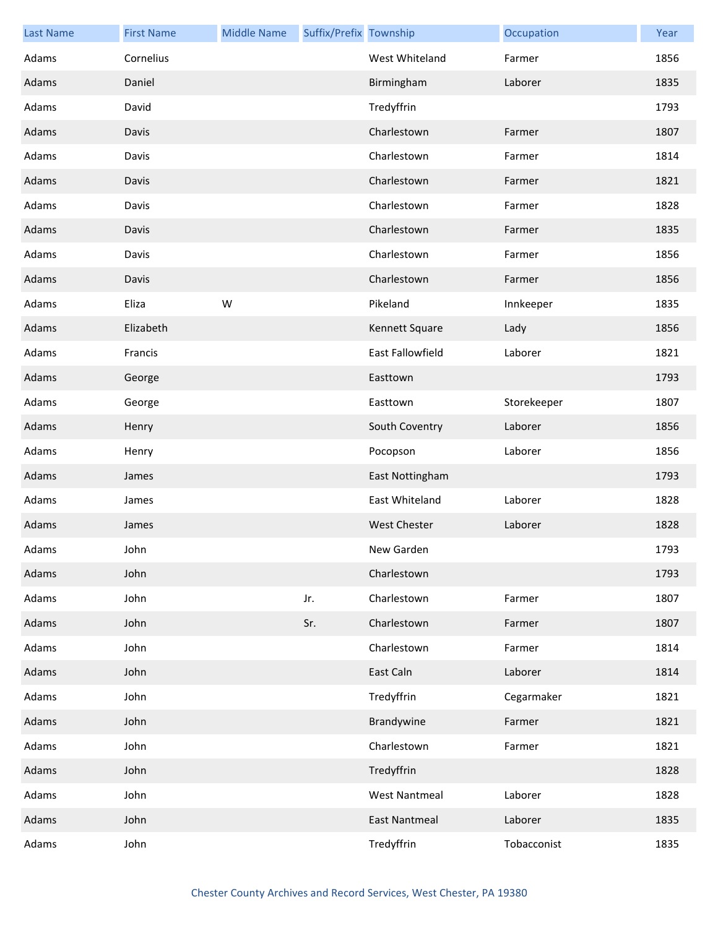| <b>Last Name</b> | <b>First Name</b> | <b>Middle Name</b> | Suffix/Prefix Township |                      | Occupation  | Year |
|------------------|-------------------|--------------------|------------------------|----------------------|-------------|------|
| Adams            | Cornelius         |                    |                        | West Whiteland       | Farmer      | 1856 |
| Adams            | Daniel            |                    |                        | Birmingham           | Laborer     | 1835 |
| Adams            | David             |                    |                        | Tredyffrin           |             | 1793 |
| Adams            | Davis             |                    |                        | Charlestown          | Farmer      | 1807 |
| Adams            | Davis             |                    |                        | Charlestown          | Farmer      | 1814 |
| Adams            | Davis             |                    |                        | Charlestown          | Farmer      | 1821 |
| Adams            | Davis             |                    |                        | Charlestown          | Farmer      | 1828 |
| Adams            | Davis             |                    |                        | Charlestown          | Farmer      | 1835 |
| Adams            | Davis             |                    |                        | Charlestown          | Farmer      | 1856 |
| Adams            | Davis             |                    |                        | Charlestown          | Farmer      | 1856 |
| Adams            | Eliza             | W                  |                        | Pikeland             | Innkeeper   | 1835 |
| Adams            | Elizabeth         |                    |                        | Kennett Square       | Lady        | 1856 |
| Adams            | Francis           |                    |                        | East Fallowfield     | Laborer     | 1821 |
| Adams            | George            |                    |                        | Easttown             |             | 1793 |
| Adams            | George            |                    |                        | Easttown             | Storekeeper | 1807 |
| Adams            | Henry             |                    |                        | South Coventry       | Laborer     | 1856 |
| Adams            | Henry             |                    |                        | Pocopson             | Laborer     | 1856 |
| Adams            | James             |                    |                        | East Nottingham      |             | 1793 |
| Adams            | James             |                    |                        | East Whiteland       | Laborer     | 1828 |
| Adams            | James             |                    |                        | <b>West Chester</b>  | Laborer     | 1828 |
| Adams            | John              |                    |                        | New Garden           |             | 1793 |
| Adams            | John              |                    |                        | Charlestown          |             | 1793 |
| Adams            | John              |                    | Jr.                    | Charlestown          | Farmer      | 1807 |
| Adams            | John              |                    | Sr.                    | Charlestown          | Farmer      | 1807 |
| Adams            | John              |                    |                        | Charlestown          | Farmer      | 1814 |
| Adams            | John              |                    |                        | East Caln            | Laborer     | 1814 |
| Adams            | John              |                    |                        | Tredyffrin           | Cegarmaker  | 1821 |
| Adams            | John              |                    |                        | Brandywine           | Farmer      | 1821 |
| Adams            | John              |                    |                        | Charlestown          | Farmer      | 1821 |
| Adams            | John              |                    |                        | Tredyffrin           |             | 1828 |
| Adams            | John              |                    |                        | <b>West Nantmeal</b> | Laborer     | 1828 |
| Adams            | John              |                    |                        | <b>East Nantmeal</b> | Laborer     | 1835 |
| Adams            | John              |                    |                        | Tredyffrin           | Tobacconist | 1835 |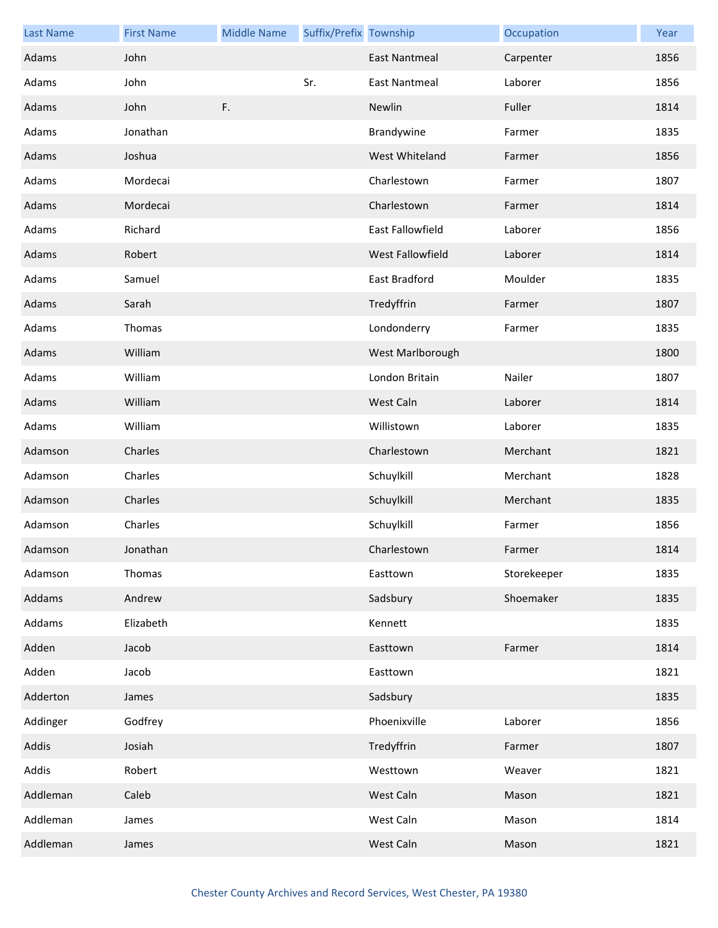| <b>Last Name</b> | <b>First Name</b> | <b>Middle Name</b> | Suffix/Prefix Township |                      | Occupation  | Year |
|------------------|-------------------|--------------------|------------------------|----------------------|-------------|------|
| Adams            | John              |                    |                        | <b>East Nantmeal</b> | Carpenter   | 1856 |
| Adams            | John              |                    | Sr.                    | <b>East Nantmeal</b> | Laborer     | 1856 |
| Adams            | John              | F.                 |                        | Newlin               | Fuller      | 1814 |
| Adams            | Jonathan          |                    |                        | Brandywine           | Farmer      | 1835 |
| Adams            | Joshua            |                    |                        | West Whiteland       | Farmer      | 1856 |
| Adams            | Mordecai          |                    |                        | Charlestown          | Farmer      | 1807 |
| Adams            | Mordecai          |                    |                        | Charlestown          | Farmer      | 1814 |
| Adams            | Richard           |                    |                        | East Fallowfield     | Laborer     | 1856 |
| Adams            | Robert            |                    |                        | West Fallowfield     | Laborer     | 1814 |
| Adams            | Samuel            |                    |                        | East Bradford        | Moulder     | 1835 |
| Adams            | Sarah             |                    |                        | Tredyffrin           | Farmer      | 1807 |
| Adams            | Thomas            |                    |                        | Londonderry          | Farmer      | 1835 |
| Adams            | William           |                    |                        | West Marlborough     |             | 1800 |
| Adams            | William           |                    |                        | London Britain       | Nailer      | 1807 |
| Adams            | William           |                    |                        | West Caln            | Laborer     | 1814 |
| Adams            | William           |                    |                        | Willistown           | Laborer     | 1835 |
| Adamson          | Charles           |                    |                        | Charlestown          | Merchant    | 1821 |
| Adamson          | Charles           |                    |                        | Schuylkill           | Merchant    | 1828 |
| Adamson          | Charles           |                    |                        | Schuylkill           | Merchant    | 1835 |
| Adamson          | Charles           |                    |                        | Schuylkill           | Farmer      | 1856 |
| Adamson          | Jonathan          |                    |                        | Charlestown          | Farmer      | 1814 |
| Adamson          | Thomas            |                    |                        | Easttown             | Storekeeper | 1835 |
| Addams           | Andrew            |                    |                        | Sadsbury             | Shoemaker   | 1835 |
| Addams           | Elizabeth         |                    |                        | Kennett              |             | 1835 |
| Adden            | Jacob             |                    |                        | Easttown             | Farmer      | 1814 |
| Adden            | Jacob             |                    |                        | Easttown             |             | 1821 |
| Adderton         | James             |                    |                        | Sadsbury             |             | 1835 |
| Addinger         | Godfrey           |                    |                        | Phoenixville         | Laborer     | 1856 |
| Addis            | Josiah            |                    |                        | Tredyffrin           | Farmer      | 1807 |
| Addis            | Robert            |                    |                        | Westtown             | Weaver      | 1821 |
| Addleman         | Caleb             |                    |                        | West Caln            | Mason       | 1821 |
| Addleman         | James             |                    |                        | West Caln            | Mason       | 1814 |
| Addleman         | James             |                    |                        | West Caln            | Mason       | 1821 |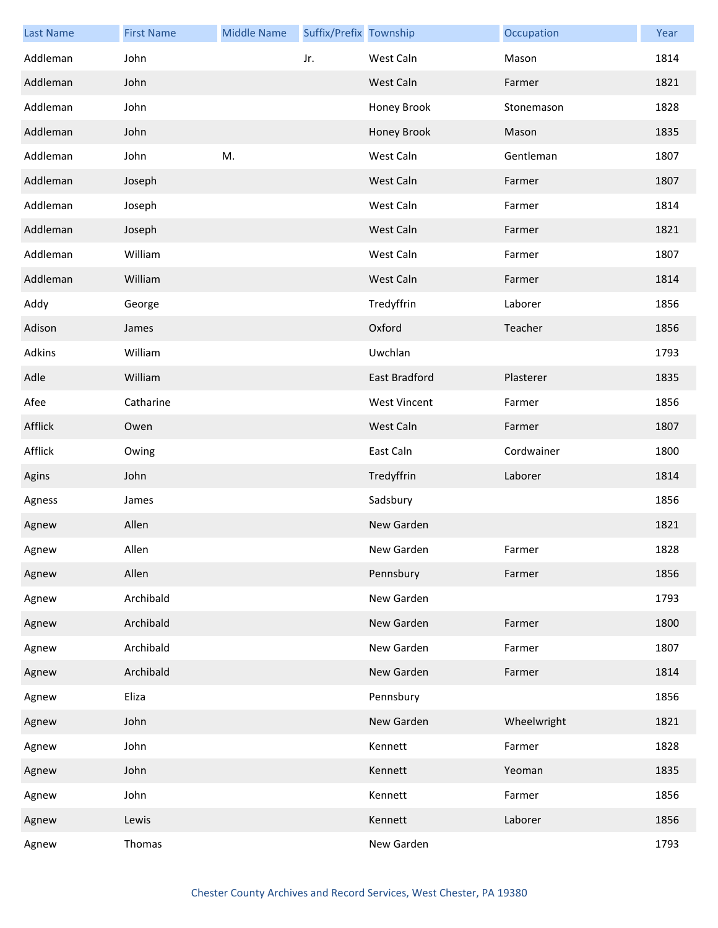| <b>Last Name</b> | <b>First Name</b> | <b>Middle Name</b> | Suffix/Prefix Township |                     | Occupation  | Year |
|------------------|-------------------|--------------------|------------------------|---------------------|-------------|------|
| Addleman         | John              |                    | Jr.                    | West Caln           | Mason       | 1814 |
| Addleman         | John              |                    |                        | West Caln           | Farmer      | 1821 |
| Addleman         | John              |                    |                        | Honey Brook         | Stonemason  | 1828 |
| Addleman         | John              |                    |                        | Honey Brook         | Mason       | 1835 |
| Addleman         | John              | M.                 |                        | West Caln           | Gentleman   | 1807 |
| Addleman         | Joseph            |                    |                        | West Caln           | Farmer      | 1807 |
| Addleman         | Joseph            |                    |                        | West Caln           | Farmer      | 1814 |
| Addleman         | Joseph            |                    |                        | West Caln           | Farmer      | 1821 |
| Addleman         | William           |                    |                        | West Caln           | Farmer      | 1807 |
| Addleman         | William           |                    |                        | West Caln           | Farmer      | 1814 |
| Addy             | George            |                    |                        | Tredyffrin          | Laborer     | 1856 |
| Adison           | James             |                    |                        | Oxford              | Teacher     | 1856 |
| Adkins           | William           |                    |                        | Uwchlan             |             | 1793 |
| Adle             | William           |                    |                        | East Bradford       | Plasterer   | 1835 |
| Afee             | Catharine         |                    |                        | <b>West Vincent</b> | Farmer      | 1856 |
| Afflick          | Owen              |                    |                        | West Caln           | Farmer      | 1807 |
| Afflick          | Owing             |                    |                        | East Caln           | Cordwainer  | 1800 |
| Agins            | John              |                    |                        | Tredyffrin          | Laborer     | 1814 |
| Agness           | James             |                    |                        | Sadsbury            |             | 1856 |
| Agnew            | Allen             |                    |                        | New Garden          |             | 1821 |
| Agnew            | Allen             |                    |                        | New Garden          | Farmer      | 1828 |
| Agnew            | Allen             |                    |                        | Pennsbury           | Farmer      | 1856 |
| Agnew            | Archibald         |                    |                        | New Garden          |             | 1793 |
| Agnew            | Archibald         |                    |                        | New Garden          | Farmer      | 1800 |
| Agnew            | Archibald         |                    |                        | New Garden          | Farmer      | 1807 |
| Agnew            | Archibald         |                    |                        | New Garden          | Farmer      | 1814 |
| Agnew            | Eliza             |                    |                        | Pennsbury           |             | 1856 |
| Agnew            | John              |                    |                        | New Garden          | Wheelwright | 1821 |
| Agnew            | John              |                    |                        | Kennett             | Farmer      | 1828 |
| Agnew            | John              |                    |                        | Kennett             | Yeoman      | 1835 |
| Agnew            | John              |                    |                        | Kennett             | Farmer      | 1856 |
| Agnew            | Lewis             |                    |                        | Kennett             | Laborer     | 1856 |
| Agnew            | Thomas            |                    |                        | New Garden          |             | 1793 |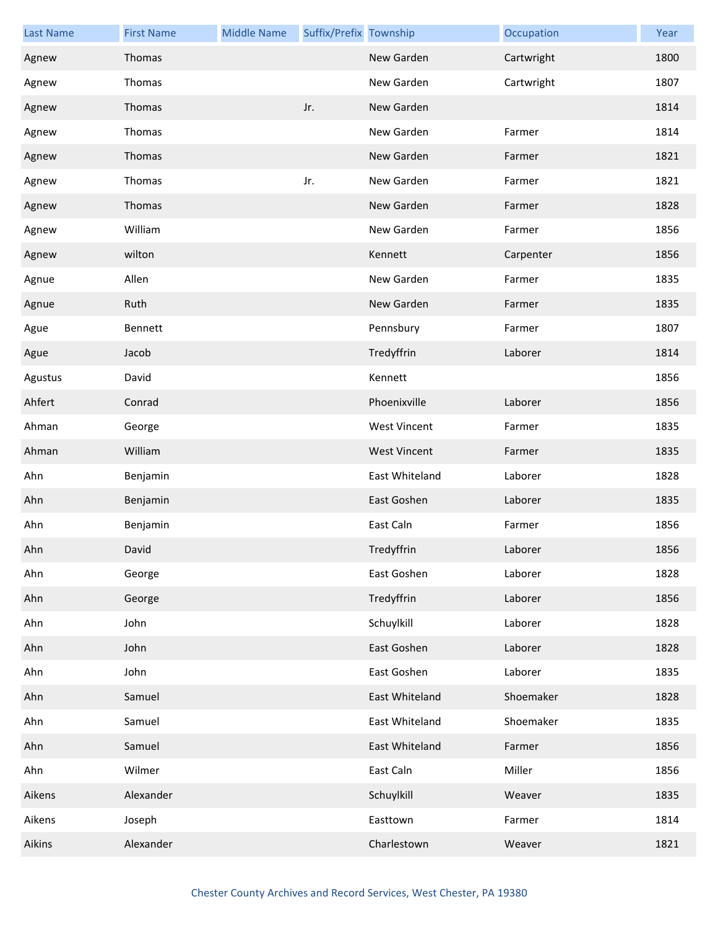| <b>Last Name</b> | <b>First Name</b> | <b>Middle Name</b> | Suffix/Prefix Township |                     | Occupation | Year |
|------------------|-------------------|--------------------|------------------------|---------------------|------------|------|
| Agnew            | Thomas            |                    |                        | New Garden          | Cartwright | 1800 |
| Agnew            | Thomas            |                    |                        | New Garden          | Cartwright | 1807 |
| Agnew            | Thomas            |                    | Jr.                    | New Garden          |            | 1814 |
| Agnew            | Thomas            |                    |                        | New Garden          | Farmer     | 1814 |
| Agnew            | Thomas            |                    |                        | New Garden          | Farmer     | 1821 |
| Agnew            | Thomas            |                    | Jr.                    | New Garden          | Farmer     | 1821 |
| Agnew            | Thomas            |                    |                        | New Garden          | Farmer     | 1828 |
| Agnew            | William           |                    |                        | New Garden          | Farmer     | 1856 |
| Agnew            | wilton            |                    |                        | Kennett             | Carpenter  | 1856 |
| Agnue            | Allen             |                    |                        | New Garden          | Farmer     | 1835 |
| Agnue            | Ruth              |                    |                        | New Garden          | Farmer     | 1835 |
| Ague             | Bennett           |                    |                        | Pennsbury           | Farmer     | 1807 |
| Ague             | Jacob             |                    |                        | Tredyffrin          | Laborer    | 1814 |
| Agustus          | David             |                    |                        | Kennett             |            | 1856 |
| Ahfert           | Conrad            |                    |                        | Phoenixville        | Laborer    | 1856 |
| Ahman            | George            |                    |                        | <b>West Vincent</b> | Farmer     | 1835 |
| Ahman            | William           |                    |                        | <b>West Vincent</b> | Farmer     | 1835 |
| Ahn              | Benjamin          |                    |                        | East Whiteland      | Laborer    | 1828 |
| Ahn              | Benjamin          |                    |                        | East Goshen         | Laborer    | 1835 |
| Ahn              | Benjamin          |                    |                        | East Caln           | Farmer     | 1856 |
| Ahn              | David             |                    |                        | Tredyffrin          | Laborer    | 1856 |
| Ahn              | George            |                    |                        | East Goshen         | Laborer    | 1828 |
| Ahn              | George            |                    |                        | Tredyffrin          | Laborer    | 1856 |
| Ahn              | John              |                    |                        | Schuylkill          | Laborer    | 1828 |
| Ahn              | John              |                    |                        | East Goshen         | Laborer    | 1828 |
| Ahn              | John              |                    |                        | East Goshen         | Laborer    | 1835 |
| Ahn              | Samuel            |                    |                        | East Whiteland      | Shoemaker  | 1828 |
| Ahn              | Samuel            |                    |                        | East Whiteland      | Shoemaker  | 1835 |
| Ahn              | Samuel            |                    |                        | East Whiteland      | Farmer     | 1856 |
| Ahn              | Wilmer            |                    |                        | East Caln           | Miller     | 1856 |
| Aikens           | Alexander         |                    |                        | Schuylkill          | Weaver     | 1835 |
| Aikens           | Joseph            |                    |                        | Easttown            | Farmer     | 1814 |
| Aikins           | Alexander         |                    |                        | Charlestown         | Weaver     | 1821 |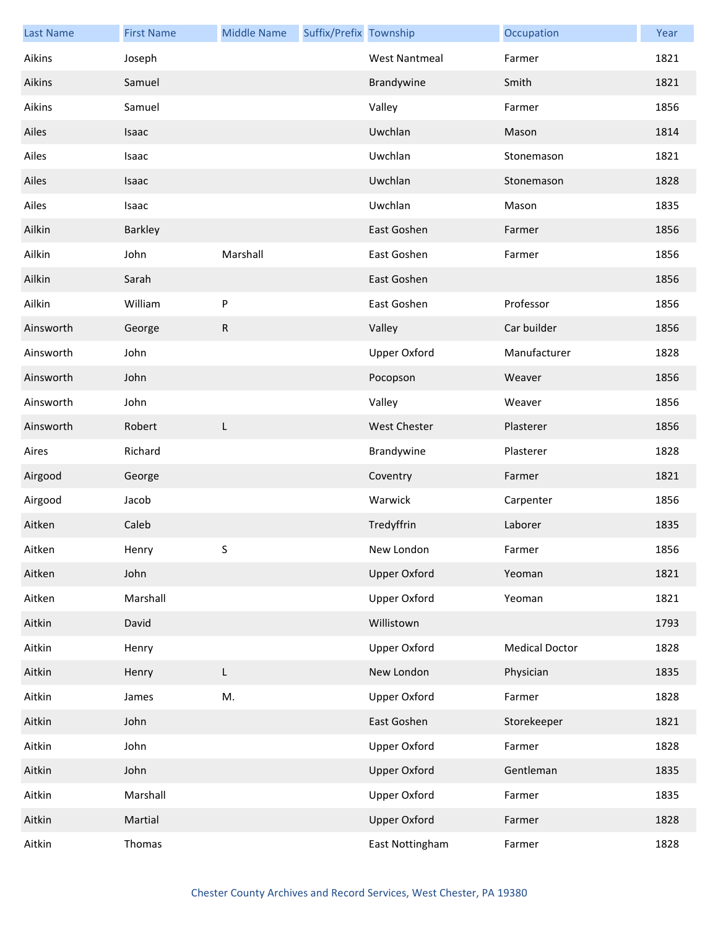| <b>Last Name</b> | <b>First Name</b> | <b>Middle Name</b> | Suffix/Prefix Township |                      | Occupation            | Year |
|------------------|-------------------|--------------------|------------------------|----------------------|-----------------------|------|
| Aikins           | Joseph            |                    |                        | <b>West Nantmeal</b> | Farmer                | 1821 |
| Aikins           | Samuel            |                    |                        | Brandywine           | Smith                 | 1821 |
| Aikins           | Samuel            |                    |                        | Valley               | Farmer                | 1856 |
| Ailes            | Isaac             |                    |                        | Uwchlan              | Mason                 | 1814 |
| Ailes            | Isaac             |                    |                        | Uwchlan              | Stonemason            | 1821 |
| Ailes            | Isaac             |                    |                        | Uwchlan              | Stonemason            | 1828 |
| Ailes            | Isaac             |                    |                        | Uwchlan              | Mason                 | 1835 |
| Ailkin           | Barkley           |                    |                        | East Goshen          | Farmer                | 1856 |
| Ailkin           | John              | Marshall           |                        | East Goshen          | Farmer                | 1856 |
| Ailkin           | Sarah             |                    |                        | East Goshen          |                       | 1856 |
| Ailkin           | William           | ${\sf P}$          |                        | East Goshen          | Professor             | 1856 |
| Ainsworth        | George            | R                  |                        | Valley               | Car builder           | 1856 |
| Ainsworth        | John              |                    |                        | <b>Upper Oxford</b>  | Manufacturer          | 1828 |
| Ainsworth        | John              |                    |                        | Pocopson             | Weaver                | 1856 |
| Ainsworth        | John              |                    |                        | Valley               | Weaver                | 1856 |
| Ainsworth        | Robert            | L                  |                        | <b>West Chester</b>  | Plasterer             | 1856 |
| Aires            | Richard           |                    |                        | Brandywine           | Plasterer             | 1828 |
| Airgood          | George            |                    |                        | Coventry             | Farmer                | 1821 |
| Airgood          | Jacob             |                    |                        | Warwick              | Carpenter             | 1856 |
| Aitken           | Caleb             |                    |                        | Tredyffrin           | Laborer               | 1835 |
| Aitken           | Henry             | S.                 |                        | New London           | Farmer                | 1856 |
| Aitken           | John              |                    |                        | <b>Upper Oxford</b>  | Yeoman                | 1821 |
| Aitken           | Marshall          |                    |                        | Upper Oxford         | Yeoman                | 1821 |
| Aitkin           | David             |                    |                        | Willistown           |                       | 1793 |
| Aitkin           | Henry             |                    |                        | <b>Upper Oxford</b>  | <b>Medical Doctor</b> | 1828 |
| Aitkin           | Henry             | L                  |                        | New London           | Physician             | 1835 |
| Aitkin           | James             | M.                 |                        | <b>Upper Oxford</b>  | Farmer                | 1828 |
| Aitkin           | John              |                    |                        | East Goshen          | Storekeeper           | 1821 |
| Aitkin           | John              |                    |                        | <b>Upper Oxford</b>  | Farmer                | 1828 |
| Aitkin           | John              |                    |                        | <b>Upper Oxford</b>  | Gentleman             | 1835 |
| Aitkin           | Marshall          |                    |                        | <b>Upper Oxford</b>  | Farmer                | 1835 |
| Aitkin           | Martial           |                    |                        | <b>Upper Oxford</b>  | Farmer                | 1828 |
| Aitkin           | Thomas            |                    |                        | East Nottingham      | Farmer                | 1828 |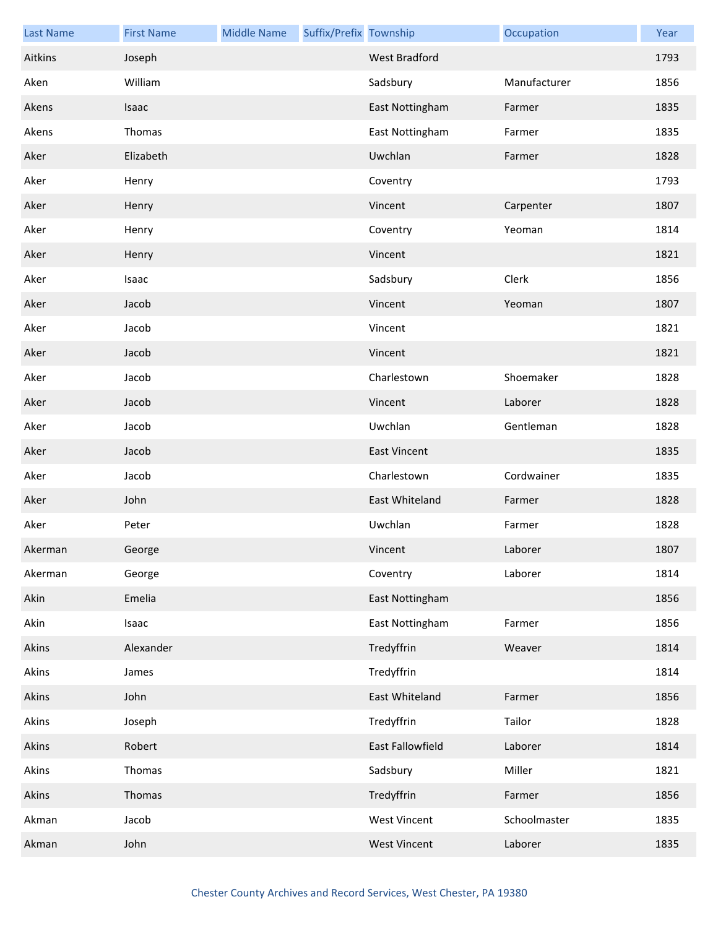| <b>Last Name</b> | <b>First Name</b> | <b>Middle Name</b> | Suffix/Prefix Township |                     | Occupation   | Year |
|------------------|-------------------|--------------------|------------------------|---------------------|--------------|------|
| Aitkins          | Joseph            |                    |                        | West Bradford       |              | 1793 |
| Aken             | William           |                    |                        | Sadsbury            | Manufacturer | 1856 |
| Akens            | Isaac             |                    |                        | East Nottingham     | Farmer       | 1835 |
| Akens            | Thomas            |                    |                        | East Nottingham     | Farmer       | 1835 |
| Aker             | Elizabeth         |                    |                        | Uwchlan             | Farmer       | 1828 |
| Aker             | Henry             |                    |                        | Coventry            |              | 1793 |
| Aker             | Henry             |                    |                        | Vincent             | Carpenter    | 1807 |
| Aker             | Henry             |                    |                        | Coventry            | Yeoman       | 1814 |
| Aker             | Henry             |                    |                        | Vincent             |              | 1821 |
| Aker             | Isaac             |                    |                        | Sadsbury            | Clerk        | 1856 |
| Aker             | Jacob             |                    |                        | Vincent             | Yeoman       | 1807 |
| Aker             | Jacob             |                    |                        | Vincent             |              | 1821 |
| Aker             | Jacob             |                    |                        | Vincent             |              | 1821 |
| Aker             | Jacob             |                    |                        | Charlestown         | Shoemaker    | 1828 |
| Aker             | Jacob             |                    |                        | Vincent             | Laborer      | 1828 |
| Aker             | Jacob             |                    |                        | Uwchlan             | Gentleman    | 1828 |
| Aker             | Jacob             |                    |                        | <b>East Vincent</b> |              | 1835 |
| Aker             | Jacob             |                    |                        | Charlestown         | Cordwainer   | 1835 |
| Aker             | John              |                    |                        | East Whiteland      | Farmer       | 1828 |
| Aker             | Peter             |                    |                        | Uwchlan             | Farmer       | 1828 |
| Akerman          | George            |                    |                        | Vincent             | Laborer      | 1807 |
| Akerman          | George            |                    |                        | Coventry            | Laborer      | 1814 |
| Akin             | Emelia            |                    |                        | East Nottingham     |              | 1856 |
| Akin             | Isaac             |                    |                        | East Nottingham     | Farmer       | 1856 |
| Akins            | Alexander         |                    |                        | Tredyffrin          | Weaver       | 1814 |
| Akins            | James             |                    |                        | Tredyffrin          |              | 1814 |
| Akins            | John              |                    |                        | East Whiteland      | Farmer       | 1856 |
| Akins            | Joseph            |                    |                        | Tredyffrin          | Tailor       | 1828 |
| Akins            | Robert            |                    |                        | East Fallowfield    | Laborer      | 1814 |
| Akins            | Thomas            |                    |                        | Sadsbury            | Miller       | 1821 |
| Akins            | Thomas            |                    |                        | Tredyffrin          | Farmer       | 1856 |
| Akman            | Jacob             |                    |                        | <b>West Vincent</b> | Schoolmaster | 1835 |
| Akman            | John              |                    |                        | <b>West Vincent</b> | Laborer      | 1835 |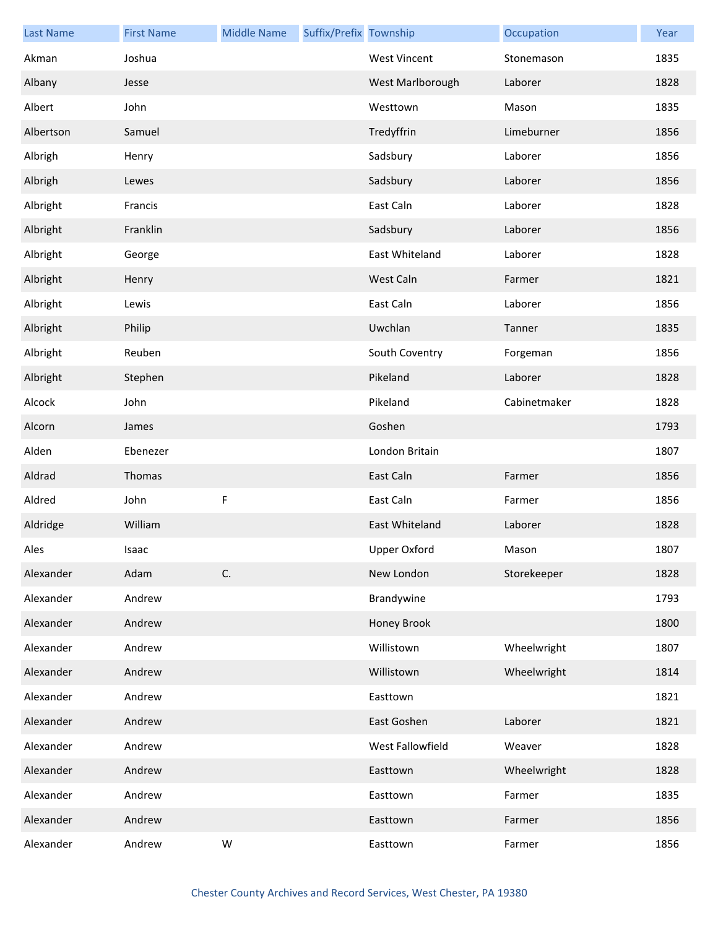| <b>Last Name</b> | <b>First Name</b> | <b>Middle Name</b> | Suffix/Prefix Township |                     | Occupation   | Year |
|------------------|-------------------|--------------------|------------------------|---------------------|--------------|------|
| Akman            | Joshua            |                    |                        | <b>West Vincent</b> | Stonemason   | 1835 |
| Albany           | Jesse             |                    |                        | West Marlborough    | Laborer      | 1828 |
| Albert           | John              |                    |                        | Westtown            | Mason        | 1835 |
| Albertson        | Samuel            |                    |                        | Tredyffrin          | Limeburner   | 1856 |
| Albrigh          | Henry             |                    |                        | Sadsbury            | Laborer      | 1856 |
| Albrigh          | Lewes             |                    |                        | Sadsbury            | Laborer      | 1856 |
| Albright         | Francis           |                    |                        | East Caln           | Laborer      | 1828 |
| Albright         | Franklin          |                    |                        | Sadsbury            | Laborer      | 1856 |
| Albright         | George            |                    |                        | East Whiteland      | Laborer      | 1828 |
| Albright         | Henry             |                    |                        | West Caln           | Farmer       | 1821 |
| Albright         | Lewis             |                    |                        | East Caln           | Laborer      | 1856 |
| Albright         | Philip            |                    |                        | Uwchlan             | Tanner       | 1835 |
| Albright         | Reuben            |                    |                        | South Coventry      | Forgeman     | 1856 |
| Albright         | Stephen           |                    |                        | Pikeland            | Laborer      | 1828 |
| Alcock           | John              |                    |                        | Pikeland            | Cabinetmaker | 1828 |
| Alcorn           | James             |                    |                        | Goshen              |              | 1793 |
| Alden            | Ebenezer          |                    |                        | London Britain      |              | 1807 |
| Aldrad           | Thomas            |                    |                        | East Caln           | Farmer       | 1856 |
| Aldred           | John              | F                  |                        | East Caln           | Farmer       | 1856 |
| Aldridge         | William           |                    |                        | East Whiteland      | Laborer      | 1828 |
| Ales             | Isaac             |                    |                        | <b>Upper Oxford</b> | Mason        | 1807 |
| Alexander        | Adam              | C.                 |                        | New London          | Storekeeper  | 1828 |
| Alexander        | Andrew            |                    |                        | Brandywine          |              | 1793 |
| Alexander        | Andrew            |                    |                        | Honey Brook         |              | 1800 |
| Alexander        | Andrew            |                    |                        | Willistown          | Wheelwright  | 1807 |
| Alexander        | Andrew            |                    |                        | Willistown          | Wheelwright  | 1814 |
| Alexander        | Andrew            |                    |                        | Easttown            |              | 1821 |
| Alexander        | Andrew            |                    |                        | East Goshen         | Laborer      | 1821 |
| Alexander        | Andrew            |                    |                        | West Fallowfield    | Weaver       | 1828 |
| Alexander        | Andrew            |                    |                        | Easttown            | Wheelwright  | 1828 |
| Alexander        | Andrew            |                    |                        | Easttown            | Farmer       | 1835 |
| Alexander        | Andrew            |                    |                        | Easttown            | Farmer       | 1856 |
| Alexander        | Andrew            | W                  |                        | Easttown            | Farmer       | 1856 |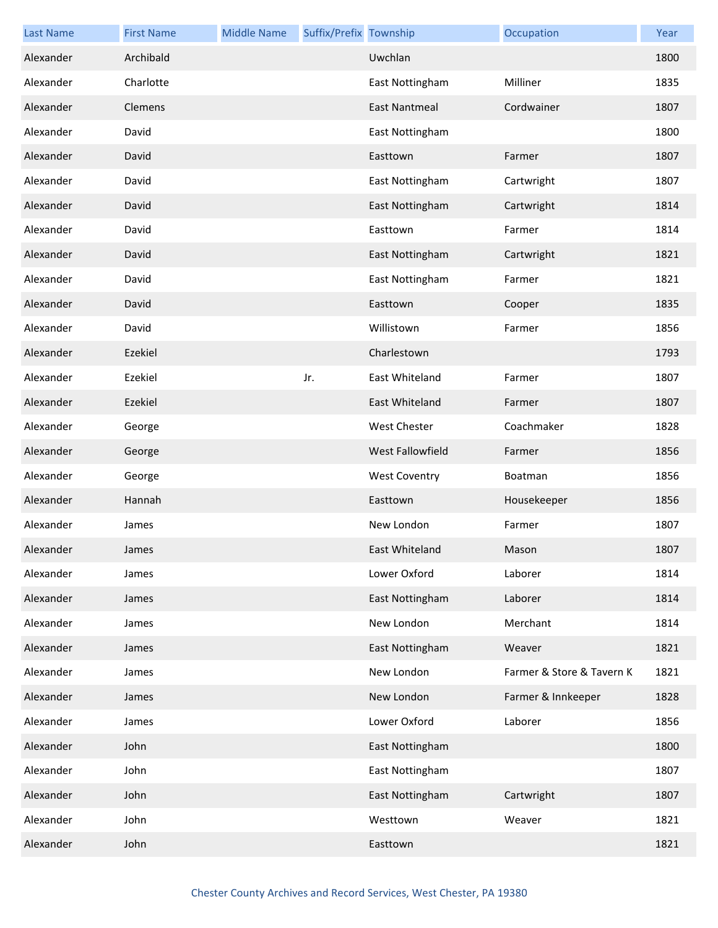| <b>Last Name</b> | <b>First Name</b> | <b>Middle Name</b> | Suffix/Prefix Township |                      | Occupation                | Year |
|------------------|-------------------|--------------------|------------------------|----------------------|---------------------------|------|
| Alexander        | Archibald         |                    |                        | Uwchlan              |                           | 1800 |
| Alexander        | Charlotte         |                    |                        | East Nottingham      | Milliner                  | 1835 |
| Alexander        | Clemens           |                    |                        | <b>East Nantmeal</b> | Cordwainer                | 1807 |
| Alexander        | David             |                    |                        | East Nottingham      |                           | 1800 |
| Alexander        | David             |                    |                        | Easttown             | Farmer                    | 1807 |
| Alexander        | David             |                    |                        | East Nottingham      | Cartwright                | 1807 |
| Alexander        | David             |                    |                        | East Nottingham      | Cartwright                | 1814 |
| Alexander        | David             |                    |                        | Easttown             | Farmer                    | 1814 |
| Alexander        | David             |                    |                        | East Nottingham      | Cartwright                | 1821 |
| Alexander        | David             |                    |                        | East Nottingham      | Farmer                    | 1821 |
| Alexander        | David             |                    |                        | Easttown             | Cooper                    | 1835 |
| Alexander        | David             |                    |                        | Willistown           | Farmer                    | 1856 |
| Alexander        | Ezekiel           |                    |                        | Charlestown          |                           | 1793 |
| Alexander        | Ezekiel           |                    | Jr.                    | East Whiteland       | Farmer                    | 1807 |
| Alexander        | Ezekiel           |                    |                        | East Whiteland       | Farmer                    | 1807 |
| Alexander        | George            |                    |                        | <b>West Chester</b>  | Coachmaker                | 1828 |
| Alexander        | George            |                    |                        | West Fallowfield     | Farmer                    | 1856 |
| Alexander        | George            |                    |                        | <b>West Coventry</b> | Boatman                   | 1856 |
| Alexander        | Hannah            |                    |                        | Easttown             | Housekeeper               | 1856 |
| Alexander        | James             |                    |                        | New London           | Farmer                    | 1807 |
| Alexander        | James             |                    |                        | East Whiteland       | Mason                     | 1807 |
| Alexander        | James             |                    |                        | Lower Oxford         | Laborer                   | 1814 |
| Alexander        | James             |                    |                        | East Nottingham      | Laborer                   | 1814 |
| Alexander        | James             |                    |                        | New London           | Merchant                  | 1814 |
| Alexander        | James             |                    |                        | East Nottingham      | Weaver                    | 1821 |
| Alexander        | James             |                    |                        | New London           | Farmer & Store & Tavern K | 1821 |
| Alexander        | James             |                    |                        | New London           | Farmer & Innkeeper        | 1828 |
| Alexander        | James             |                    |                        | Lower Oxford         | Laborer                   | 1856 |
| Alexander        | John              |                    |                        | East Nottingham      |                           | 1800 |
| Alexander        | John              |                    |                        | East Nottingham      |                           | 1807 |
| Alexander        | John              |                    |                        | East Nottingham      | Cartwright                | 1807 |
| Alexander        | John              |                    |                        | Westtown             | Weaver                    | 1821 |
| Alexander        | John              |                    |                        | Easttown             |                           | 1821 |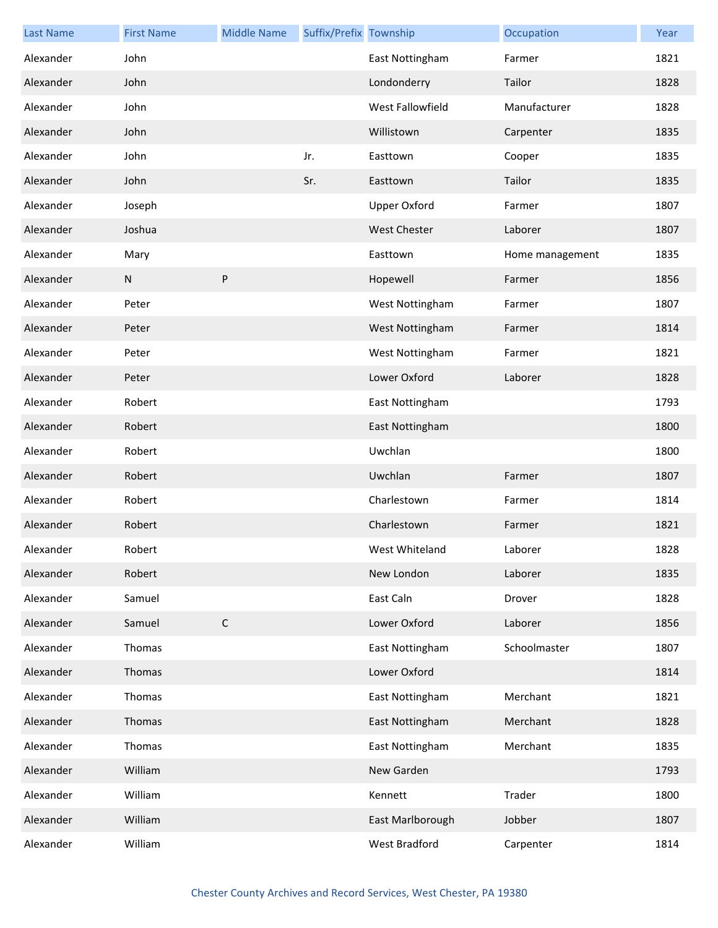| <b>Last Name</b> | <b>First Name</b> | <b>Middle Name</b> | Suffix/Prefix Township |                     | Occupation      | Year |
|------------------|-------------------|--------------------|------------------------|---------------------|-----------------|------|
| Alexander        | John              |                    |                        | East Nottingham     | Farmer          | 1821 |
| Alexander        | John              |                    |                        | Londonderry         | Tailor          | 1828 |
| Alexander        | John              |                    |                        | West Fallowfield    | Manufacturer    | 1828 |
| Alexander        | John              |                    |                        | Willistown          | Carpenter       | 1835 |
| Alexander        | John              |                    | Jr.                    | Easttown            | Cooper          | 1835 |
| Alexander        | John              |                    | Sr.                    | Easttown            | Tailor          | 1835 |
| Alexander        | Joseph            |                    |                        | <b>Upper Oxford</b> | Farmer          | 1807 |
| Alexander        | Joshua            |                    |                        | <b>West Chester</b> | Laborer         | 1807 |
| Alexander        | Mary              |                    |                        | Easttown            | Home management | 1835 |
| Alexander        | ${\sf N}$         | P                  |                        | Hopewell            | Farmer          | 1856 |
| Alexander        | Peter             |                    |                        | West Nottingham     | Farmer          | 1807 |
| Alexander        | Peter             |                    |                        | West Nottingham     | Farmer          | 1814 |
| Alexander        | Peter             |                    |                        | West Nottingham     | Farmer          | 1821 |
| Alexander        | Peter             |                    |                        | Lower Oxford        | Laborer         | 1828 |
| Alexander        | Robert            |                    |                        | East Nottingham     |                 | 1793 |
| Alexander        | Robert            |                    |                        | East Nottingham     |                 | 1800 |
| Alexander        | Robert            |                    |                        | Uwchlan             |                 | 1800 |
| Alexander        | Robert            |                    |                        | Uwchlan             | Farmer          | 1807 |
| Alexander        | Robert            |                    |                        | Charlestown         | Farmer          | 1814 |
| Alexander        | Robert            |                    |                        | Charlestown         | Farmer          | 1821 |
| Alexander        | Robert            |                    |                        | West Whiteland      | Laborer         | 1828 |
| Alexander        | Robert            |                    |                        | New London          | Laborer         | 1835 |
| Alexander        | Samuel            |                    |                        | East Caln           | Drover          | 1828 |
| Alexander        | Samuel            | $\mathsf C$        |                        | Lower Oxford        | Laborer         | 1856 |
| Alexander        | Thomas            |                    |                        | East Nottingham     | Schoolmaster    | 1807 |
| Alexander        | Thomas            |                    |                        | Lower Oxford        |                 | 1814 |
| Alexander        | Thomas            |                    |                        | East Nottingham     | Merchant        | 1821 |
| Alexander        | Thomas            |                    |                        | East Nottingham     | Merchant        | 1828 |
| Alexander        | Thomas            |                    |                        | East Nottingham     | Merchant        | 1835 |
| Alexander        | William           |                    |                        | New Garden          |                 | 1793 |
| Alexander        | William           |                    |                        | Kennett             | Trader          | 1800 |
| Alexander        | William           |                    |                        | East Marlborough    | Jobber          | 1807 |
| Alexander        | William           |                    |                        | West Bradford       | Carpenter       | 1814 |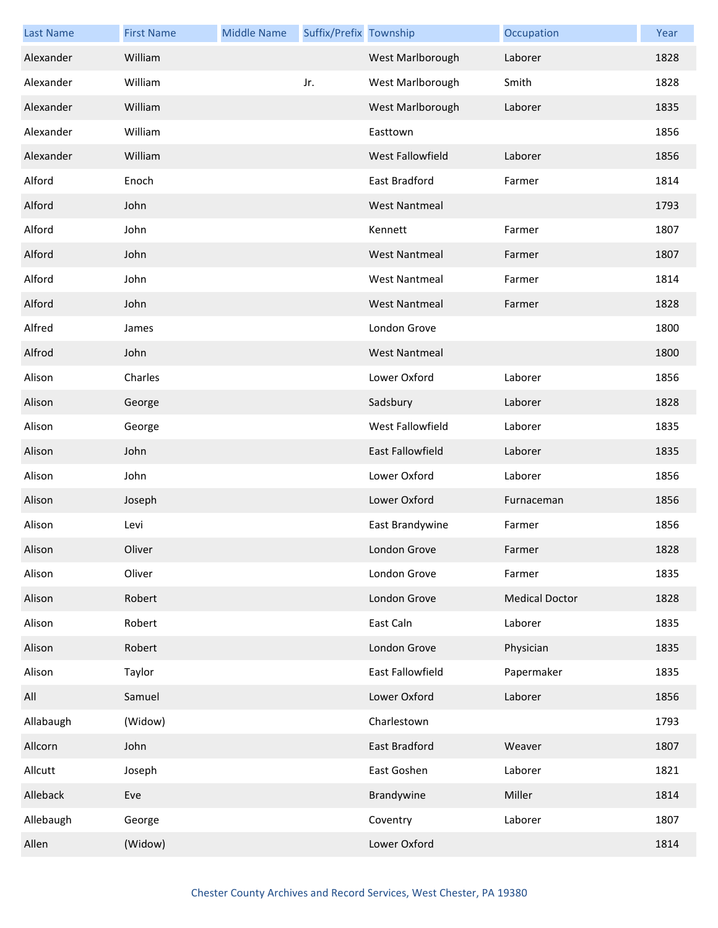| <b>Last Name</b> | <b>First Name</b> | <b>Middle Name</b> | Suffix/Prefix Township |                      | Occupation            | Year |
|------------------|-------------------|--------------------|------------------------|----------------------|-----------------------|------|
| Alexander        | William           |                    |                        | West Marlborough     | Laborer               | 1828 |
| Alexander        | William           |                    | Jr.                    | West Marlborough     | Smith                 | 1828 |
| Alexander        | William           |                    |                        | West Marlborough     | Laborer               | 1835 |
| Alexander        | William           |                    |                        | Easttown             |                       | 1856 |
| Alexander        | William           |                    |                        | West Fallowfield     | Laborer               | 1856 |
| Alford           | Enoch             |                    |                        | East Bradford        | Farmer                | 1814 |
| Alford           | John              |                    |                        | <b>West Nantmeal</b> |                       | 1793 |
| Alford           | John              |                    |                        | Kennett              | Farmer                | 1807 |
| Alford           | John              |                    |                        | <b>West Nantmeal</b> | Farmer                | 1807 |
| Alford           | John              |                    |                        | <b>West Nantmeal</b> | Farmer                | 1814 |
| Alford           | John              |                    |                        | <b>West Nantmeal</b> | Farmer                | 1828 |
| Alfred           | James             |                    |                        | London Grove         |                       | 1800 |
| Alfrod           | John              |                    |                        | <b>West Nantmeal</b> |                       | 1800 |
| Alison           | Charles           |                    |                        | Lower Oxford         | Laborer               | 1856 |
| Alison           | George            |                    |                        | Sadsbury             | Laborer               | 1828 |
| Alison           | George            |                    |                        | West Fallowfield     | Laborer               | 1835 |
| Alison           | John              |                    |                        | East Fallowfield     | Laborer               | 1835 |
| Alison           | John              |                    |                        | Lower Oxford         | Laborer               | 1856 |
| Alison           | Joseph            |                    |                        | Lower Oxford         | Furnaceman            | 1856 |
| Alison           | Levi              |                    |                        | East Brandywine      | Farmer                | 1856 |
| Alison           | Oliver            |                    |                        | London Grove         | Farmer                | 1828 |
| Alison           | Oliver            |                    |                        | London Grove         | Farmer                | 1835 |
| Alison           | Robert            |                    |                        | London Grove         | <b>Medical Doctor</b> | 1828 |
| Alison           | Robert            |                    |                        | East Caln            | Laborer               | 1835 |
| Alison           | Robert            |                    |                        | London Grove         | Physician             | 1835 |
| Alison           | Taylor            |                    |                        | East Fallowfield     | Papermaker            | 1835 |
| All              | Samuel            |                    |                        | Lower Oxford         | Laborer               | 1856 |
| Allabaugh        | (Widow)           |                    |                        | Charlestown          |                       | 1793 |
| Allcorn          | John              |                    |                        | East Bradford        | Weaver                | 1807 |
| Allcutt          | Joseph            |                    |                        | East Goshen          | Laborer               | 1821 |
| Alleback         | Eve               |                    |                        | Brandywine           | Miller                | 1814 |
| Allebaugh        | George            |                    |                        | Coventry             | Laborer               | 1807 |
| Allen            | (Widow)           |                    |                        | Lower Oxford         |                       | 1814 |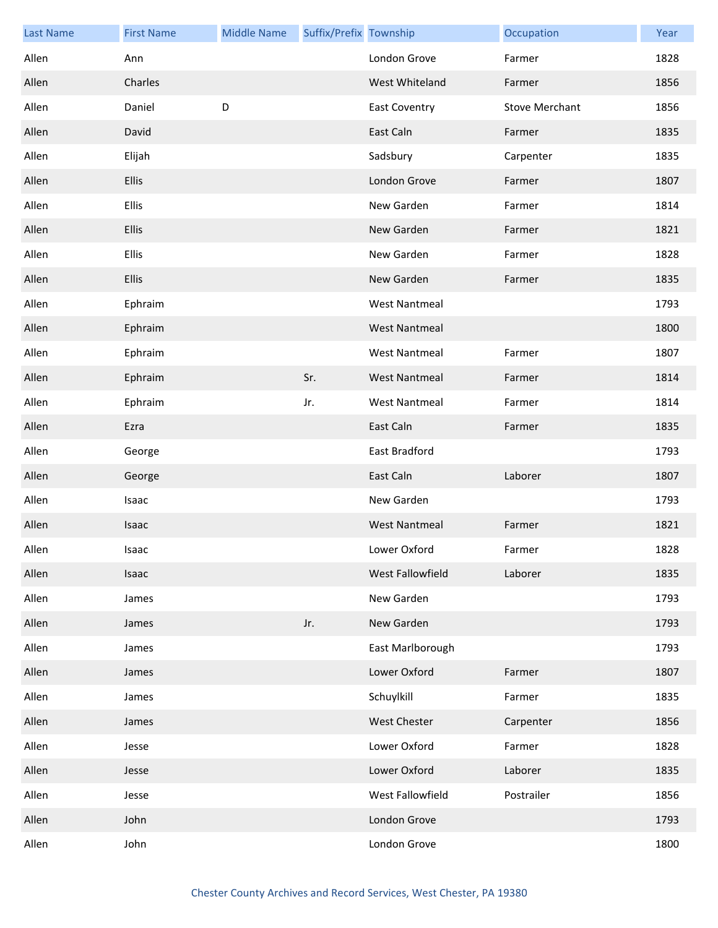| <b>Last Name</b> | <b>First Name</b> | <b>Middle Name</b> | Suffix/Prefix Township |                      | Occupation            | Year |
|------------------|-------------------|--------------------|------------------------|----------------------|-----------------------|------|
| Allen            | Ann               |                    |                        | London Grove         | Farmer                | 1828 |
| Allen            | Charles           |                    |                        | West Whiteland       | Farmer                | 1856 |
| Allen            | Daniel            | D                  |                        | <b>East Coventry</b> | <b>Stove Merchant</b> | 1856 |
| Allen            | David             |                    |                        | East Caln            | Farmer                | 1835 |
| Allen            | Elijah            |                    |                        | Sadsbury             | Carpenter             | 1835 |
| Allen            | <b>Ellis</b>      |                    |                        | London Grove         | Farmer                | 1807 |
| Allen            | <b>Ellis</b>      |                    |                        | New Garden           | Farmer                | 1814 |
| Allen            | <b>Ellis</b>      |                    |                        | New Garden           | Farmer                | 1821 |
| Allen            | <b>Ellis</b>      |                    |                        | New Garden           | Farmer                | 1828 |
| Allen            | <b>Ellis</b>      |                    |                        | New Garden           | Farmer                | 1835 |
| Allen            | Ephraim           |                    |                        | <b>West Nantmeal</b> |                       | 1793 |
| Allen            | Ephraim           |                    |                        | <b>West Nantmeal</b> |                       | 1800 |
| Allen            | Ephraim           |                    |                        | <b>West Nantmeal</b> | Farmer                | 1807 |
| Allen            | Ephraim           |                    | Sr.                    | <b>West Nantmeal</b> | Farmer                | 1814 |
| Allen            | Ephraim           |                    | Jr.                    | <b>West Nantmeal</b> | Farmer                | 1814 |
| Allen            | Ezra              |                    |                        | East Caln            | Farmer                | 1835 |
| Allen            | George            |                    |                        | East Bradford        |                       | 1793 |
| Allen            | George            |                    |                        | East Caln            | Laborer               | 1807 |
| Allen            | Isaac             |                    |                        | New Garden           |                       | 1793 |
| Allen            | Isaac             |                    |                        | <b>West Nantmeal</b> | Farmer                | 1821 |
| Allen            | Isaac             |                    |                        | Lower Oxford         | Farmer                | 1828 |
| Allen            | Isaac             |                    |                        | West Fallowfield     | Laborer               | 1835 |
| Allen            | James             |                    |                        | New Garden           |                       | 1793 |
| Allen            | James             |                    | Jr.                    | New Garden           |                       | 1793 |
| Allen            | James             |                    |                        | East Marlborough     |                       | 1793 |
| Allen            | James             |                    |                        | Lower Oxford         | Farmer                | 1807 |
| Allen            | James             |                    |                        | Schuylkill           | Farmer                | 1835 |
| Allen            | James             |                    |                        | <b>West Chester</b>  | Carpenter             | 1856 |
| Allen            | Jesse             |                    |                        | Lower Oxford         | Farmer                | 1828 |
| Allen            | Jesse             |                    |                        | Lower Oxford         | Laborer               | 1835 |
| Allen            | Jesse             |                    |                        | West Fallowfield     | Postrailer            | 1856 |
| Allen            | John              |                    |                        | London Grove         |                       | 1793 |
| Allen            | John              |                    |                        | London Grove         |                       | 1800 |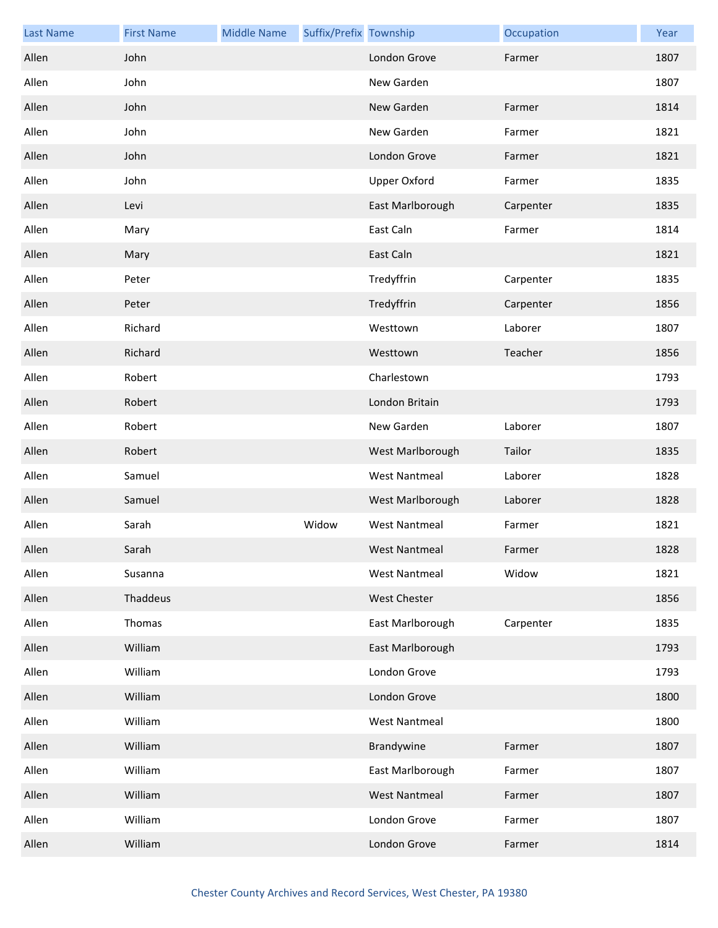| <b>Last Name</b> | <b>First Name</b> | <b>Middle Name</b> | Suffix/Prefix Township |                      | Occupation | Year |
|------------------|-------------------|--------------------|------------------------|----------------------|------------|------|
| Allen            | John              |                    |                        | London Grove         | Farmer     | 1807 |
| Allen            | John              |                    |                        | New Garden           |            | 1807 |
| Allen            | John              |                    |                        | New Garden           | Farmer     | 1814 |
| Allen            | John              |                    |                        | New Garden           | Farmer     | 1821 |
| Allen            | John              |                    |                        | London Grove         | Farmer     | 1821 |
| Allen            | John              |                    |                        | <b>Upper Oxford</b>  | Farmer     | 1835 |
| Allen            | Levi              |                    |                        | East Marlborough     | Carpenter  | 1835 |
| Allen            | Mary              |                    |                        | East Caln            | Farmer     | 1814 |
| Allen            | Mary              |                    |                        | East Caln            |            | 1821 |
| Allen            | Peter             |                    |                        | Tredyffrin           | Carpenter  | 1835 |
| Allen            | Peter             |                    |                        | Tredyffrin           | Carpenter  | 1856 |
| Allen            | Richard           |                    |                        | Westtown             | Laborer    | 1807 |
| Allen            | Richard           |                    |                        | Westtown             | Teacher    | 1856 |
| Allen            | Robert            |                    |                        | Charlestown          |            | 1793 |
| Allen            | Robert            |                    |                        | London Britain       |            | 1793 |
| Allen            | Robert            |                    |                        | New Garden           | Laborer    | 1807 |
| Allen            | Robert            |                    |                        | West Marlborough     | Tailor     | 1835 |
| Allen            | Samuel            |                    |                        | <b>West Nantmeal</b> | Laborer    | 1828 |
| Allen            | Samuel            |                    |                        | West Marlborough     | Laborer    | 1828 |
| Allen            | Sarah             |                    | Widow                  | <b>West Nantmeal</b> | Farmer     | 1821 |
| Allen            | Sarah             |                    |                        | <b>West Nantmeal</b> | Farmer     | 1828 |
| Allen            | Susanna           |                    |                        | <b>West Nantmeal</b> | Widow      | 1821 |
| Allen            | Thaddeus          |                    |                        | West Chester         |            | 1856 |
| Allen            | Thomas            |                    |                        | East Marlborough     | Carpenter  | 1835 |
| Allen            | William           |                    |                        | East Marlborough     |            | 1793 |
| Allen            | William           |                    |                        | London Grove         |            | 1793 |
| Allen            | William           |                    |                        | London Grove         |            | 1800 |
| Allen            | William           |                    |                        | <b>West Nantmeal</b> |            | 1800 |
| Allen            | William           |                    |                        | Brandywine           | Farmer     | 1807 |
| Allen            | William           |                    |                        | East Marlborough     | Farmer     | 1807 |
| Allen            | William           |                    |                        | <b>West Nantmeal</b> | Farmer     | 1807 |
| Allen            | William           |                    |                        | London Grove         | Farmer     | 1807 |
| Allen            | William           |                    |                        | London Grove         | Farmer     | 1814 |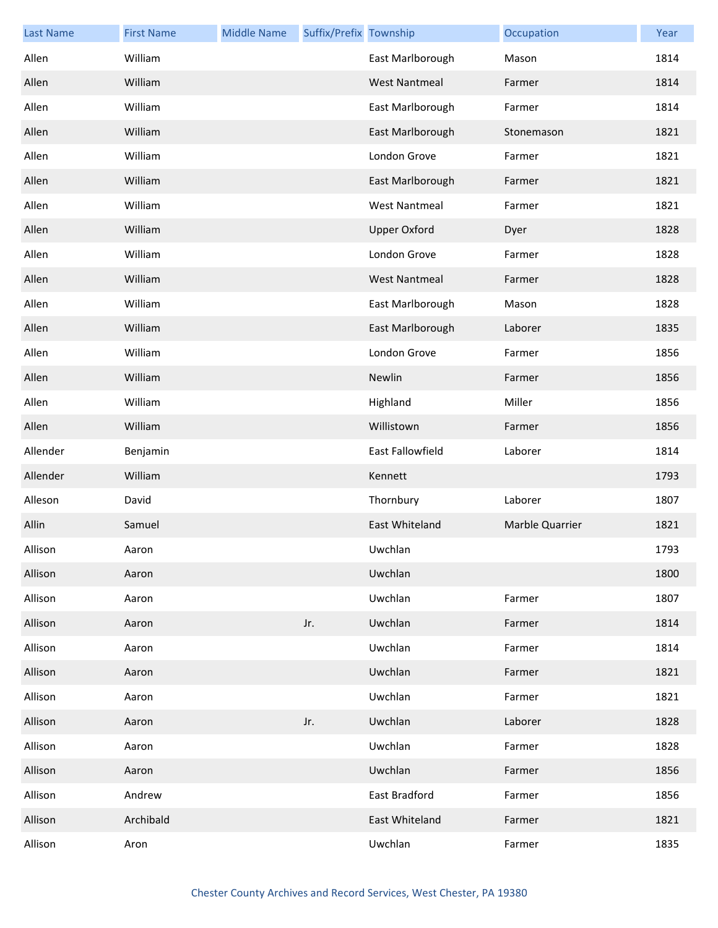| <b>Last Name</b> | <b>First Name</b> | <b>Middle Name</b> | Suffix/Prefix Township |                      | Occupation      | Year |
|------------------|-------------------|--------------------|------------------------|----------------------|-----------------|------|
| Allen            | William           |                    |                        | East Marlborough     | Mason           | 1814 |
| Allen            | William           |                    |                        | <b>West Nantmeal</b> | Farmer          | 1814 |
| Allen            | William           |                    |                        | East Marlborough     | Farmer          | 1814 |
| Allen            | William           |                    |                        | East Marlborough     | Stonemason      | 1821 |
| Allen            | William           |                    |                        | London Grove         | Farmer          | 1821 |
| Allen            | William           |                    |                        | East Marlborough     | Farmer          | 1821 |
| Allen            | William           |                    |                        | <b>West Nantmeal</b> | Farmer          | 1821 |
| Allen            | William           |                    |                        | <b>Upper Oxford</b>  | Dyer            | 1828 |
| Allen            | William           |                    |                        | London Grove         | Farmer          | 1828 |
| Allen            | William           |                    |                        | <b>West Nantmeal</b> | Farmer          | 1828 |
| Allen            | William           |                    |                        | East Marlborough     | Mason           | 1828 |
| Allen            | William           |                    |                        | East Marlborough     | Laborer         | 1835 |
| Allen            | William           |                    |                        | London Grove         | Farmer          | 1856 |
| Allen            | William           |                    |                        | Newlin               | Farmer          | 1856 |
| Allen            | William           |                    |                        | Highland             | Miller          | 1856 |
| Allen            | William           |                    |                        | Willistown           | Farmer          | 1856 |
| Allender         | Benjamin          |                    |                        | East Fallowfield     | Laborer         | 1814 |
| Allender         | William           |                    |                        | Kennett              |                 | 1793 |
| Alleson          | David             |                    |                        | Thornbury            | Laborer         | 1807 |
| Allin            | Samuel            |                    |                        | East Whiteland       | Marble Quarrier | 1821 |
| Allison          | Aaron             |                    |                        | Uwchlan              |                 | 1793 |
| Allison          | Aaron             |                    |                        | Uwchlan              |                 | 1800 |
| Allison          | Aaron             |                    |                        | Uwchlan              | Farmer          | 1807 |
| Allison          | Aaron             |                    | Jr.                    | Uwchlan              | Farmer          | 1814 |
| Allison          | Aaron             |                    |                        | Uwchlan              | Farmer          | 1814 |
| Allison          | Aaron             |                    |                        | Uwchlan              | Farmer          | 1821 |
| Allison          | Aaron             |                    |                        | Uwchlan              | Farmer          | 1821 |
| Allison          | Aaron             |                    | Jr.                    | Uwchlan              | Laborer         | 1828 |
| Allison          | Aaron             |                    |                        | Uwchlan              | Farmer          | 1828 |
| Allison          | Aaron             |                    |                        | Uwchlan              | Farmer          | 1856 |
| Allison          | Andrew            |                    |                        | East Bradford        | Farmer          | 1856 |
| Allison          | Archibald         |                    |                        | East Whiteland       | Farmer          | 1821 |
| Allison          | Aron              |                    |                        | Uwchlan              | Farmer          | 1835 |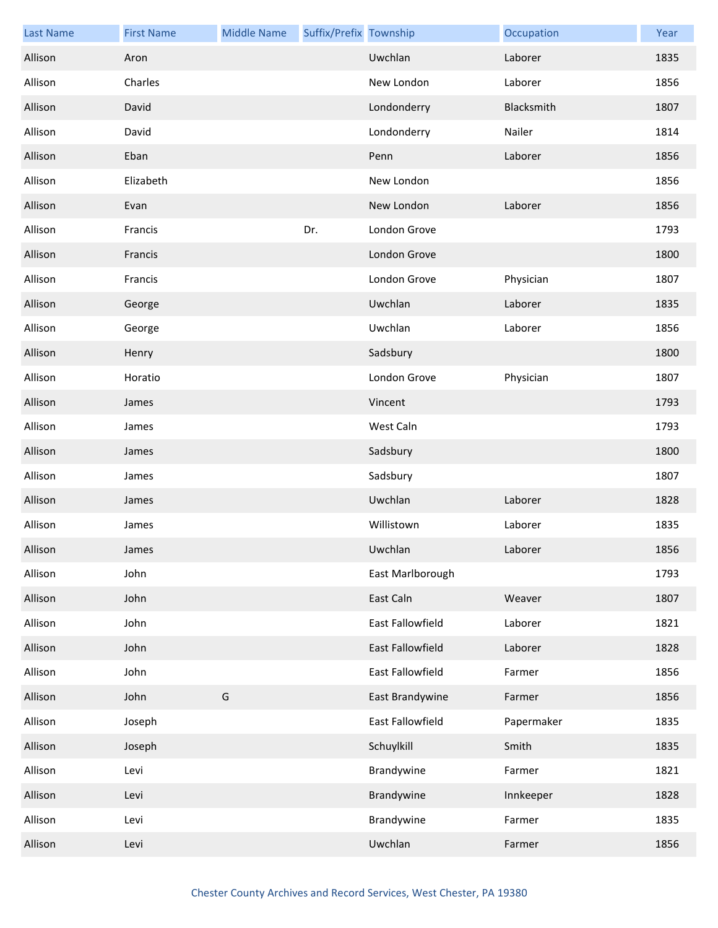| <b>Last Name</b> | <b>First Name</b> | <b>Middle Name</b> | Suffix/Prefix Township |                  | Occupation | Year |
|------------------|-------------------|--------------------|------------------------|------------------|------------|------|
| Allison          | Aron              |                    |                        | Uwchlan          | Laborer    | 1835 |
| Allison          | Charles           |                    |                        | New London       | Laborer    | 1856 |
| Allison          | David             |                    |                        | Londonderry      | Blacksmith | 1807 |
| Allison          | David             |                    |                        | Londonderry      | Nailer     | 1814 |
| Allison          | Eban              |                    |                        | Penn             | Laborer    | 1856 |
| Allison          | Elizabeth         |                    |                        | New London       |            | 1856 |
| Allison          | Evan              |                    |                        | New London       | Laborer    | 1856 |
| Allison          | Francis           |                    | Dr.                    | London Grove     |            | 1793 |
| Allison          | Francis           |                    |                        | London Grove     |            | 1800 |
| Allison          | Francis           |                    |                        | London Grove     | Physician  | 1807 |
| Allison          | George            |                    |                        | Uwchlan          | Laborer    | 1835 |
| Allison          | George            |                    |                        | Uwchlan          | Laborer    | 1856 |
| Allison          | Henry             |                    |                        | Sadsbury         |            | 1800 |
| Allison          | Horatio           |                    |                        | London Grove     | Physician  | 1807 |
| Allison          | James             |                    |                        | Vincent          |            | 1793 |
| Allison          | James             |                    |                        | West Caln        |            | 1793 |
| Allison          | James             |                    |                        | Sadsbury         |            | 1800 |
| Allison          | James             |                    |                        | Sadsbury         |            | 1807 |
| Allison          | James             |                    |                        | Uwchlan          | Laborer    | 1828 |
| Allison          | James             |                    |                        | Willistown       | Laborer    | 1835 |
| Allison          | James             |                    |                        | Uwchlan          | Laborer    | 1856 |
| Allison          | John              |                    |                        | East Marlborough |            | 1793 |
| Allison          | John              |                    |                        | East Caln        | Weaver     | 1807 |
| Allison          | John              |                    |                        | East Fallowfield | Laborer    | 1821 |
| Allison          | John              |                    |                        | East Fallowfield | Laborer    | 1828 |
| Allison          | John              |                    |                        | East Fallowfield | Farmer     | 1856 |
| Allison          | John              | G                  |                        | East Brandywine  | Farmer     | 1856 |
| Allison          | Joseph            |                    |                        | East Fallowfield | Papermaker | 1835 |
| Allison          | Joseph            |                    |                        | Schuylkill       | Smith      | 1835 |
| Allison          | Levi              |                    |                        | Brandywine       | Farmer     | 1821 |
| Allison          | Levi              |                    |                        | Brandywine       | Innkeeper  | 1828 |
| Allison          | Levi              |                    |                        | Brandywine       | Farmer     | 1835 |
| Allison          | Levi              |                    |                        | Uwchlan          | Farmer     | 1856 |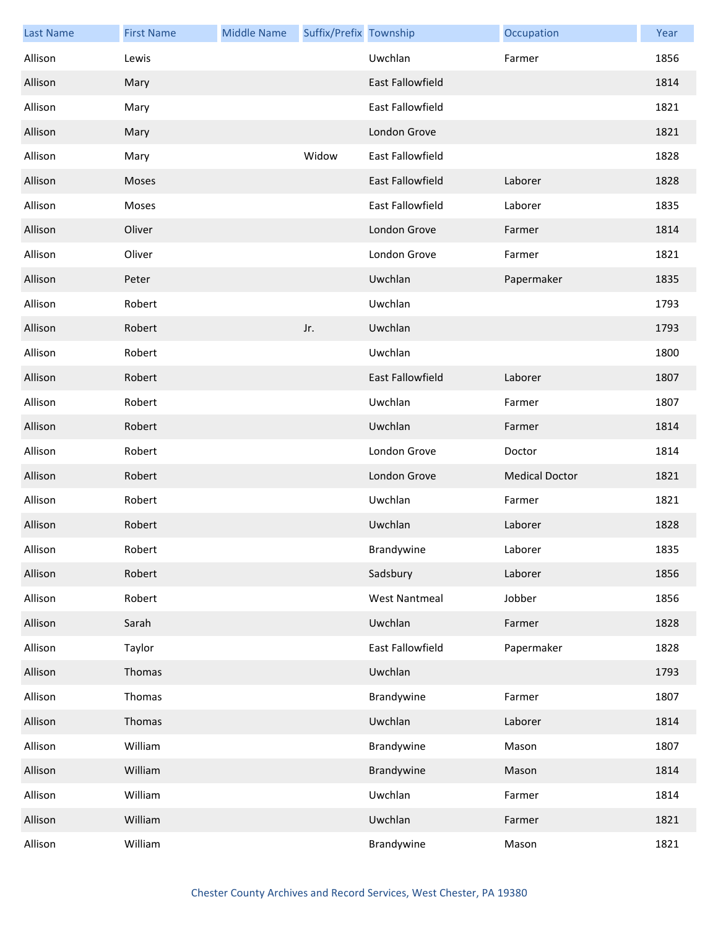| <b>Last Name</b> | <b>First Name</b> | <b>Middle Name</b> | Suffix/Prefix Township |                         | Occupation            | Year |
|------------------|-------------------|--------------------|------------------------|-------------------------|-----------------------|------|
| Allison          | Lewis             |                    |                        | Uwchlan                 | Farmer                | 1856 |
| Allison          | Mary              |                    |                        | East Fallowfield        |                       | 1814 |
| Allison          | Mary              |                    |                        | East Fallowfield        |                       | 1821 |
| Allison          | Mary              |                    |                        | London Grove            |                       | 1821 |
| Allison          | Mary              |                    | Widow                  | <b>East Fallowfield</b> |                       | 1828 |
| Allison          | Moses             |                    |                        | East Fallowfield        | Laborer               | 1828 |
| Allison          | Moses             |                    |                        | East Fallowfield        | Laborer               | 1835 |
| Allison          | Oliver            |                    |                        | London Grove            | Farmer                | 1814 |
| Allison          | Oliver            |                    |                        | London Grove            | Farmer                | 1821 |
| Allison          | Peter             |                    |                        | Uwchlan                 | Papermaker            | 1835 |
| Allison          | Robert            |                    |                        | Uwchlan                 |                       | 1793 |
| Allison          | Robert            |                    | Jr.                    | Uwchlan                 |                       | 1793 |
| Allison          | Robert            |                    |                        | Uwchlan                 |                       | 1800 |
| Allison          | Robert            |                    |                        | <b>East Fallowfield</b> | Laborer               | 1807 |
| Allison          | Robert            |                    |                        | Uwchlan                 | Farmer                | 1807 |
| Allison          | Robert            |                    |                        | Uwchlan                 | Farmer                | 1814 |
| Allison          | Robert            |                    |                        | London Grove            | Doctor                | 1814 |
| Allison          | Robert            |                    |                        | London Grove            | <b>Medical Doctor</b> | 1821 |
| Allison          | Robert            |                    |                        | Uwchlan                 | Farmer                | 1821 |
| Allison          | Robert            |                    |                        | Uwchlan                 | Laborer               | 1828 |
| Allison          | Robert            |                    |                        | Brandywine              | Laborer               | 1835 |
| Allison          | Robert            |                    |                        | Sadsbury                | Laborer               | 1856 |
| Allison          | Robert            |                    |                        | <b>West Nantmeal</b>    | Jobber                | 1856 |
| Allison          | Sarah             |                    |                        | Uwchlan                 | Farmer                | 1828 |
| Allison          | Taylor            |                    |                        | East Fallowfield        | Papermaker            | 1828 |
| Allison          | Thomas            |                    |                        | Uwchlan                 |                       | 1793 |
| Allison          | Thomas            |                    |                        | Brandywine              | Farmer                | 1807 |
| Allison          | Thomas            |                    |                        | Uwchlan                 | Laborer               | 1814 |
| Allison          | William           |                    |                        | Brandywine              | Mason                 | 1807 |
| Allison          | William           |                    |                        | Brandywine              | Mason                 | 1814 |
| Allison          | William           |                    |                        | Uwchlan                 | Farmer                | 1814 |
| Allison          | William           |                    |                        | Uwchlan                 | Farmer                | 1821 |
| Allison          | William           |                    |                        | Brandywine              | Mason                 | 1821 |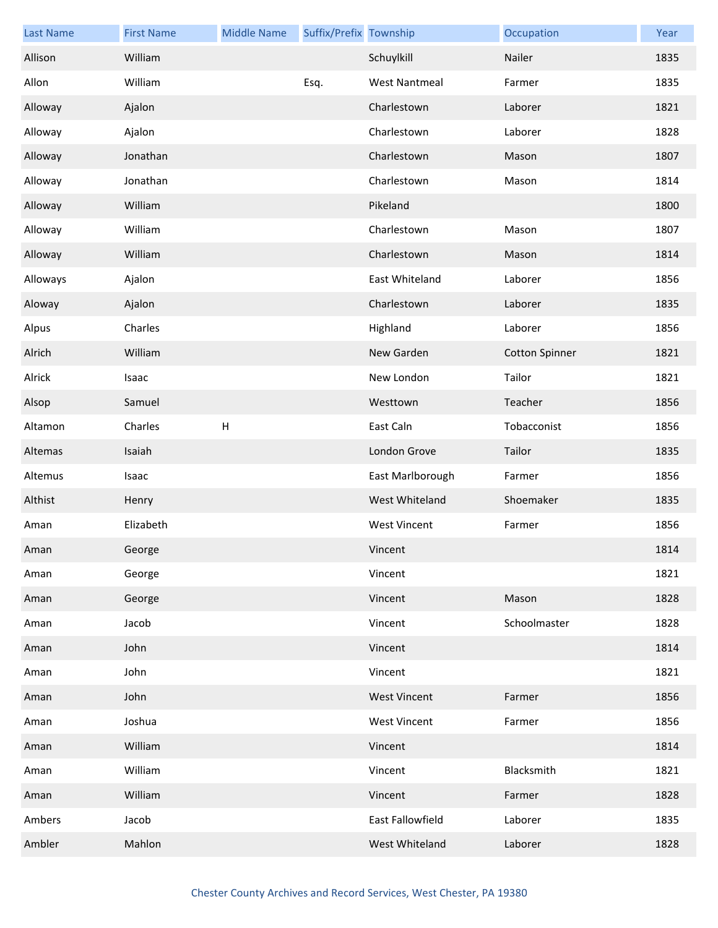| <b>Last Name</b> | <b>First Name</b> | <b>Middle Name</b>        | Suffix/Prefix Township |                      | Occupation            | Year |
|------------------|-------------------|---------------------------|------------------------|----------------------|-----------------------|------|
| Allison          | William           |                           |                        | Schuylkill           | Nailer                | 1835 |
| Allon            | William           |                           | Esq.                   | <b>West Nantmeal</b> | Farmer                | 1835 |
| Alloway          | Ajalon            |                           |                        | Charlestown          | Laborer               | 1821 |
| Alloway          | Ajalon            |                           |                        | Charlestown          | Laborer               | 1828 |
| Alloway          | Jonathan          |                           |                        | Charlestown          | Mason                 | 1807 |
| Alloway          | Jonathan          |                           |                        | Charlestown          | Mason                 | 1814 |
| Alloway          | William           |                           |                        | Pikeland             |                       | 1800 |
| Alloway          | William           |                           |                        | Charlestown          | Mason                 | 1807 |
| Alloway          | William           |                           |                        | Charlestown          | Mason                 | 1814 |
| Alloways         | Ajalon            |                           |                        | East Whiteland       | Laborer               | 1856 |
| Aloway           | Ajalon            |                           |                        | Charlestown          | Laborer               | 1835 |
| Alpus            | Charles           |                           |                        | Highland             | Laborer               | 1856 |
| Alrich           | William           |                           |                        | New Garden           | <b>Cotton Spinner</b> | 1821 |
| Alrick           | Isaac             |                           |                        | New London           | Tailor                | 1821 |
| Alsop            | Samuel            |                           |                        | Westtown             | Teacher               | 1856 |
| Altamon          | Charles           | $\boldsymbol{\mathsf{H}}$ |                        | East Caln            | Tobacconist           | 1856 |
| Altemas          | Isaiah            |                           |                        | London Grove         | Tailor                | 1835 |
| Altemus          | Isaac             |                           |                        | East Marlborough     | Farmer                | 1856 |
| Althist          | Henry             |                           |                        | West Whiteland       | Shoemaker             | 1835 |
| Aman             | Elizabeth         |                           |                        | <b>West Vincent</b>  | Farmer                | 1856 |
| Aman             | George            |                           |                        | Vincent              |                       | 1814 |
| Aman             | George            |                           |                        | Vincent              |                       | 1821 |
| Aman             | George            |                           |                        | Vincent              | Mason                 | 1828 |
| Aman             | Jacob             |                           |                        | Vincent              | Schoolmaster          | 1828 |
| Aman             | John              |                           |                        | Vincent              |                       | 1814 |
| Aman             | John              |                           |                        | Vincent              |                       | 1821 |
| Aman             | John              |                           |                        | <b>West Vincent</b>  | Farmer                | 1856 |
| Aman             | Joshua            |                           |                        | <b>West Vincent</b>  | Farmer                | 1856 |
| Aman             | William           |                           |                        | Vincent              |                       | 1814 |
| Aman             | William           |                           |                        | Vincent              | Blacksmith            | 1821 |
| Aman             | William           |                           |                        | Vincent              | Farmer                | 1828 |
| Ambers           | Jacob             |                           |                        | East Fallowfield     | Laborer               | 1835 |
| Ambler           | Mahlon            |                           |                        | West Whiteland       | Laborer               | 1828 |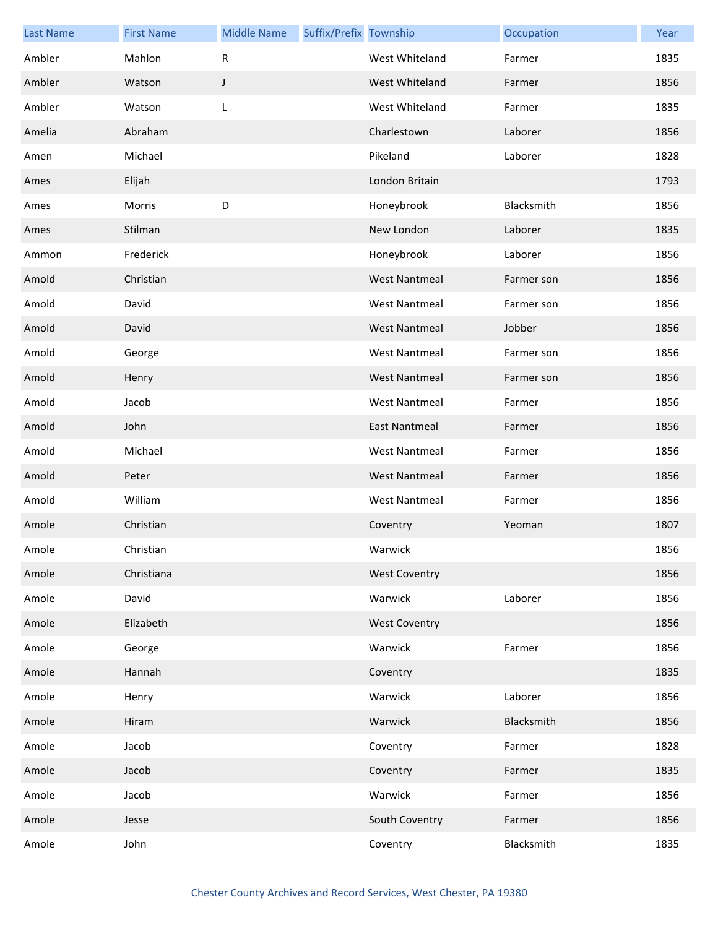| <b>Last Name</b> | <b>First Name</b> | <b>Middle Name</b> | Suffix/Prefix Township |                      | Occupation | Year |
|------------------|-------------------|--------------------|------------------------|----------------------|------------|------|
| Ambler           | Mahlon            | R                  |                        | West Whiteland       | Farmer     | 1835 |
| Ambler           | Watson            | J                  |                        | West Whiteland       | Farmer     | 1856 |
| Ambler           | Watson            | L                  |                        | West Whiteland       | Farmer     | 1835 |
| Amelia           | Abraham           |                    |                        | Charlestown          | Laborer    | 1856 |
| Amen             | Michael           |                    |                        | Pikeland             | Laborer    | 1828 |
| Ames             | Elijah            |                    |                        | London Britain       |            | 1793 |
| Ames             | Morris            | D                  |                        | Honeybrook           | Blacksmith | 1856 |
| Ames             | Stilman           |                    |                        | New London           | Laborer    | 1835 |
| Ammon            | Frederick         |                    |                        | Honeybrook           | Laborer    | 1856 |
| Amold            | Christian         |                    |                        | <b>West Nantmeal</b> | Farmer son | 1856 |
| Amold            | David             |                    |                        | <b>West Nantmeal</b> | Farmer son | 1856 |
| Amold            | David             |                    |                        | <b>West Nantmeal</b> | Jobber     | 1856 |
| Amold            | George            |                    |                        | <b>West Nantmeal</b> | Farmer son | 1856 |
| Amold            | Henry             |                    |                        | <b>West Nantmeal</b> | Farmer son | 1856 |
| Amold            | Jacob             |                    |                        | <b>West Nantmeal</b> | Farmer     | 1856 |
| Amold            | John              |                    |                        | <b>East Nantmeal</b> | Farmer     | 1856 |
| Amold            | Michael           |                    |                        | <b>West Nantmeal</b> | Farmer     | 1856 |
| Amold            | Peter             |                    |                        | <b>West Nantmeal</b> | Farmer     | 1856 |
| Amold            | William           |                    |                        | <b>West Nantmeal</b> | Farmer     | 1856 |
| Amole            | Christian         |                    |                        | Coventry             | Yeoman     | 1807 |
| Amole            | Christian         |                    |                        | Warwick              |            | 1856 |
| Amole            | Christiana        |                    |                        | <b>West Coventry</b> |            | 1856 |
| Amole            | David             |                    |                        | Warwick              | Laborer    | 1856 |
| Amole            | Elizabeth         |                    |                        | <b>West Coventry</b> |            | 1856 |
| Amole            | George            |                    |                        | Warwick              | Farmer     | 1856 |
| Amole            | Hannah            |                    |                        | Coventry             |            | 1835 |
| Amole            | Henry             |                    |                        | Warwick              | Laborer    | 1856 |
| Amole            | Hiram             |                    |                        | Warwick              | Blacksmith | 1856 |
| Amole            | Jacob             |                    |                        | Coventry             | Farmer     | 1828 |
| Amole            | Jacob             |                    |                        | Coventry             | Farmer     | 1835 |
| Amole            | Jacob             |                    |                        | Warwick              | Farmer     | 1856 |
| Amole            | Jesse             |                    |                        | South Coventry       | Farmer     | 1856 |
| Amole            | John              |                    |                        | Coventry             | Blacksmith | 1835 |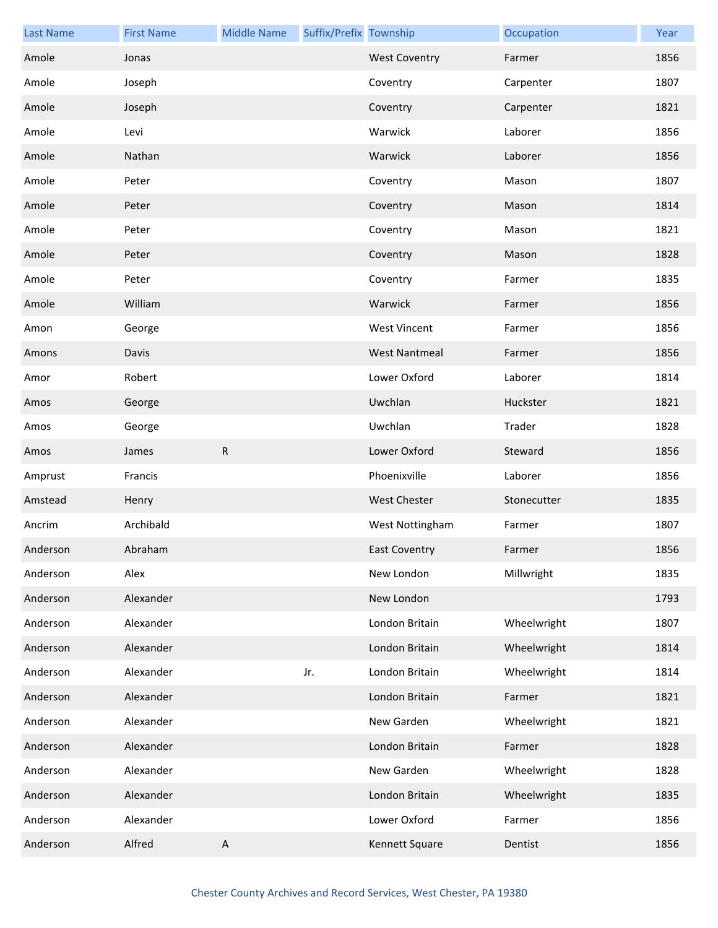| <b>Last Name</b> | <b>First Name</b> | <b>Middle Name</b>        | Suffix/Prefix Township |                      | Occupation  | Year |
|------------------|-------------------|---------------------------|------------------------|----------------------|-------------|------|
| Amole            | Jonas             |                           |                        | <b>West Coventry</b> | Farmer      | 1856 |
| Amole            | Joseph            |                           |                        | Coventry             | Carpenter   | 1807 |
| Amole            | Joseph            |                           |                        | Coventry             | Carpenter   | 1821 |
| Amole            | Levi              |                           |                        | Warwick              | Laborer     | 1856 |
| Amole            | Nathan            |                           |                        | Warwick              | Laborer     | 1856 |
| Amole            | Peter             |                           |                        | Coventry             | Mason       | 1807 |
| Amole            | Peter             |                           |                        | Coventry             | Mason       | 1814 |
| Amole            | Peter             |                           |                        | Coventry             | Mason       | 1821 |
| Amole            | Peter             |                           |                        | Coventry             | Mason       | 1828 |
| Amole            | Peter             |                           |                        | Coventry             | Farmer      | 1835 |
| Amole            | William           |                           |                        | Warwick              | Farmer      | 1856 |
| Amon             | George            |                           |                        | <b>West Vincent</b>  | Farmer      | 1856 |
| Amons            | Davis             |                           |                        | <b>West Nantmeal</b> | Farmer      | 1856 |
| Amor             | Robert            |                           |                        | Lower Oxford         | Laborer     | 1814 |
| Amos             | George            |                           |                        | Uwchlan              | Huckster    | 1821 |
| Amos             | George            |                           |                        | Uwchlan              | Trader      | 1828 |
| Amos             | James             | ${\sf R}$                 |                        | Lower Oxford         | Steward     | 1856 |
| Amprust          | Francis           |                           |                        | Phoenixville         | Laborer     | 1856 |
| Amstead          | Henry             |                           |                        | <b>West Chester</b>  | Stonecutter | 1835 |
| Ancrim           | Archibald         |                           |                        | West Nottingham      | Farmer      | 1807 |
| Anderson         | Abraham           |                           |                        | <b>East Coventry</b> | Farmer      | 1856 |
| Anderson         | Alex              |                           |                        | New London           | Millwright  | 1835 |
| Anderson         | Alexander         |                           |                        | New London           |             | 1793 |
| Anderson         | Alexander         |                           |                        | London Britain       | Wheelwright | 1807 |
| Anderson         | Alexander         |                           |                        | London Britain       | Wheelwright | 1814 |
| Anderson         | Alexander         |                           | Jr.                    | London Britain       | Wheelwright | 1814 |
| Anderson         | Alexander         |                           |                        | London Britain       | Farmer      | 1821 |
| Anderson         | Alexander         |                           |                        | New Garden           | Wheelwright | 1821 |
| Anderson         | Alexander         |                           |                        | London Britain       | Farmer      | 1828 |
| Anderson         | Alexander         |                           |                        | New Garden           | Wheelwright | 1828 |
| Anderson         | Alexander         |                           |                        | London Britain       | Wheelwright | 1835 |
| Anderson         | Alexander         |                           |                        | Lower Oxford         | Farmer      | 1856 |
| Anderson         | Alfred            | $\boldsymbol{\mathsf{A}}$ |                        | Kennett Square       | Dentist     | 1856 |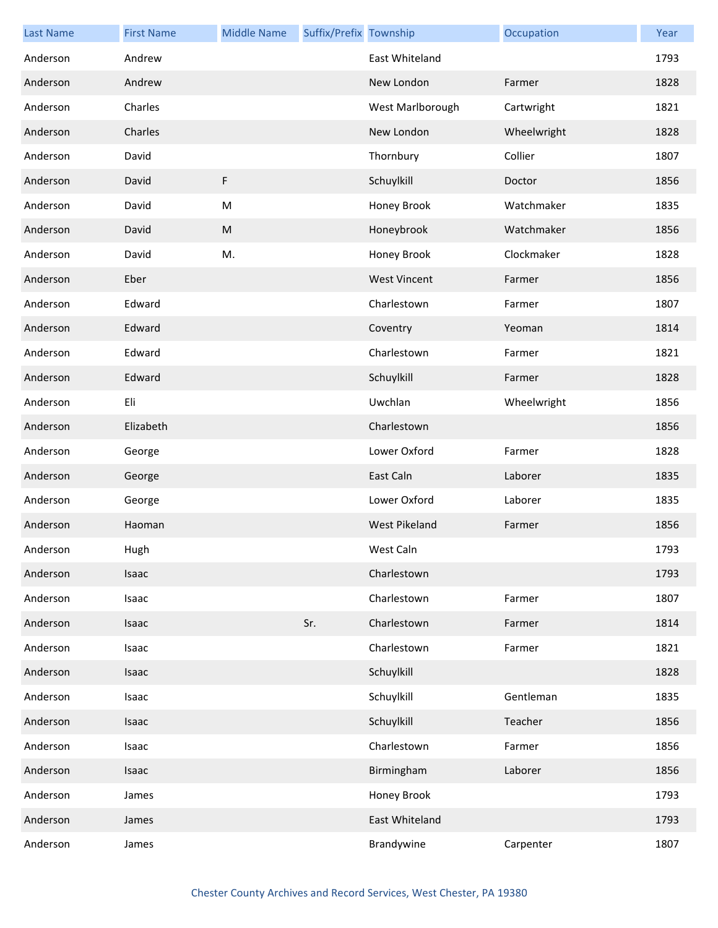| <b>Last Name</b> | <b>First Name</b> | <b>Middle Name</b> | Suffix/Prefix Township |                     | Occupation  | Year |
|------------------|-------------------|--------------------|------------------------|---------------------|-------------|------|
| Anderson         | Andrew            |                    |                        | East Whiteland      |             | 1793 |
| Anderson         | Andrew            |                    |                        | New London          | Farmer      | 1828 |
| Anderson         | Charles           |                    |                        | West Marlborough    | Cartwright  | 1821 |
| Anderson         | Charles           |                    |                        | New London          | Wheelwright | 1828 |
| Anderson         | David             |                    |                        | Thornbury           | Collier     | 1807 |
| Anderson         | David             | F                  |                        | Schuylkill          | Doctor      | 1856 |
| Anderson         | David             | M                  |                        | Honey Brook         | Watchmaker  | 1835 |
| Anderson         | David             | ${\sf M}$          |                        | Honeybrook          | Watchmaker  | 1856 |
| Anderson         | David             | M.                 |                        | Honey Brook         | Clockmaker  | 1828 |
| Anderson         | Eber              |                    |                        | <b>West Vincent</b> | Farmer      | 1856 |
| Anderson         | Edward            |                    |                        | Charlestown         | Farmer      | 1807 |
| Anderson         | Edward            |                    |                        | Coventry            | Yeoman      | 1814 |
| Anderson         | Edward            |                    |                        | Charlestown         | Farmer      | 1821 |
| Anderson         | Edward            |                    |                        | Schuylkill          | Farmer      | 1828 |
| Anderson         | Eli               |                    |                        | Uwchlan             | Wheelwright | 1856 |
| Anderson         | Elizabeth         |                    |                        | Charlestown         |             | 1856 |
| Anderson         | George            |                    |                        | Lower Oxford        | Farmer      | 1828 |
| Anderson         | George            |                    |                        | East Caln           | Laborer     | 1835 |
| Anderson         | George            |                    |                        | Lower Oxford        | Laborer     | 1835 |
| Anderson         | Haoman            |                    |                        | West Pikeland       | Farmer      | 1856 |
| Anderson         | Hugh              |                    |                        | West Caln           |             | 1793 |
| Anderson         | Isaac             |                    |                        | Charlestown         |             | 1793 |
| Anderson         | Isaac             |                    |                        | Charlestown         | Farmer      | 1807 |
| Anderson         | Isaac             |                    | Sr.                    | Charlestown         | Farmer      | 1814 |
| Anderson         | Isaac             |                    |                        | Charlestown         | Farmer      | 1821 |
| Anderson         | Isaac             |                    |                        | Schuylkill          |             | 1828 |
| Anderson         | Isaac             |                    |                        | Schuylkill          | Gentleman   | 1835 |
| Anderson         | Isaac             |                    |                        | Schuylkill          | Teacher     | 1856 |
| Anderson         | Isaac             |                    |                        | Charlestown         | Farmer      | 1856 |
| Anderson         | Isaac             |                    |                        | Birmingham          | Laborer     | 1856 |
| Anderson         | James             |                    |                        | Honey Brook         |             | 1793 |
| Anderson         | James             |                    |                        | East Whiteland      |             | 1793 |
| Anderson         | James             |                    |                        | Brandywine          | Carpenter   | 1807 |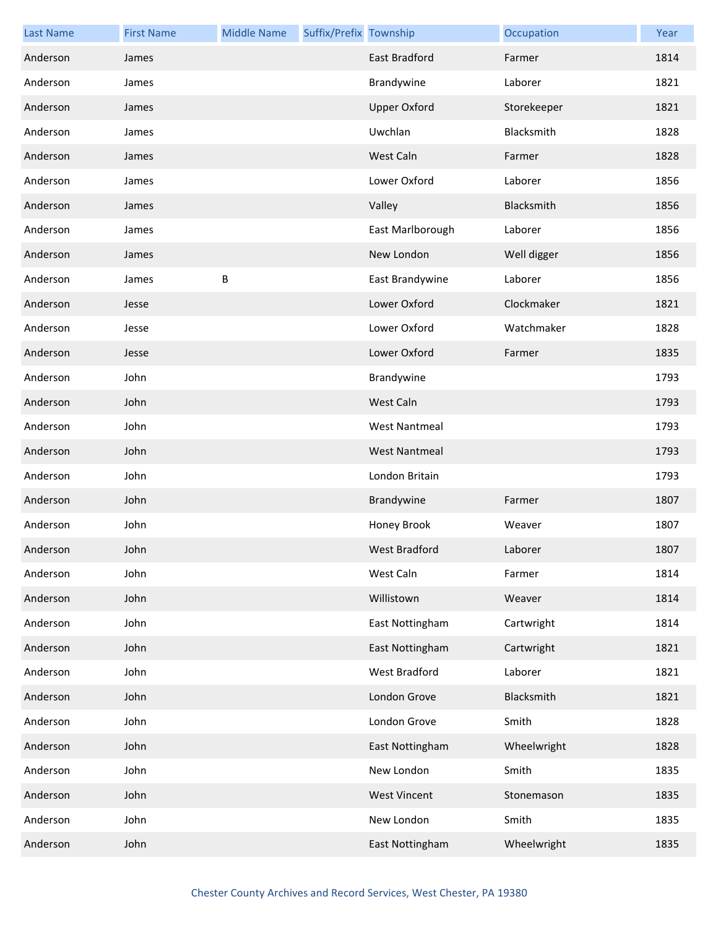| <b>Last Name</b> | <b>First Name</b> | <b>Middle Name</b> | Suffix/Prefix Township |                      | Occupation  | Year |
|------------------|-------------------|--------------------|------------------------|----------------------|-------------|------|
| Anderson         | James             |                    |                        | <b>East Bradford</b> | Farmer      | 1814 |
| Anderson         | James             |                    |                        | Brandywine           | Laborer     | 1821 |
| Anderson         | James             |                    |                        | <b>Upper Oxford</b>  | Storekeeper | 1821 |
| Anderson         | James             |                    |                        | Uwchlan              | Blacksmith  | 1828 |
| Anderson         | James             |                    |                        | West Caln            | Farmer      | 1828 |
| Anderson         | James             |                    |                        | Lower Oxford         | Laborer     | 1856 |
| Anderson         | James             |                    |                        | Valley               | Blacksmith  | 1856 |
| Anderson         | James             |                    |                        | East Marlborough     | Laborer     | 1856 |
| Anderson         | James             |                    |                        | New London           | Well digger | 1856 |
| Anderson         | James             | B                  |                        | East Brandywine      | Laborer     | 1856 |
| Anderson         | Jesse             |                    |                        | Lower Oxford         | Clockmaker  | 1821 |
| Anderson         | Jesse             |                    |                        | Lower Oxford         | Watchmaker  | 1828 |
| Anderson         | Jesse             |                    |                        | Lower Oxford         | Farmer      | 1835 |
| Anderson         | John              |                    |                        | Brandywine           |             | 1793 |
| Anderson         | John              |                    |                        | West Caln            |             | 1793 |
| Anderson         | John              |                    |                        | <b>West Nantmeal</b> |             | 1793 |
| Anderson         | John              |                    |                        | <b>West Nantmeal</b> |             | 1793 |
| Anderson         | John              |                    |                        | London Britain       |             | 1793 |
| Anderson         | John              |                    |                        | Brandywine           | Farmer      | 1807 |
| Anderson         | John              |                    |                        | Honey Brook          | Weaver      | 1807 |
| Anderson         | John              |                    |                        | West Bradford        | Laborer     | 1807 |
| Anderson         | John              |                    |                        | West Caln            | Farmer      | 1814 |
| Anderson         | John              |                    |                        | Willistown           | Weaver      | 1814 |
| Anderson         | John              |                    |                        | East Nottingham      | Cartwright  | 1814 |
| Anderson         | John              |                    |                        | East Nottingham      | Cartwright  | 1821 |
| Anderson         | John              |                    |                        | West Bradford        | Laborer     | 1821 |
| Anderson         | John              |                    |                        | London Grove         | Blacksmith  | 1821 |
| Anderson         | John              |                    |                        | London Grove         | Smith       | 1828 |
| Anderson         | John              |                    |                        | East Nottingham      | Wheelwright | 1828 |
| Anderson         | John              |                    |                        | New London           | Smith       | 1835 |
| Anderson         | John              |                    |                        | <b>West Vincent</b>  | Stonemason  | 1835 |
| Anderson         | John              |                    |                        | New London           | Smith       | 1835 |
| Anderson         | John              |                    |                        | East Nottingham      | Wheelwright | 1835 |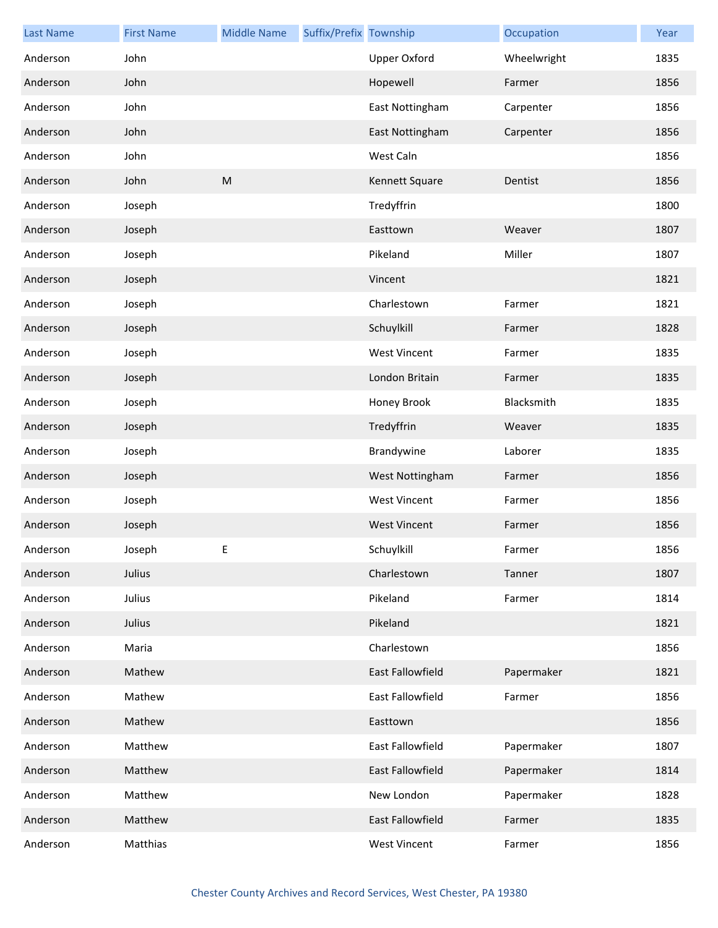| <b>Last Name</b> | <b>First Name</b> | <b>Middle Name</b> | Suffix/Prefix Township |                     | Occupation  | Year |
|------------------|-------------------|--------------------|------------------------|---------------------|-------------|------|
| Anderson         | John              |                    |                        | Upper Oxford        | Wheelwright | 1835 |
| Anderson         | John              |                    |                        | Hopewell            | Farmer      | 1856 |
| Anderson         | John              |                    |                        | East Nottingham     | Carpenter   | 1856 |
| Anderson         | John              |                    |                        | East Nottingham     | Carpenter   | 1856 |
| Anderson         | John              |                    |                        | West Caln           |             | 1856 |
| Anderson         | John              | ${\sf M}$          |                        | Kennett Square      | Dentist     | 1856 |
| Anderson         | Joseph            |                    |                        | Tredyffrin          |             | 1800 |
| Anderson         | Joseph            |                    |                        | Easttown            | Weaver      | 1807 |
| Anderson         | Joseph            |                    |                        | Pikeland            | Miller      | 1807 |
| Anderson         | Joseph            |                    |                        | Vincent             |             | 1821 |
| Anderson         | Joseph            |                    |                        | Charlestown         | Farmer      | 1821 |
| Anderson         | Joseph            |                    |                        | Schuylkill          | Farmer      | 1828 |
| Anderson         | Joseph            |                    |                        | <b>West Vincent</b> | Farmer      | 1835 |
| Anderson         | Joseph            |                    |                        | London Britain      | Farmer      | 1835 |
| Anderson         | Joseph            |                    |                        | Honey Brook         | Blacksmith  | 1835 |
| Anderson         | Joseph            |                    |                        | Tredyffrin          | Weaver      | 1835 |
| Anderson         | Joseph            |                    |                        | Brandywine          | Laborer     | 1835 |
| Anderson         | Joseph            |                    |                        | West Nottingham     | Farmer      | 1856 |
| Anderson         | Joseph            |                    |                        | <b>West Vincent</b> | Farmer      | 1856 |
| Anderson         | Joseph            |                    |                        | <b>West Vincent</b> | Farmer      | 1856 |
| Anderson         | Joseph            | E                  |                        | Schuylkill          | Farmer      | 1856 |
| Anderson         | Julius            |                    |                        | Charlestown         | Tanner      | 1807 |
| Anderson         | Julius            |                    |                        | Pikeland            | Farmer      | 1814 |
| Anderson         | Julius            |                    |                        | Pikeland            |             | 1821 |
| Anderson         | Maria             |                    |                        | Charlestown         |             | 1856 |
| Anderson         | Mathew            |                    |                        | East Fallowfield    | Papermaker  | 1821 |
| Anderson         | Mathew            |                    |                        | East Fallowfield    | Farmer      | 1856 |
| Anderson         | Mathew            |                    |                        | Easttown            |             | 1856 |
| Anderson         | Matthew           |                    |                        | East Fallowfield    | Papermaker  | 1807 |
| Anderson         | Matthew           |                    |                        | East Fallowfield    | Papermaker  | 1814 |
| Anderson         | Matthew           |                    |                        | New London          | Papermaker  | 1828 |
| Anderson         | Matthew           |                    |                        | East Fallowfield    | Farmer      | 1835 |
| Anderson         | Matthias          |                    |                        | <b>West Vincent</b> | Farmer      | 1856 |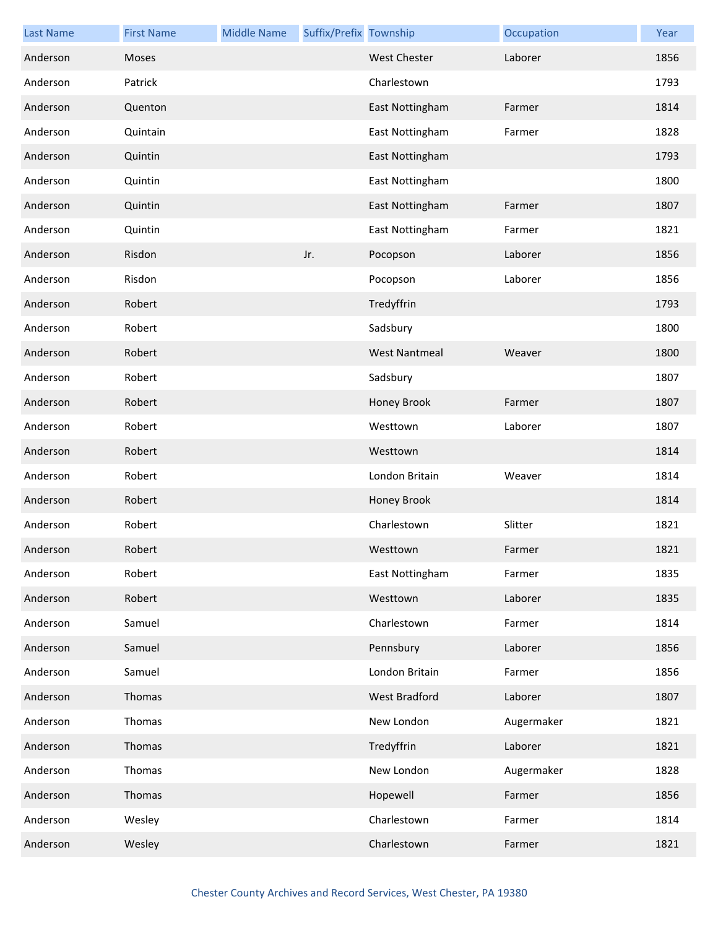| <b>Last Name</b> | <b>First Name</b> | <b>Middle Name</b> | Suffix/Prefix Township |                      | Occupation | Year |
|------------------|-------------------|--------------------|------------------------|----------------------|------------|------|
| Anderson         | Moses             |                    |                        | West Chester         | Laborer    | 1856 |
| Anderson         | Patrick           |                    |                        | Charlestown          |            | 1793 |
| Anderson         | Quenton           |                    |                        | East Nottingham      | Farmer     | 1814 |
| Anderson         | Quintain          |                    |                        | East Nottingham      | Farmer     | 1828 |
| Anderson         | Quintin           |                    |                        | East Nottingham      |            | 1793 |
| Anderson         | Quintin           |                    |                        | East Nottingham      |            | 1800 |
| Anderson         | Quintin           |                    |                        | East Nottingham      | Farmer     | 1807 |
| Anderson         | Quintin           |                    |                        | East Nottingham      | Farmer     | 1821 |
| Anderson         | Risdon            |                    | Jr.                    | Pocopson             | Laborer    | 1856 |
| Anderson         | Risdon            |                    |                        | Pocopson             | Laborer    | 1856 |
| Anderson         | Robert            |                    |                        | Tredyffrin           |            | 1793 |
| Anderson         | Robert            |                    |                        | Sadsbury             |            | 1800 |
| Anderson         | Robert            |                    |                        | <b>West Nantmeal</b> | Weaver     | 1800 |
| Anderson         | Robert            |                    |                        | Sadsbury             |            | 1807 |
| Anderson         | Robert            |                    |                        | Honey Brook          | Farmer     | 1807 |
| Anderson         | Robert            |                    |                        | Westtown             | Laborer    | 1807 |
| Anderson         | Robert            |                    |                        | Westtown             |            | 1814 |
| Anderson         | Robert            |                    |                        | London Britain       | Weaver     | 1814 |
| Anderson         | Robert            |                    |                        | Honey Brook          |            | 1814 |
| Anderson         | Robert            |                    |                        | Charlestown          | Slitter    | 1821 |
| Anderson         | Robert            |                    |                        | Westtown             | Farmer     | 1821 |
| Anderson         | Robert            |                    |                        | East Nottingham      | Farmer     | 1835 |
| Anderson         | Robert            |                    |                        | Westtown             | Laborer    | 1835 |
| Anderson         | Samuel            |                    |                        | Charlestown          | Farmer     | 1814 |
| Anderson         | Samuel            |                    |                        | Pennsbury            | Laborer    | 1856 |
| Anderson         | Samuel            |                    |                        | London Britain       | Farmer     | 1856 |
| Anderson         | Thomas            |                    |                        | West Bradford        | Laborer    | 1807 |
| Anderson         | Thomas            |                    |                        | New London           | Augermaker | 1821 |
| Anderson         | Thomas            |                    |                        | Tredyffrin           | Laborer    | 1821 |
| Anderson         | Thomas            |                    |                        | New London           | Augermaker | 1828 |
| Anderson         | Thomas            |                    |                        | Hopewell             | Farmer     | 1856 |
| Anderson         | Wesley            |                    |                        | Charlestown          | Farmer     | 1814 |
| Anderson         | Wesley            |                    |                        | Charlestown          | Farmer     | 1821 |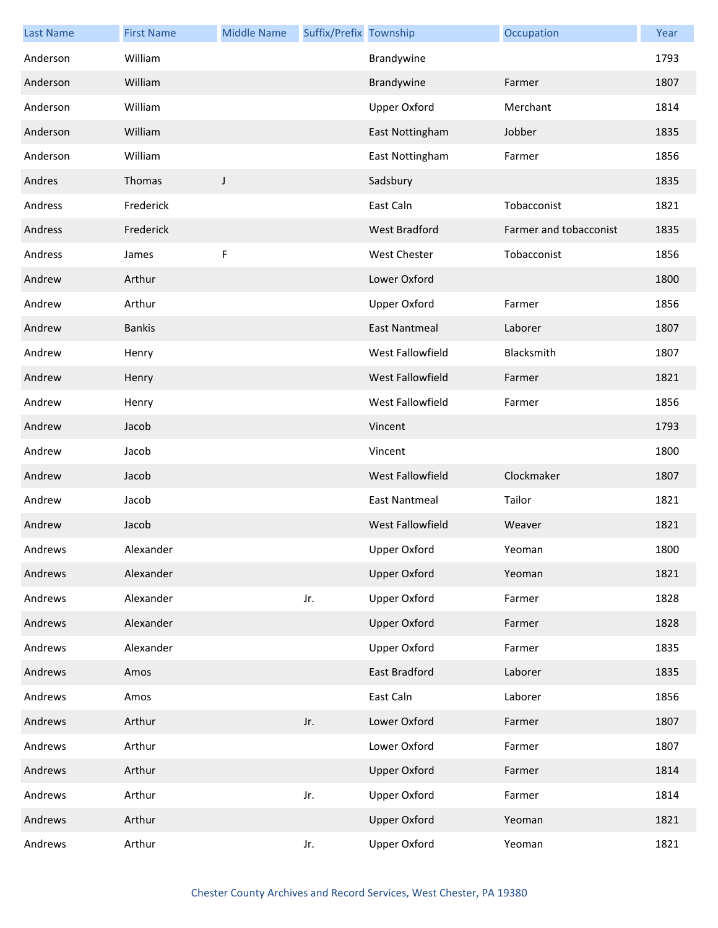| <b>Last Name</b> | <b>First Name</b> | <b>Middle Name</b> | Suffix/Prefix Township |                         | Occupation             | Year |
|------------------|-------------------|--------------------|------------------------|-------------------------|------------------------|------|
| Anderson         | William           |                    |                        | Brandywine              |                        | 1793 |
| Anderson         | William           |                    |                        | Brandywine              | Farmer                 | 1807 |
| Anderson         | William           |                    |                        | <b>Upper Oxford</b>     | Merchant               | 1814 |
| Anderson         | William           |                    |                        | East Nottingham         | Jobber                 | 1835 |
| Anderson         | William           |                    |                        | East Nottingham         | Farmer                 | 1856 |
| Andres           | Thomas            | J                  |                        | Sadsbury                |                        | 1835 |
| Andress          | Frederick         |                    |                        | East Caln               | Tobacconist            | 1821 |
| Andress          | Frederick         |                    |                        | <b>West Bradford</b>    | Farmer and tobacconist | 1835 |
| Andress          | James             | F                  |                        | <b>West Chester</b>     | Tobacconist            | 1856 |
| Andrew           | Arthur            |                    |                        | Lower Oxford            |                        | 1800 |
| Andrew           | Arthur            |                    |                        | Upper Oxford            | Farmer                 | 1856 |
| Andrew           | <b>Bankis</b>     |                    |                        | <b>East Nantmeal</b>    | Laborer                | 1807 |
| Andrew           | Henry             |                    |                        | West Fallowfield        | Blacksmith             | 1807 |
| Andrew           | Henry             |                    |                        | West Fallowfield        | Farmer                 | 1821 |
| Andrew           | Henry             |                    |                        | West Fallowfield        | Farmer                 | 1856 |
| Andrew           | Jacob             |                    |                        | Vincent                 |                        | 1793 |
| Andrew           | Jacob             |                    |                        | Vincent                 |                        | 1800 |
| Andrew           | Jacob             |                    |                        | West Fallowfield        | Clockmaker             | 1807 |
| Andrew           | Jacob             |                    |                        | <b>East Nantmeal</b>    | Tailor                 | 1821 |
| Andrew           | Jacob             |                    |                        | <b>West Fallowfield</b> | Weaver                 | 1821 |
| Andrews          | Alexander         |                    |                        | Upper Oxford            | Yeoman                 | 1800 |
| Andrews          | Alexander         |                    |                        | <b>Upper Oxford</b>     | Yeoman                 | 1821 |
| Andrews          | Alexander         |                    | Jr.                    | Upper Oxford            | Farmer                 | 1828 |
| Andrews          | Alexander         |                    |                        | <b>Upper Oxford</b>     | Farmer                 | 1828 |
| Andrews          | Alexander         |                    |                        | Upper Oxford            | Farmer                 | 1835 |
| Andrews          | Amos              |                    |                        | East Bradford           | Laborer                | 1835 |
| Andrews          | Amos              |                    |                        | East Caln               | Laborer                | 1856 |
| Andrews          | Arthur            |                    | Jr.                    | Lower Oxford            | Farmer                 | 1807 |
| Andrews          | Arthur            |                    |                        | Lower Oxford            | Farmer                 | 1807 |
| Andrews          | Arthur            |                    |                        | <b>Upper Oxford</b>     | Farmer                 | 1814 |
| Andrews          | Arthur            |                    | Jr.                    | Upper Oxford            | Farmer                 | 1814 |
| Andrews          | Arthur            |                    |                        | <b>Upper Oxford</b>     | Yeoman                 | 1821 |
| Andrews          | Arthur            |                    | Jr.                    | Upper Oxford            | Yeoman                 | 1821 |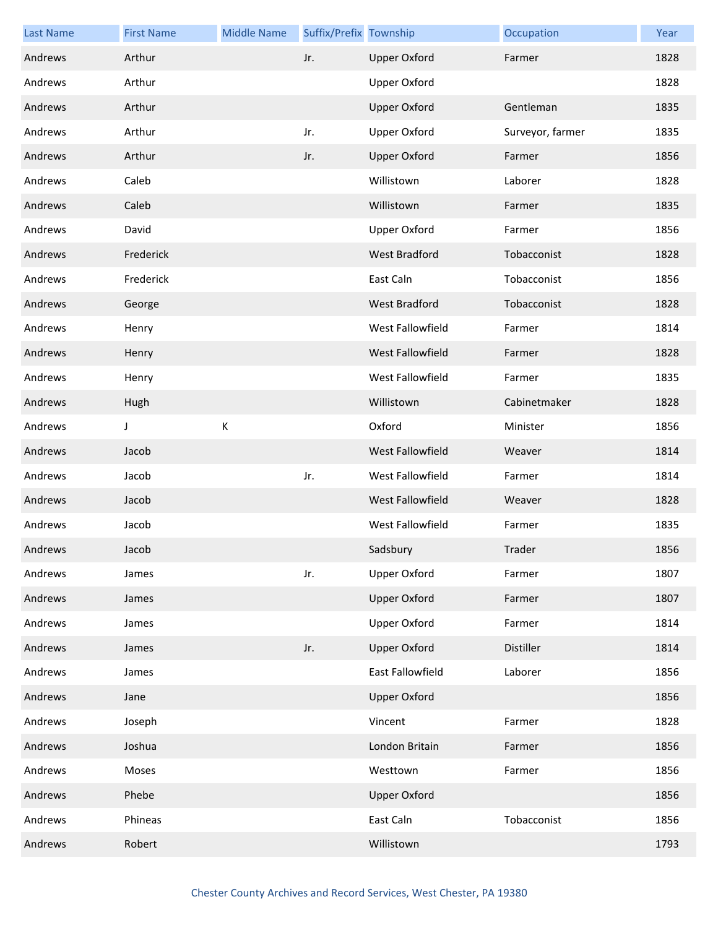| <b>Last Name</b> | <b>First Name</b> | <b>Middle Name</b> | Suffix/Prefix Township |                      | Occupation       | Year |
|------------------|-------------------|--------------------|------------------------|----------------------|------------------|------|
| Andrews          | Arthur            |                    | Jr.                    | <b>Upper Oxford</b>  | Farmer           | 1828 |
| Andrews          | Arthur            |                    |                        | Upper Oxford         |                  | 1828 |
| Andrews          | Arthur            |                    |                        | <b>Upper Oxford</b>  | Gentleman        | 1835 |
| Andrews          | Arthur            |                    | Jr.                    | <b>Upper Oxford</b>  | Surveyor, farmer | 1835 |
| Andrews          | Arthur            |                    | Jr.                    | <b>Upper Oxford</b>  | Farmer           | 1856 |
| Andrews          | Caleb             |                    |                        | Willistown           | Laborer          | 1828 |
| Andrews          | Caleb             |                    |                        | Willistown           | Farmer           | 1835 |
| Andrews          | David             |                    |                        | <b>Upper Oxford</b>  | Farmer           | 1856 |
| Andrews          | Frederick         |                    |                        | <b>West Bradford</b> | Tobacconist      | 1828 |
| Andrews          | Frederick         |                    |                        | East Caln            | Tobacconist      | 1856 |
| Andrews          | George            |                    |                        | West Bradford        | Tobacconist      | 1828 |
| Andrews          | Henry             |                    |                        | West Fallowfield     | Farmer           | 1814 |
| Andrews          | Henry             |                    |                        | West Fallowfield     | Farmer           | 1828 |
| Andrews          | Henry             |                    |                        | West Fallowfield     | Farmer           | 1835 |
| Andrews          | Hugh              |                    |                        | Willistown           | Cabinetmaker     | 1828 |
| Andrews          | J                 | Κ                  |                        | Oxford               | Minister         | 1856 |
| Andrews          | Jacob             |                    |                        | West Fallowfield     | Weaver           | 1814 |
| Andrews          | Jacob             |                    | Jr.                    | West Fallowfield     | Farmer           | 1814 |
| Andrews          | Jacob             |                    |                        | West Fallowfield     | Weaver           | 1828 |
| Andrews          | Jacob             |                    |                        | West Fallowfield     | Farmer           | 1835 |
| Andrews          | Jacob             |                    |                        | Sadsbury             | Trader           | 1856 |
| Andrews          | James             |                    | Jr.                    | Upper Oxford         | Farmer           | 1807 |
| Andrews          | James             |                    |                        | <b>Upper Oxford</b>  | Farmer           | 1807 |
| Andrews          | James             |                    |                        | Upper Oxford         | Farmer           | 1814 |
| Andrews          | James             |                    | Jr.                    | <b>Upper Oxford</b>  | Distiller        | 1814 |
| Andrews          | James             |                    |                        | East Fallowfield     | Laborer          | 1856 |
| Andrews          | Jane              |                    |                        | <b>Upper Oxford</b>  |                  | 1856 |
| Andrews          | Joseph            |                    |                        | Vincent              | Farmer           | 1828 |
| Andrews          | Joshua            |                    |                        | London Britain       | Farmer           | 1856 |
| Andrews          | Moses             |                    |                        | Westtown             | Farmer           | 1856 |
| Andrews          | Phebe             |                    |                        | <b>Upper Oxford</b>  |                  | 1856 |
| Andrews          | Phineas           |                    |                        | East Caln            | Tobacconist      | 1856 |
| Andrews          | Robert            |                    |                        | Willistown           |                  | 1793 |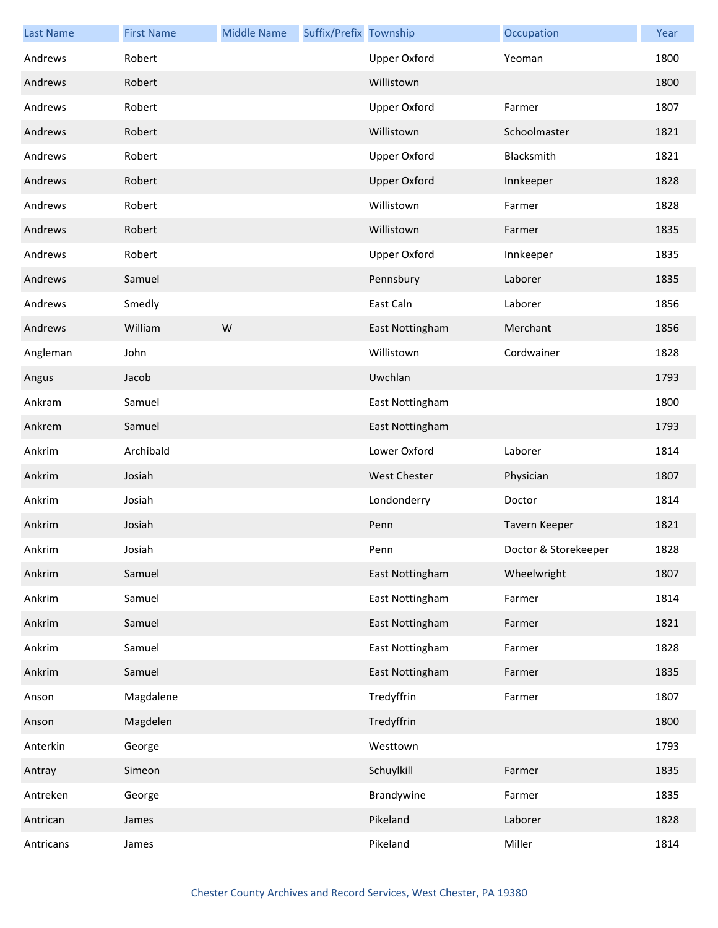| <b>Last Name</b> | <b>First Name</b> | <b>Middle Name</b> | Suffix/Prefix Township |                     | Occupation           | Year |
|------------------|-------------------|--------------------|------------------------|---------------------|----------------------|------|
| Andrews          | Robert            |                    |                        | Upper Oxford        | Yeoman               | 1800 |
| Andrews          | Robert            |                    |                        | Willistown          |                      | 1800 |
| Andrews          | Robert            |                    |                        | Upper Oxford        | Farmer               | 1807 |
| Andrews          | Robert            |                    |                        | Willistown          | Schoolmaster         | 1821 |
| Andrews          | Robert            |                    |                        | <b>Upper Oxford</b> | Blacksmith           | 1821 |
| Andrews          | Robert            |                    |                        | <b>Upper Oxford</b> | Innkeeper            | 1828 |
| Andrews          | Robert            |                    |                        | Willistown          | Farmer               | 1828 |
| Andrews          | Robert            |                    |                        | Willistown          | Farmer               | 1835 |
| Andrews          | Robert            |                    |                        | <b>Upper Oxford</b> | Innkeeper            | 1835 |
| Andrews          | Samuel            |                    |                        | Pennsbury           | Laborer              | 1835 |
| Andrews          | Smedly            |                    |                        | East Caln           | Laborer              | 1856 |
| Andrews          | William           | W                  |                        | East Nottingham     | Merchant             | 1856 |
| Angleman         | John              |                    |                        | Willistown          | Cordwainer           | 1828 |
| Angus            | Jacob             |                    |                        | Uwchlan             |                      | 1793 |
| Ankram           | Samuel            |                    |                        | East Nottingham     |                      | 1800 |
| Ankrem           | Samuel            |                    |                        | East Nottingham     |                      | 1793 |
| Ankrim           | Archibald         |                    |                        | Lower Oxford        | Laborer              | 1814 |
| Ankrim           | Josiah            |                    |                        | <b>West Chester</b> | Physician            | 1807 |
| Ankrim           | Josiah            |                    |                        | Londonderry         | Doctor               | 1814 |
| Ankrim           | Josiah            |                    |                        | Penn                | Tavern Keeper        | 1821 |
| Ankrim           | Josiah            |                    |                        | Penn                | Doctor & Storekeeper | 1828 |
| Ankrim           | Samuel            |                    |                        | East Nottingham     | Wheelwright          | 1807 |
| Ankrim           | Samuel            |                    |                        | East Nottingham     | Farmer               | 1814 |
| Ankrim           | Samuel            |                    |                        | East Nottingham     | Farmer               | 1821 |
| Ankrim           | Samuel            |                    |                        | East Nottingham     | Farmer               | 1828 |
| Ankrim           | Samuel            |                    |                        | East Nottingham     | Farmer               | 1835 |
| Anson            | Magdalene         |                    |                        | Tredyffrin          | Farmer               | 1807 |
| Anson            | Magdelen          |                    |                        | Tredyffrin          |                      | 1800 |
| Anterkin         | George            |                    |                        | Westtown            |                      | 1793 |
| Antray           | Simeon            |                    |                        | Schuylkill          | Farmer               | 1835 |
| Antreken         | George            |                    |                        | Brandywine          | Farmer               | 1835 |
| Antrican         | James             |                    |                        | Pikeland            | Laborer              | 1828 |
| Antricans        | James             |                    |                        | Pikeland            | Miller               | 1814 |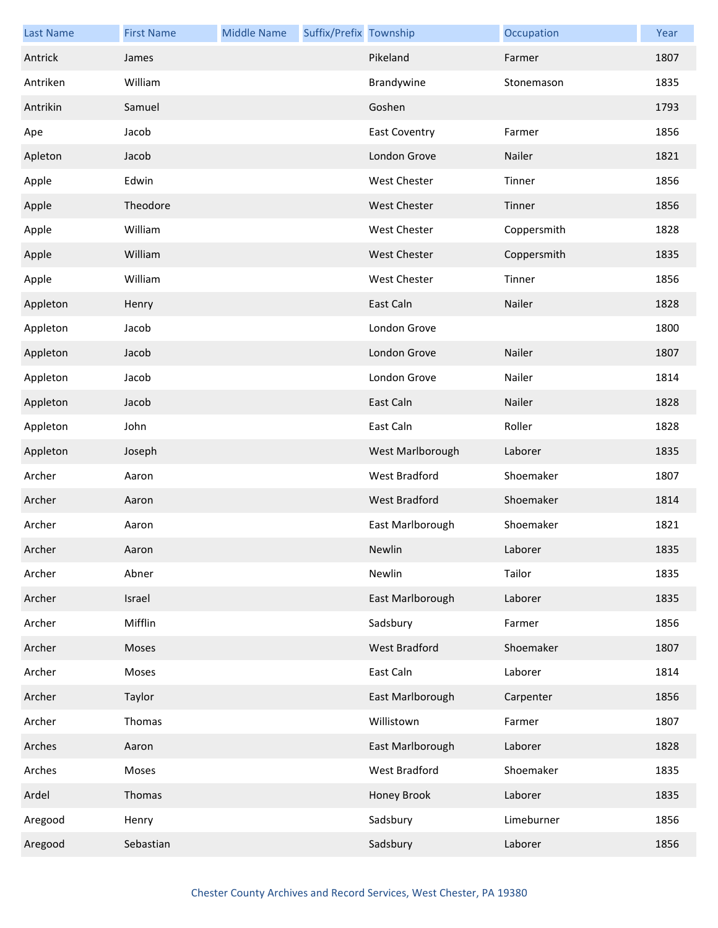| <b>Last Name</b> | <b>First Name</b> | <b>Middle Name</b> | Suffix/Prefix Township |                      | Occupation  | Year |
|------------------|-------------------|--------------------|------------------------|----------------------|-------------|------|
| Antrick          | James             |                    |                        | Pikeland             | Farmer      | 1807 |
| Antriken         | William           |                    |                        | Brandywine           | Stonemason  | 1835 |
| Antrikin         | Samuel            |                    |                        | Goshen               |             | 1793 |
| Ape              | Jacob             |                    |                        | <b>East Coventry</b> | Farmer      | 1856 |
| Apleton          | Jacob             |                    |                        | London Grove         | Nailer      | 1821 |
| Apple            | Edwin             |                    |                        | West Chester         | Tinner      | 1856 |
| Apple            | Theodore          |                    |                        | <b>West Chester</b>  | Tinner      | 1856 |
| Apple            | William           |                    |                        | West Chester         | Coppersmith | 1828 |
| Apple            | William           |                    |                        | West Chester         | Coppersmith | 1835 |
| Apple            | William           |                    |                        | West Chester         | Tinner      | 1856 |
| Appleton         | Henry             |                    |                        | East Caln            | Nailer      | 1828 |
| Appleton         | Jacob             |                    |                        | London Grove         |             | 1800 |
| Appleton         | Jacob             |                    |                        | London Grove         | Nailer      | 1807 |
| Appleton         | Jacob             |                    |                        | London Grove         | Nailer      | 1814 |
| Appleton         | Jacob             |                    |                        | East Caln            | Nailer      | 1828 |
| Appleton         | John              |                    |                        | East Caln            | Roller      | 1828 |
| Appleton         | Joseph            |                    |                        | West Marlborough     | Laborer     | 1835 |
| Archer           | Aaron             |                    |                        | <b>West Bradford</b> | Shoemaker   | 1807 |
| Archer           | Aaron             |                    |                        | West Bradford        | Shoemaker   | 1814 |
| Archer           | Aaron             |                    |                        | East Marlborough     | Shoemaker   | 1821 |
| Archer           | Aaron             |                    |                        | Newlin               | Laborer     | 1835 |
| Archer           | Abner             |                    |                        | Newlin               | Tailor      | 1835 |
| Archer           | Israel            |                    |                        | East Marlborough     | Laborer     | 1835 |
| Archer           | Mifflin           |                    |                        | Sadsbury             | Farmer      | 1856 |
| Archer           | Moses             |                    |                        | West Bradford        | Shoemaker   | 1807 |
| Archer           | Moses             |                    |                        | East Caln            | Laborer     | 1814 |
| Archer           | Taylor            |                    |                        | East Marlborough     | Carpenter   | 1856 |
| Archer           | Thomas            |                    |                        | Willistown           | Farmer      | 1807 |
| Arches           | Aaron             |                    |                        | East Marlborough     | Laborer     | 1828 |
| Arches           | Moses             |                    |                        | West Bradford        | Shoemaker   | 1835 |
| Ardel            | Thomas            |                    |                        | Honey Brook          | Laborer     | 1835 |
| Aregood          | Henry             |                    |                        | Sadsbury             | Limeburner  | 1856 |
| Aregood          | Sebastian         |                    |                        | Sadsbury             | Laborer     | 1856 |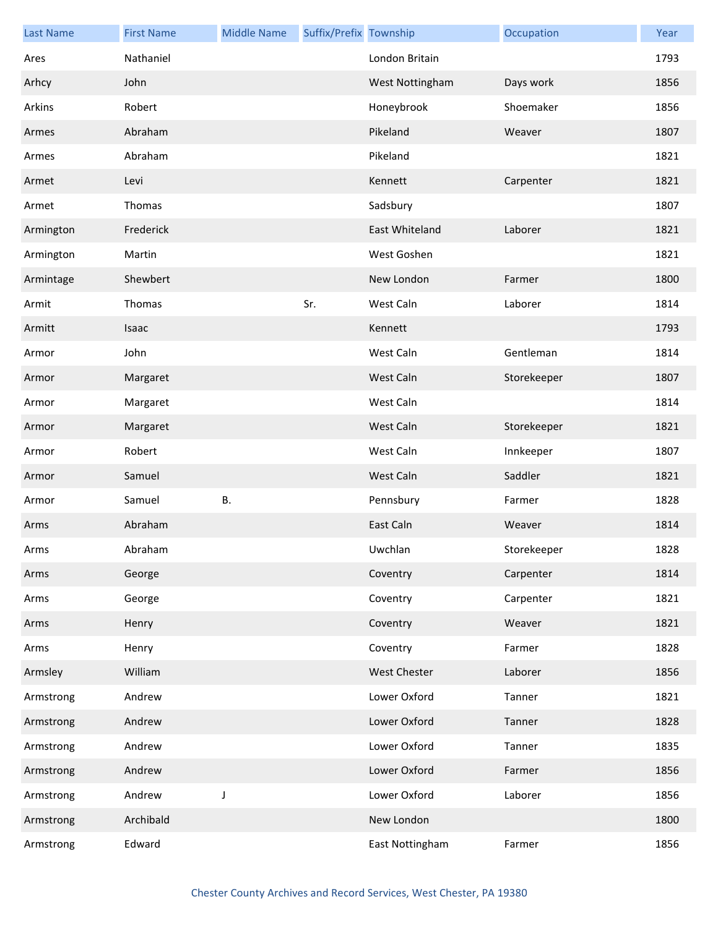| <b>Last Name</b> | <b>First Name</b> | <b>Middle Name</b> | Suffix/Prefix Township |                     | Occupation  | Year |
|------------------|-------------------|--------------------|------------------------|---------------------|-------------|------|
| Ares             | Nathaniel         |                    |                        | London Britain      |             | 1793 |
| Arhcy            | John              |                    |                        | West Nottingham     | Days work   | 1856 |
| Arkins           | Robert            |                    |                        | Honeybrook          | Shoemaker   | 1856 |
| Armes            | Abraham           |                    |                        | Pikeland            | Weaver      | 1807 |
| Armes            | Abraham           |                    |                        | Pikeland            |             | 1821 |
| Armet            | Levi              |                    |                        | Kennett             | Carpenter   | 1821 |
| Armet            | Thomas            |                    |                        | Sadsbury            |             | 1807 |
| Armington        | Frederick         |                    |                        | East Whiteland      | Laborer     | 1821 |
| Armington        | Martin            |                    |                        | West Goshen         |             | 1821 |
| Armintage        | Shewbert          |                    |                        | New London          | Farmer      | 1800 |
| Armit            | Thomas            |                    | Sr.                    | West Caln           | Laborer     | 1814 |
| Armitt           | Isaac             |                    |                        | Kennett             |             | 1793 |
| Armor            | John              |                    |                        | West Caln           | Gentleman   | 1814 |
| Armor            | Margaret          |                    |                        | West Caln           | Storekeeper | 1807 |
| Armor            | Margaret          |                    |                        | West Caln           |             | 1814 |
| Armor            | Margaret          |                    |                        | West Caln           | Storekeeper | 1821 |
| Armor            | Robert            |                    |                        | West Caln           | Innkeeper   | 1807 |
| Armor            | Samuel            |                    |                        | West Caln           | Saddler     | 1821 |
| Armor            | Samuel            | В.                 |                        | Pennsbury           | Farmer      | 1828 |
| Arms             | Abraham           |                    |                        | East Caln           | Weaver      | 1814 |
| Arms             | Abraham           |                    |                        | Uwchlan             | Storekeeper | 1828 |
| Arms             | George            |                    |                        | Coventry            | Carpenter   | 1814 |
| Arms             | George            |                    |                        | Coventry            | Carpenter   | 1821 |
| Arms             | Henry             |                    |                        | Coventry            | Weaver      | 1821 |
| Arms             | Henry             |                    |                        | Coventry            | Farmer      | 1828 |
| Armsley          | William           |                    |                        | <b>West Chester</b> | Laborer     | 1856 |
| Armstrong        | Andrew            |                    |                        | Lower Oxford        | Tanner      | 1821 |
| Armstrong        | Andrew            |                    |                        | Lower Oxford        | Tanner      | 1828 |
| Armstrong        | Andrew            |                    |                        | Lower Oxford        | Tanner      | 1835 |
| Armstrong        | Andrew            |                    |                        | Lower Oxford        | Farmer      | 1856 |
| Armstrong        | Andrew            | J                  |                        | Lower Oxford        | Laborer     | 1856 |
| Armstrong        | Archibald         |                    |                        | New London          |             | 1800 |
| Armstrong        | Edward            |                    |                        | East Nottingham     | Farmer      | 1856 |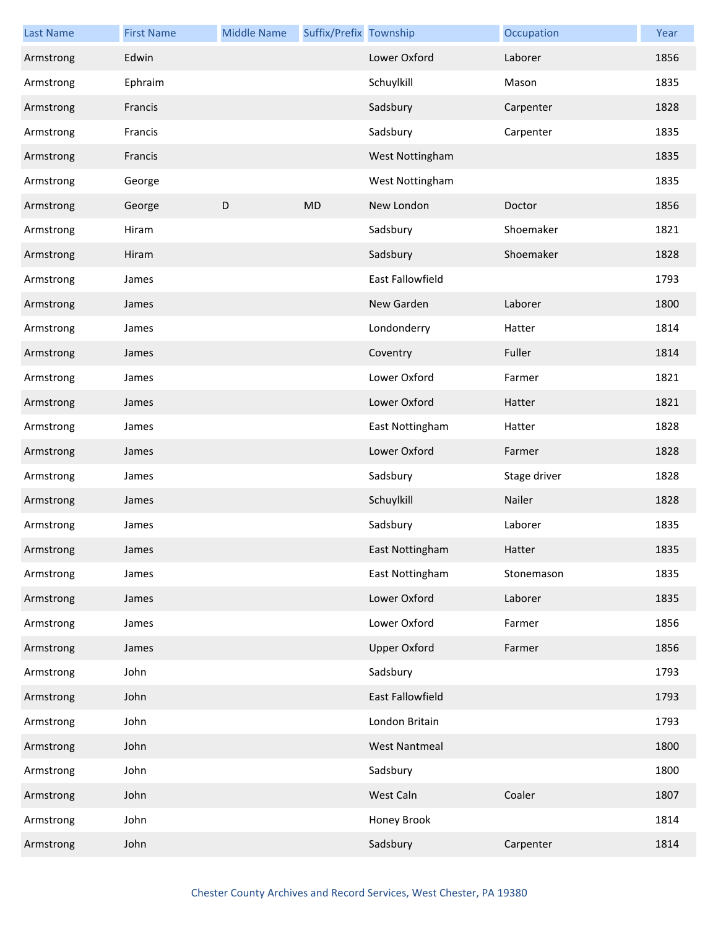| <b>Last Name</b> | <b>First Name</b> | <b>Middle Name</b> | Suffix/Prefix Township |                         | Occupation   | Year |
|------------------|-------------------|--------------------|------------------------|-------------------------|--------------|------|
| Armstrong        | Edwin             |                    |                        | Lower Oxford            | Laborer      | 1856 |
| Armstrong        | Ephraim           |                    |                        | Schuylkill              | Mason        | 1835 |
| Armstrong        | Francis           |                    |                        | Sadsbury                | Carpenter    | 1828 |
| Armstrong        | Francis           |                    |                        | Sadsbury                | Carpenter    | 1835 |
| Armstrong        | Francis           |                    |                        | West Nottingham         |              | 1835 |
| Armstrong        | George            |                    |                        | West Nottingham         |              | 1835 |
| Armstrong        | George            | D                  | MD                     | New London              | Doctor       | 1856 |
| Armstrong        | Hiram             |                    |                        | Sadsbury                | Shoemaker    | 1821 |
| Armstrong        | Hiram             |                    |                        | Sadsbury                | Shoemaker    | 1828 |
| Armstrong        | James             |                    |                        | <b>East Fallowfield</b> |              | 1793 |
| Armstrong        | James             |                    |                        | New Garden              | Laborer      | 1800 |
| Armstrong        | James             |                    |                        | Londonderry             | Hatter       | 1814 |
| Armstrong        | James             |                    |                        | Coventry                | Fuller       | 1814 |
| Armstrong        | James             |                    |                        | Lower Oxford            | Farmer       | 1821 |
| Armstrong        | James             |                    |                        | Lower Oxford            | Hatter       | 1821 |
| Armstrong        | James             |                    |                        | East Nottingham         | Hatter       | 1828 |
| Armstrong        | James             |                    |                        | Lower Oxford            | Farmer       | 1828 |
| Armstrong        | James             |                    |                        | Sadsbury                | Stage driver | 1828 |
| Armstrong        | James             |                    |                        | Schuylkill              | Nailer       | 1828 |
| Armstrong        | James             |                    |                        | Sadsbury                | Laborer      | 1835 |
| Armstrong        | James             |                    |                        | East Nottingham         | Hatter       | 1835 |
| Armstrong        | James             |                    |                        | East Nottingham         | Stonemason   | 1835 |
| Armstrong        | James             |                    |                        | Lower Oxford            | Laborer      | 1835 |
| Armstrong        | James             |                    |                        | Lower Oxford            | Farmer       | 1856 |
| Armstrong        | James             |                    |                        | <b>Upper Oxford</b>     | Farmer       | 1856 |
| Armstrong        | John              |                    |                        | Sadsbury                |              | 1793 |
| Armstrong        | John              |                    |                        | <b>East Fallowfield</b> |              | 1793 |
| Armstrong        | John              |                    |                        | London Britain          |              | 1793 |
| Armstrong        | John              |                    |                        | <b>West Nantmeal</b>    |              | 1800 |
| Armstrong        | John              |                    |                        | Sadsbury                |              | 1800 |
| Armstrong        | John              |                    |                        | West Caln               | Coaler       | 1807 |
| Armstrong        | John              |                    |                        | Honey Brook             |              | 1814 |
| Armstrong        | John              |                    |                        | Sadsbury                | Carpenter    | 1814 |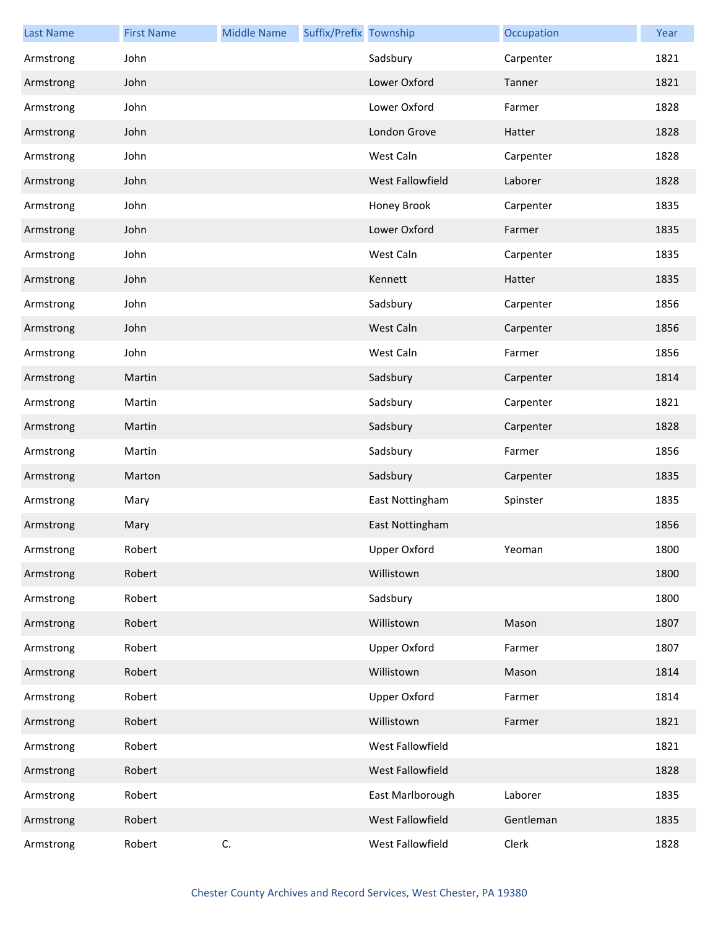| <b>Last Name</b> | <b>First Name</b> | <b>Middle Name</b> | Suffix/Prefix Township |                  | Occupation | Year |
|------------------|-------------------|--------------------|------------------------|------------------|------------|------|
| Armstrong        | John              |                    |                        | Sadsbury         | Carpenter  | 1821 |
| Armstrong        | John              |                    |                        | Lower Oxford     | Tanner     | 1821 |
| Armstrong        | John              |                    |                        | Lower Oxford     | Farmer     | 1828 |
| Armstrong        | John              |                    |                        | London Grove     | Hatter     | 1828 |
| Armstrong        | John              |                    |                        | West Caln        | Carpenter  | 1828 |
| Armstrong        | John              |                    |                        | West Fallowfield | Laborer    | 1828 |
| Armstrong        | John              |                    |                        | Honey Brook      | Carpenter  | 1835 |
| Armstrong        | John              |                    |                        | Lower Oxford     | Farmer     | 1835 |
| Armstrong        | John              |                    |                        | West Caln        | Carpenter  | 1835 |
| Armstrong        | John              |                    |                        | Kennett          | Hatter     | 1835 |
| Armstrong        | John              |                    |                        | Sadsbury         | Carpenter  | 1856 |
| Armstrong        | John              |                    |                        | West Caln        | Carpenter  | 1856 |
| Armstrong        | John              |                    |                        | West Caln        | Farmer     | 1856 |
| Armstrong        | Martin            |                    |                        | Sadsbury         | Carpenter  | 1814 |
| Armstrong        | Martin            |                    |                        | Sadsbury         | Carpenter  | 1821 |
| Armstrong        | Martin            |                    |                        | Sadsbury         | Carpenter  | 1828 |
| Armstrong        | Martin            |                    |                        | Sadsbury         | Farmer     | 1856 |
| Armstrong        | Marton            |                    |                        | Sadsbury         | Carpenter  | 1835 |
| Armstrong        | Mary              |                    |                        | East Nottingham  | Spinster   | 1835 |
| Armstrong        | Mary              |                    |                        | East Nottingham  |            | 1856 |
| Armstrong        | Robert            |                    |                        | Upper Oxford     | Yeoman     | 1800 |
| Armstrong        | Robert            |                    |                        | Willistown       |            | 1800 |
| Armstrong        | Robert            |                    |                        | Sadsbury         |            | 1800 |
| Armstrong        | Robert            |                    |                        | Willistown       | Mason      | 1807 |
| Armstrong        | Robert            |                    |                        | Upper Oxford     | Farmer     | 1807 |
| Armstrong        | Robert            |                    |                        | Willistown       | Mason      | 1814 |
| Armstrong        | Robert            |                    |                        | Upper Oxford     | Farmer     | 1814 |
| Armstrong        | Robert            |                    |                        | Willistown       | Farmer     | 1821 |
| Armstrong        | Robert            |                    |                        | West Fallowfield |            | 1821 |
| Armstrong        | Robert            |                    |                        | West Fallowfield |            | 1828 |
| Armstrong        | Robert            |                    |                        | East Marlborough | Laborer    | 1835 |
| Armstrong        | Robert            |                    |                        | West Fallowfield | Gentleman  | 1835 |
| Armstrong        | Robert            | C.                 |                        | West Fallowfield | Clerk      | 1828 |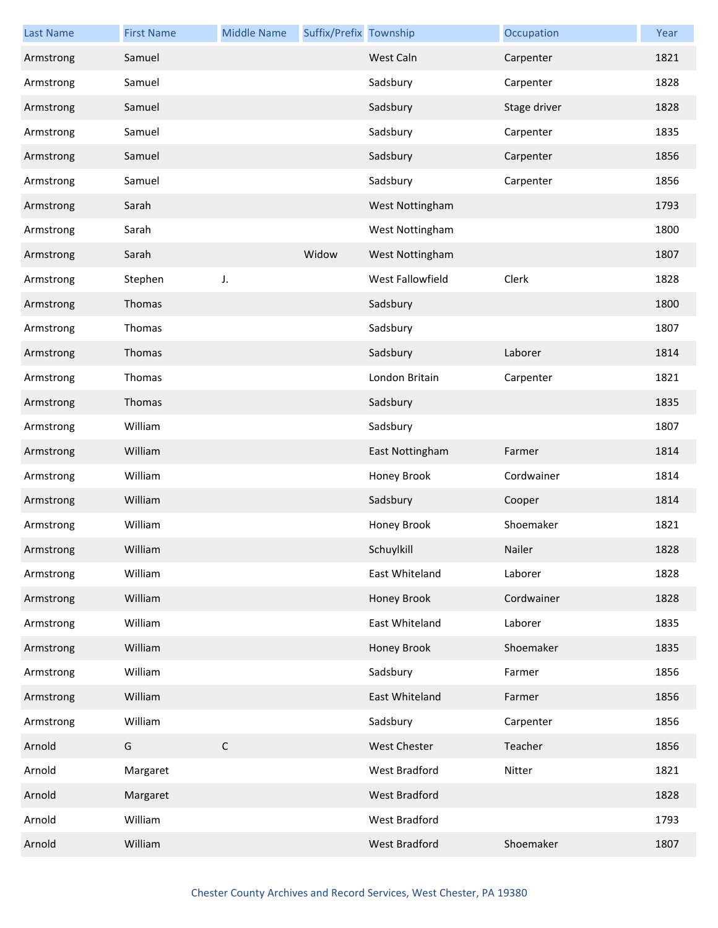| <b>Last Name</b> | <b>First Name</b> | <b>Middle Name</b> | Suffix/Prefix Township |                  | Occupation   | Year |
|------------------|-------------------|--------------------|------------------------|------------------|--------------|------|
| Armstrong        | Samuel            |                    |                        | West Caln        | Carpenter    | 1821 |
| Armstrong        | Samuel            |                    |                        | Sadsbury         | Carpenter    | 1828 |
| Armstrong        | Samuel            |                    |                        | Sadsbury         | Stage driver | 1828 |
| Armstrong        | Samuel            |                    |                        | Sadsbury         | Carpenter    | 1835 |
| Armstrong        | Samuel            |                    |                        | Sadsbury         | Carpenter    | 1856 |
| Armstrong        | Samuel            |                    |                        | Sadsbury         | Carpenter    | 1856 |
| Armstrong        | Sarah             |                    |                        | West Nottingham  |              | 1793 |
| Armstrong        | Sarah             |                    |                        | West Nottingham  |              | 1800 |
| Armstrong        | Sarah             |                    | Widow                  | West Nottingham  |              | 1807 |
| Armstrong        | Stephen           | J.                 |                        | West Fallowfield | Clerk        | 1828 |
| Armstrong        | Thomas            |                    |                        | Sadsbury         |              | 1800 |
| Armstrong        | Thomas            |                    |                        | Sadsbury         |              | 1807 |
| Armstrong        | Thomas            |                    |                        | Sadsbury         | Laborer      | 1814 |
| Armstrong        | Thomas            |                    |                        | London Britain   | Carpenter    | 1821 |
| Armstrong        | Thomas            |                    |                        | Sadsbury         |              | 1835 |
| Armstrong        | William           |                    |                        | Sadsbury         |              | 1807 |
| Armstrong        | William           |                    |                        | East Nottingham  | Farmer       | 1814 |
| Armstrong        | William           |                    |                        | Honey Brook      | Cordwainer   | 1814 |
| Armstrong        | William           |                    |                        | Sadsbury         | Cooper       | 1814 |
| Armstrong        | William           |                    |                        | Honey Brook      | Shoemaker    | 1821 |
| Armstrong        | William           |                    |                        | Schuylkill       | Nailer       | 1828 |
| Armstrong        | William           |                    |                        | East Whiteland   | Laborer      | 1828 |
| Armstrong        | William           |                    |                        | Honey Brook      | Cordwainer   | 1828 |
| Armstrong        | William           |                    |                        | East Whiteland   | Laborer      | 1835 |
| Armstrong        | William           |                    |                        | Honey Brook      | Shoemaker    | 1835 |
| Armstrong        | William           |                    |                        | Sadsbury         | Farmer       | 1856 |
| Armstrong        | William           |                    |                        | East Whiteland   | Farmer       | 1856 |
| Armstrong        | William           |                    |                        | Sadsbury         | Carpenter    | 1856 |
| Arnold           | G                 | $\mathsf{C}$       |                        | West Chester     | Teacher      | 1856 |
| Arnold           | Margaret          |                    |                        | West Bradford    | Nitter       | 1821 |
| Arnold           | Margaret          |                    |                        | West Bradford    |              | 1828 |
| Arnold           | William           |                    |                        | West Bradford    |              | 1793 |
| Arnold           | William           |                    |                        | West Bradford    | Shoemaker    | 1807 |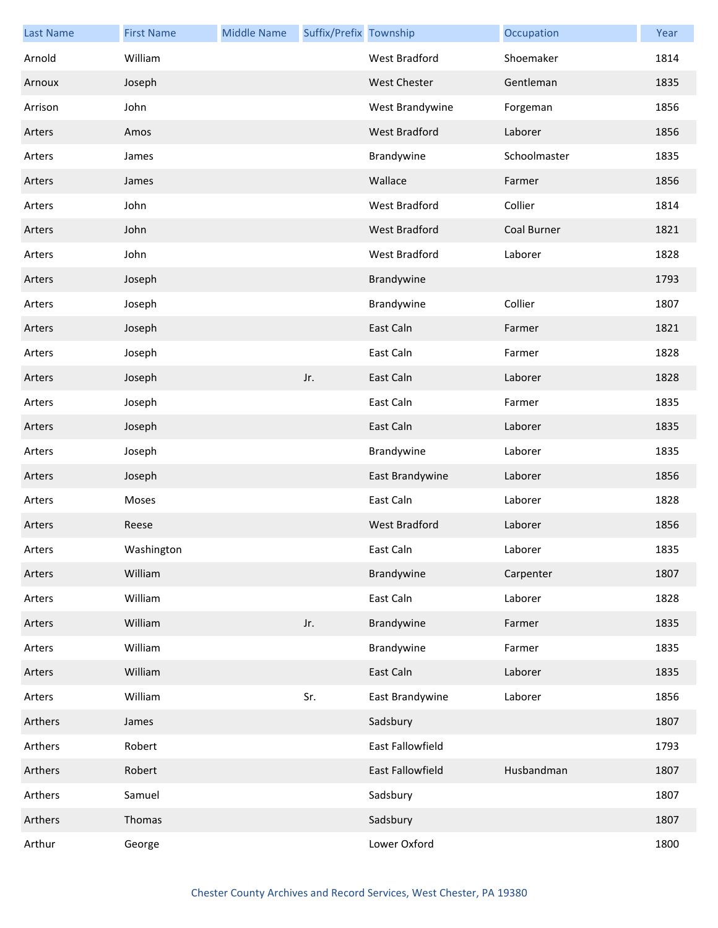| <b>Last Name</b> | <b>First Name</b> | <b>Middle Name</b> | Suffix/Prefix Township |                      | Occupation   | Year |
|------------------|-------------------|--------------------|------------------------|----------------------|--------------|------|
| Arnold           | William           |                    |                        | West Bradford        | Shoemaker    | 1814 |
| Arnoux           | Joseph            |                    |                        | West Chester         | Gentleman    | 1835 |
| Arrison          | John              |                    |                        | West Brandywine      | Forgeman     | 1856 |
| Arters           | Amos              |                    |                        | West Bradford        | Laborer      | 1856 |
| Arters           | James             |                    |                        | Brandywine           | Schoolmaster | 1835 |
| Arters           | James             |                    |                        | Wallace              | Farmer       | 1856 |
| Arters           | John              |                    |                        | West Bradford        | Collier      | 1814 |
| Arters           | John              |                    |                        | West Bradford        | Coal Burner  | 1821 |
| Arters           | John              |                    |                        | West Bradford        | Laborer      | 1828 |
| Arters           | Joseph            |                    |                        | Brandywine           |              | 1793 |
| Arters           | Joseph            |                    |                        | Brandywine           | Collier      | 1807 |
| Arters           | Joseph            |                    |                        | East Caln            | Farmer       | 1821 |
| Arters           | Joseph            |                    |                        | East Caln            | Farmer       | 1828 |
| Arters           | Joseph            |                    | Jr.                    | East Caln            | Laborer      | 1828 |
| Arters           | Joseph            |                    |                        | East Caln            | Farmer       | 1835 |
| Arters           | Joseph            |                    |                        | East Caln            | Laborer      | 1835 |
| Arters           | Joseph            |                    |                        | Brandywine           | Laborer      | 1835 |
| Arters           | Joseph            |                    |                        | East Brandywine      | Laborer      | 1856 |
| Arters           | Moses             |                    |                        | East Caln            | Laborer      | 1828 |
| Arters           | Reese             |                    |                        | <b>West Bradford</b> | Laborer      | 1856 |
| Arters           | Washington        |                    |                        | East Caln            | Laborer      | 1835 |
| Arters           | William           |                    |                        | Brandywine           | Carpenter    | 1807 |
| Arters           | William           |                    |                        | East Caln            | Laborer      | 1828 |
| Arters           | William           |                    | Jr.                    | Brandywine           | Farmer       | 1835 |
| Arters           | William           |                    |                        | Brandywine           | Farmer       | 1835 |
| Arters           | William           |                    |                        | East Caln            | Laborer      | 1835 |
| Arters           | William           |                    | Sr.                    | East Brandywine      | Laborer      | 1856 |
| Arthers          | James             |                    |                        | Sadsbury             |              | 1807 |
| Arthers          | Robert            |                    |                        | East Fallowfield     |              | 1793 |
| Arthers          | Robert            |                    |                        | East Fallowfield     | Husbandman   | 1807 |
| Arthers          | Samuel            |                    |                        | Sadsbury             |              | 1807 |
| Arthers          | Thomas            |                    |                        | Sadsbury             |              | 1807 |
| Arthur           | George            |                    |                        | Lower Oxford         |              | 1800 |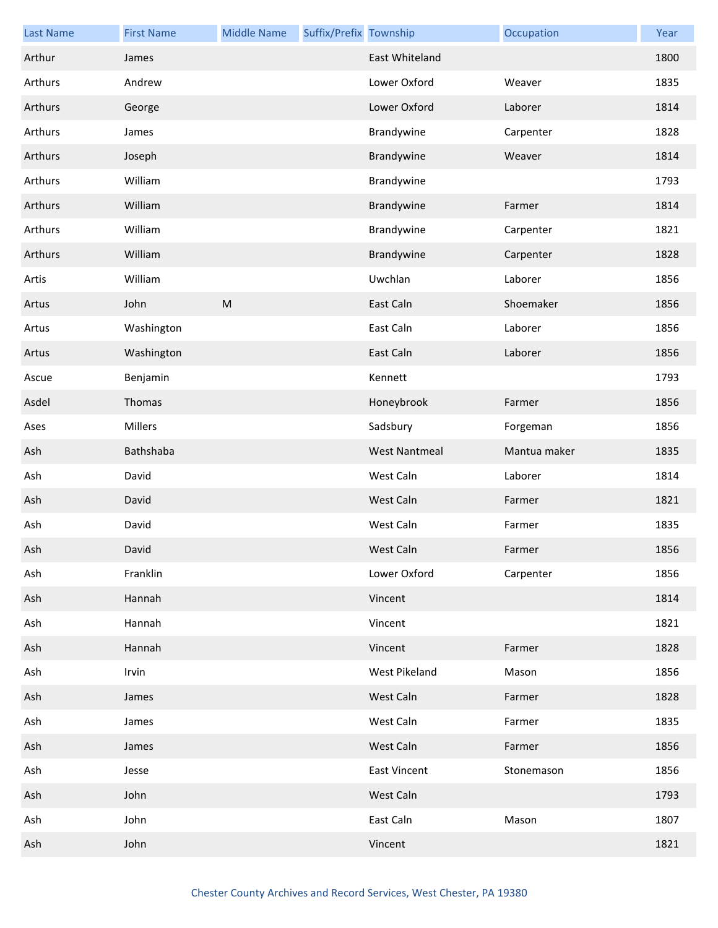| <b>Last Name</b> | <b>First Name</b> | <b>Middle Name</b> | Suffix/Prefix Township |                      | Occupation   | Year |
|------------------|-------------------|--------------------|------------------------|----------------------|--------------|------|
| Arthur           | James             |                    |                        | East Whiteland       |              | 1800 |
| Arthurs          | Andrew            |                    |                        | Lower Oxford         | Weaver       | 1835 |
| Arthurs          | George            |                    |                        | Lower Oxford         | Laborer      | 1814 |
| Arthurs          | James             |                    |                        | Brandywine           | Carpenter    | 1828 |
| Arthurs          | Joseph            |                    |                        | Brandywine           | Weaver       | 1814 |
| Arthurs          | William           |                    |                        | Brandywine           |              | 1793 |
| Arthurs          | William           |                    |                        | Brandywine           | Farmer       | 1814 |
| Arthurs          | William           |                    |                        | Brandywine           | Carpenter    | 1821 |
| Arthurs          | William           |                    |                        | Brandywine           | Carpenter    | 1828 |
| Artis            | William           |                    |                        | Uwchlan              | Laborer      | 1856 |
| Artus            | John              | ${\sf M}$          |                        | East Caln            | Shoemaker    | 1856 |
| Artus            | Washington        |                    |                        | East Caln            | Laborer      | 1856 |
| Artus            | Washington        |                    |                        | East Caln            | Laborer      | 1856 |
| Ascue            | Benjamin          |                    |                        | Kennett              |              | 1793 |
| Asdel            | Thomas            |                    |                        | Honeybrook           | Farmer       | 1856 |
| Ases             | Millers           |                    |                        | Sadsbury             | Forgeman     | 1856 |
| Ash              | Bathshaba         |                    |                        | <b>West Nantmeal</b> | Mantua maker | 1835 |
| Ash              | David             |                    |                        | West Caln            | Laborer      | 1814 |
| Ash              | David             |                    |                        | West Caln            | Farmer       | 1821 |
| Ash              | David             |                    |                        | West Caln            | Farmer       | 1835 |
| Ash              | David             |                    |                        | West Caln            | Farmer       | 1856 |
| Ash              | Franklin          |                    |                        | Lower Oxford         | Carpenter    | 1856 |
| Ash              | Hannah            |                    |                        | Vincent              |              | 1814 |
| Ash              | Hannah            |                    |                        | Vincent              |              | 1821 |
| Ash              | Hannah            |                    |                        | Vincent              | Farmer       | 1828 |
| Ash              | Irvin             |                    |                        | West Pikeland        | Mason        | 1856 |
| Ash              | James             |                    |                        | West Caln            | Farmer       | 1828 |
| Ash              | James             |                    |                        | West Caln            | Farmer       | 1835 |
| Ash              | James             |                    |                        | West Caln            | Farmer       | 1856 |
| Ash              | Jesse             |                    |                        | <b>East Vincent</b>  | Stonemason   | 1856 |
| Ash              | John              |                    |                        | West Caln            |              | 1793 |
| Ash              | John              |                    |                        | East Caln            | Mason        | 1807 |
| Ash              | John              |                    |                        | Vincent              |              | 1821 |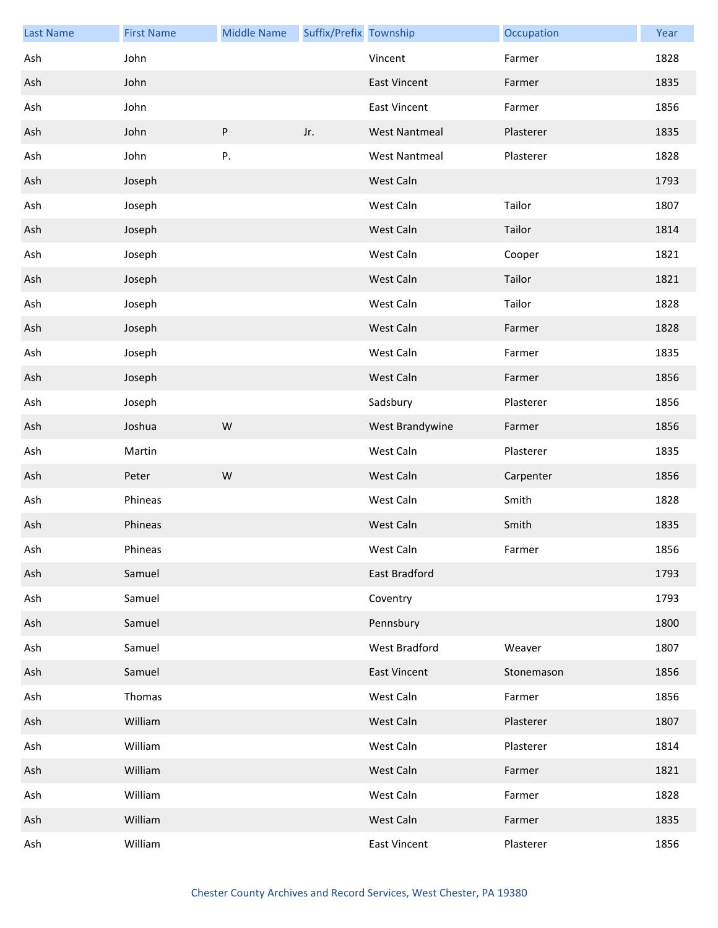| <b>Last Name</b> | <b>First Name</b> | <b>Middle Name</b> | Suffix/Prefix Township |                      | Occupation | Year |
|------------------|-------------------|--------------------|------------------------|----------------------|------------|------|
| Ash              | John              |                    |                        | Vincent              | Farmer     | 1828 |
| Ash              | John              |                    |                        | <b>East Vincent</b>  | Farmer     | 1835 |
| Ash              | John              |                    |                        | <b>East Vincent</b>  | Farmer     | 1856 |
| Ash              | John              | ${\sf P}$          | Jr.                    | <b>West Nantmeal</b> | Plasterer  | 1835 |
| Ash              | John              | Ρ.                 |                        | <b>West Nantmeal</b> | Plasterer  | 1828 |
| Ash              | Joseph            |                    |                        | West Caln            |            | 1793 |
| Ash              | Joseph            |                    |                        | West Caln            | Tailor     | 1807 |
| Ash              | Joseph            |                    |                        | West Caln            | Tailor     | 1814 |
| Ash              | Joseph            |                    |                        | West Caln            | Cooper     | 1821 |
| Ash              | Joseph            |                    |                        | West Caln            | Tailor     | 1821 |
| Ash              | Joseph            |                    |                        | West Caln            | Tailor     | 1828 |
| Ash              | Joseph            |                    |                        | West Caln            | Farmer     | 1828 |
| Ash              | Joseph            |                    |                        | West Caln            | Farmer     | 1835 |
| Ash              | Joseph            |                    |                        | West Caln            | Farmer     | 1856 |
| Ash              | Joseph            |                    |                        | Sadsbury             | Plasterer  | 1856 |
| Ash              | Joshua            | W                  |                        | West Brandywine      | Farmer     | 1856 |
| Ash              | Martin            |                    |                        | West Caln            | Plasterer  | 1835 |
| Ash              | Peter             | W                  |                        | West Caln            | Carpenter  | 1856 |
| Ash              | Phineas           |                    |                        | West Caln            | Smith      | 1828 |
| Ash              | Phineas           |                    |                        | West Caln            | Smith      | 1835 |
| Ash              | Phineas           |                    |                        | West Caln            | Farmer     | 1856 |
| Ash              | Samuel            |                    |                        | East Bradford        |            | 1793 |
| Ash              | Samuel            |                    |                        | Coventry             |            | 1793 |
| Ash              | Samuel            |                    |                        | Pennsbury            |            | 1800 |
| Ash              | Samuel            |                    |                        | West Bradford        | Weaver     | 1807 |
| Ash              | Samuel            |                    |                        | <b>East Vincent</b>  | Stonemason | 1856 |
| Ash              | Thomas            |                    |                        | West Caln            | Farmer     | 1856 |
| Ash              | William           |                    |                        | West Caln            | Plasterer  | 1807 |
| Ash              | William           |                    |                        | West Caln            | Plasterer  | 1814 |
| Ash              | William           |                    |                        | West Caln            | Farmer     | 1821 |
| Ash              | William           |                    |                        | West Caln            | Farmer     | 1828 |
| Ash              | William           |                    |                        | West Caln            | Farmer     | 1835 |
| Ash              | William           |                    |                        | <b>East Vincent</b>  | Plasterer  | 1856 |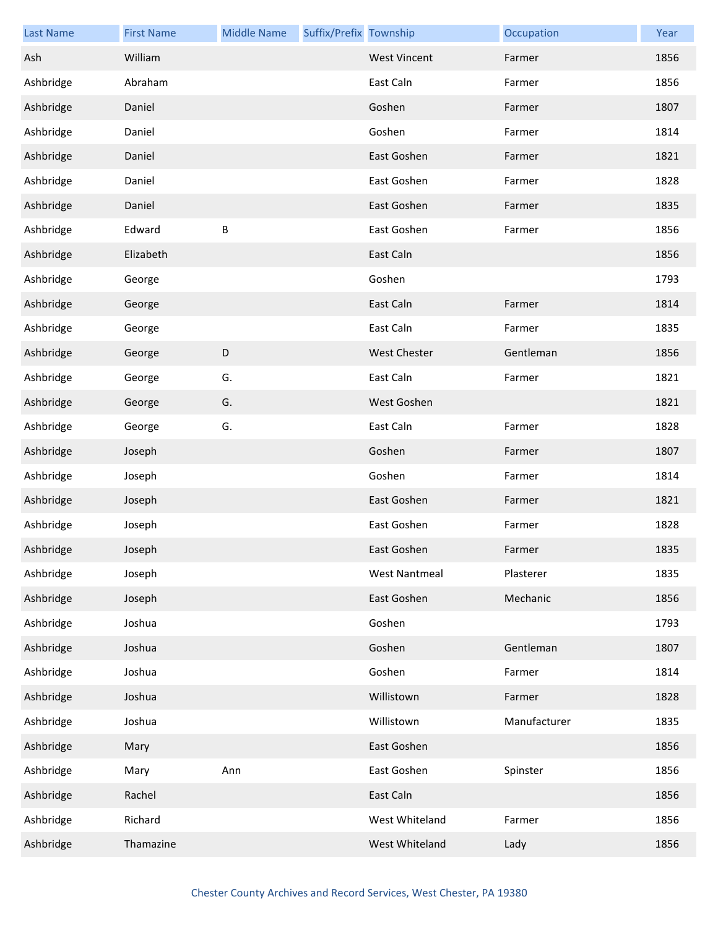| <b>Last Name</b> | <b>First Name</b> | <b>Middle Name</b> | Suffix/Prefix Township |                      | Occupation   | Year |
|------------------|-------------------|--------------------|------------------------|----------------------|--------------|------|
| Ash              | William           |                    |                        | <b>West Vincent</b>  | Farmer       | 1856 |
| Ashbridge        | Abraham           |                    |                        | East Caln            | Farmer       | 1856 |
| Ashbridge        | Daniel            |                    |                        | Goshen               | Farmer       | 1807 |
| Ashbridge        | Daniel            |                    |                        | Goshen               | Farmer       | 1814 |
| Ashbridge        | Daniel            |                    |                        | East Goshen          | Farmer       | 1821 |
| Ashbridge        | Daniel            |                    |                        | East Goshen          | Farmer       | 1828 |
| Ashbridge        | Daniel            |                    |                        | East Goshen          | Farmer       | 1835 |
| Ashbridge        | Edward            | $\sf B$            |                        | East Goshen          | Farmer       | 1856 |
| Ashbridge        | Elizabeth         |                    |                        | East Caln            |              | 1856 |
| Ashbridge        | George            |                    |                        | Goshen               |              | 1793 |
| Ashbridge        | George            |                    |                        | East Caln            | Farmer       | 1814 |
| Ashbridge        | George            |                    |                        | East Caln            | Farmer       | 1835 |
| Ashbridge        | George            | $\mathsf D$        |                        | <b>West Chester</b>  | Gentleman    | 1856 |
| Ashbridge        | George            | G.                 |                        | East Caln            | Farmer       | 1821 |
| Ashbridge        | George            | G.                 |                        | West Goshen          |              | 1821 |
| Ashbridge        | George            | G.                 |                        | East Caln            | Farmer       | 1828 |
| Ashbridge        | Joseph            |                    |                        | Goshen               | Farmer       | 1807 |
| Ashbridge        | Joseph            |                    |                        | Goshen               | Farmer       | 1814 |
| Ashbridge        | Joseph            |                    |                        | East Goshen          | Farmer       | 1821 |
| Ashbridge        | Joseph            |                    |                        | East Goshen          | Farmer       | 1828 |
| Ashbridge        | Joseph            |                    |                        | East Goshen          | Farmer       | 1835 |
| Ashbridge        | Joseph            |                    |                        | <b>West Nantmeal</b> | Plasterer    | 1835 |
| Ashbridge        | Joseph            |                    |                        | East Goshen          | Mechanic     | 1856 |
| Ashbridge        | Joshua            |                    |                        | Goshen               |              | 1793 |
| Ashbridge        | Joshua            |                    |                        | Goshen               | Gentleman    | 1807 |
| Ashbridge        | Joshua            |                    |                        | Goshen               | Farmer       | 1814 |
| Ashbridge        | Joshua            |                    |                        | Willistown           | Farmer       | 1828 |
| Ashbridge        | Joshua            |                    |                        | Willistown           | Manufacturer | 1835 |
| Ashbridge        | Mary              |                    |                        | East Goshen          |              | 1856 |
| Ashbridge        | Mary              | Ann                |                        | East Goshen          | Spinster     | 1856 |
| Ashbridge        | Rachel            |                    |                        | East Caln            |              | 1856 |
| Ashbridge        | Richard           |                    |                        | West Whiteland       | Farmer       | 1856 |
| Ashbridge        | Thamazine         |                    |                        | West Whiteland       | Lady         | 1856 |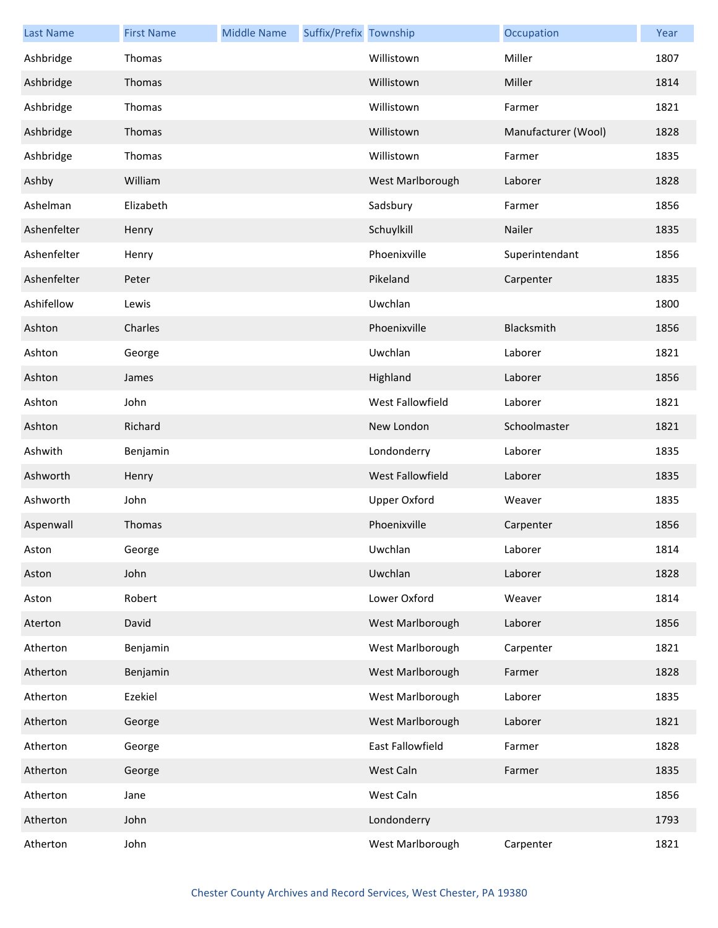| <b>Last Name</b> | <b>First Name</b> | <b>Middle Name</b> | Suffix/Prefix Township |                  | Occupation          | Year |
|------------------|-------------------|--------------------|------------------------|------------------|---------------------|------|
| Ashbridge        | Thomas            |                    |                        | Willistown       | Miller              | 1807 |
| Ashbridge        | Thomas            |                    |                        | Willistown       | Miller              | 1814 |
| Ashbridge        | Thomas            |                    |                        | Willistown       | Farmer              | 1821 |
| Ashbridge        | Thomas            |                    |                        | Willistown       | Manufacturer (Wool) | 1828 |
| Ashbridge        | Thomas            |                    |                        | Willistown       | Farmer              | 1835 |
| Ashby            | William           |                    |                        | West Marlborough | Laborer             | 1828 |
| Ashelman         | Elizabeth         |                    |                        | Sadsbury         | Farmer              | 1856 |
| Ashenfelter      | Henry             |                    |                        | Schuylkill       | Nailer              | 1835 |
| Ashenfelter      | Henry             |                    |                        | Phoenixville     | Superintendant      | 1856 |
| Ashenfelter      | Peter             |                    |                        | Pikeland         | Carpenter           | 1835 |
| Ashifellow       | Lewis             |                    |                        | Uwchlan          |                     | 1800 |
| Ashton           | Charles           |                    |                        | Phoenixville     | Blacksmith          | 1856 |
| Ashton           | George            |                    |                        | Uwchlan          | Laborer             | 1821 |
| Ashton           | James             |                    |                        | Highland         | Laborer             | 1856 |
| Ashton           | John              |                    |                        | West Fallowfield | Laborer             | 1821 |
| Ashton           | Richard           |                    |                        | New London       | Schoolmaster        | 1821 |
| Ashwith          | Benjamin          |                    |                        | Londonderry      | Laborer             | 1835 |
| Ashworth         | Henry             |                    |                        | West Fallowfield | Laborer             | 1835 |
| Ashworth         | John              |                    |                        | Upper Oxford     | Weaver              | 1835 |
| Aspenwall        | Thomas            |                    |                        | Phoenixville     | Carpenter           | 1856 |
| Aston            | George            |                    |                        | Uwchlan          | Laborer             | 1814 |
| Aston            | John              |                    |                        | Uwchlan          | Laborer             | 1828 |
| Aston            | Robert            |                    |                        | Lower Oxford     | Weaver              | 1814 |
| Aterton          | David             |                    |                        | West Marlborough | Laborer             | 1856 |
| Atherton         | Benjamin          |                    |                        | West Marlborough | Carpenter           | 1821 |
| Atherton         | Benjamin          |                    |                        | West Marlborough | Farmer              | 1828 |
| Atherton         | Ezekiel           |                    |                        | West Marlborough | Laborer             | 1835 |
| Atherton         | George            |                    |                        | West Marlborough | Laborer             | 1821 |
| Atherton         | George            |                    |                        | East Fallowfield | Farmer              | 1828 |
| Atherton         | George            |                    |                        | West Caln        | Farmer              | 1835 |
| Atherton         | Jane              |                    |                        | West Caln        |                     | 1856 |
| Atherton         | John              |                    |                        | Londonderry      |                     | 1793 |
| Atherton         | John              |                    |                        | West Marlborough | Carpenter           | 1821 |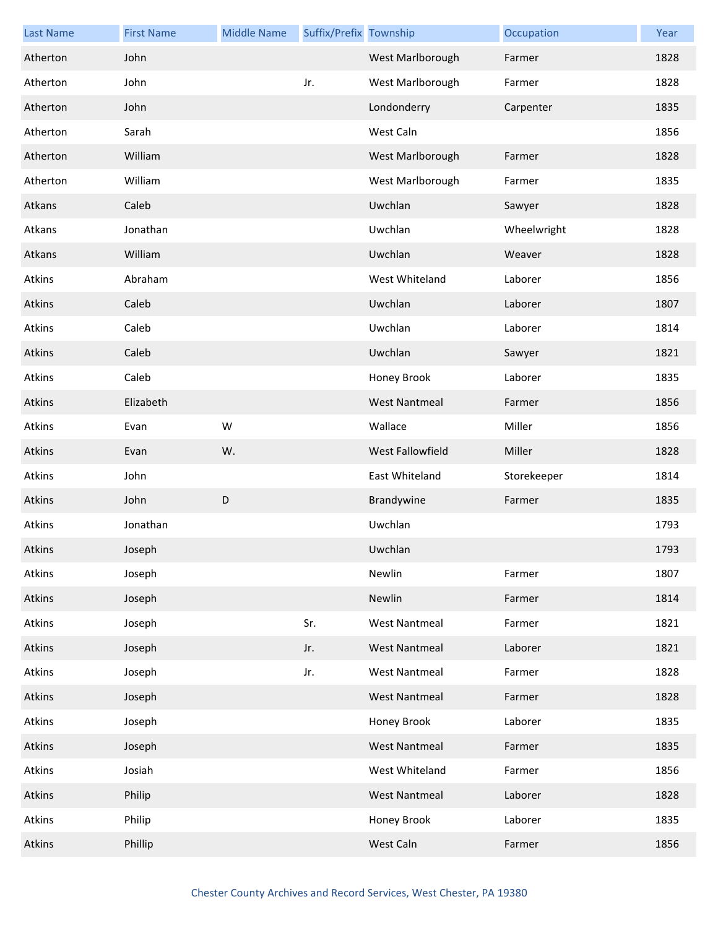| <b>Last Name</b> | <b>First Name</b> | <b>Middle Name</b> | Suffix/Prefix Township |                      | Occupation  | Year |
|------------------|-------------------|--------------------|------------------------|----------------------|-------------|------|
| Atherton         | John              |                    |                        | West Marlborough     | Farmer      | 1828 |
| Atherton         | John              |                    | Jr.                    | West Marlborough     | Farmer      | 1828 |
| Atherton         | John              |                    |                        | Londonderry          | Carpenter   | 1835 |
| Atherton         | Sarah             |                    |                        | West Caln            |             | 1856 |
| Atherton         | William           |                    |                        | West Marlborough     | Farmer      | 1828 |
| Atherton         | William           |                    |                        | West Marlborough     | Farmer      | 1835 |
| Atkans           | Caleb             |                    |                        | Uwchlan              | Sawyer      | 1828 |
| Atkans           | Jonathan          |                    |                        | Uwchlan              | Wheelwright | 1828 |
| Atkans           | William           |                    |                        | Uwchlan              | Weaver      | 1828 |
| Atkins           | Abraham           |                    |                        | West Whiteland       | Laborer     | 1856 |
| Atkins           | Caleb             |                    |                        | Uwchlan              | Laborer     | 1807 |
| Atkins           | Caleb             |                    |                        | Uwchlan              | Laborer     | 1814 |
| Atkins           | Caleb             |                    |                        | Uwchlan              | Sawyer      | 1821 |
| Atkins           | Caleb             |                    |                        | Honey Brook          | Laborer     | 1835 |
| Atkins           | Elizabeth         |                    |                        | <b>West Nantmeal</b> | Farmer      | 1856 |
| Atkins           | Evan              | W                  |                        | Wallace              | Miller      | 1856 |
| Atkins           | Evan              | W.                 |                        | West Fallowfield     | Miller      | 1828 |
| Atkins           | John              |                    |                        | East Whiteland       | Storekeeper | 1814 |
| Atkins           | John              | D                  |                        | Brandywine           | Farmer      | 1835 |
| Atkins           | Jonathan          |                    |                        | Uwchlan              |             | 1793 |
| Atkins           | Joseph            |                    |                        | Uwchlan              |             | 1793 |
| Atkins           | Joseph            |                    |                        | Newlin               | Farmer      | 1807 |
| Atkins           | Joseph            |                    |                        | Newlin               | Farmer      | 1814 |
| Atkins           | Joseph            |                    | Sr.                    | <b>West Nantmeal</b> | Farmer      | 1821 |
| Atkins           | Joseph            |                    | Jr.                    | <b>West Nantmeal</b> | Laborer     | 1821 |
| Atkins           | Joseph            |                    | Jr.                    | <b>West Nantmeal</b> | Farmer      | 1828 |
| Atkins           | Joseph            |                    |                        | <b>West Nantmeal</b> | Farmer      | 1828 |
| Atkins           | Joseph            |                    |                        | Honey Brook          | Laborer     | 1835 |
| Atkins           | Joseph            |                    |                        | <b>West Nantmeal</b> | Farmer      | 1835 |
| Atkins           | Josiah            |                    |                        | West Whiteland       | Farmer      | 1856 |
| Atkins           | Philip            |                    |                        | <b>West Nantmeal</b> | Laborer     | 1828 |
| Atkins           | Philip            |                    |                        | Honey Brook          | Laborer     | 1835 |
| Atkins           | Phillip           |                    |                        | West Caln            | Farmer      | 1856 |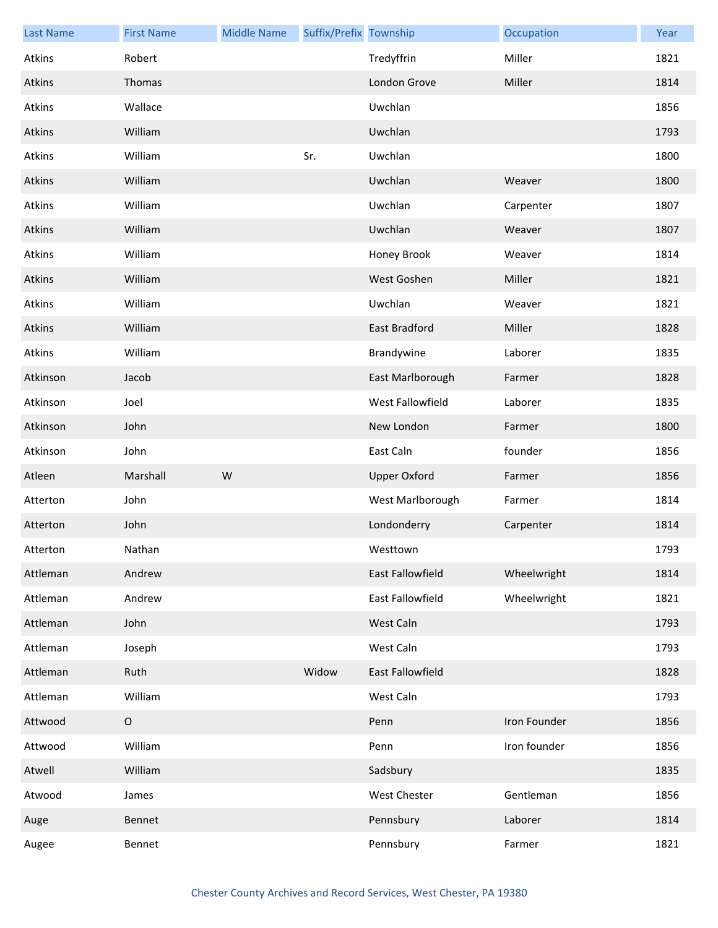| <b>Last Name</b> | <b>First Name</b> | <b>Middle Name</b> | Suffix/Prefix Township |                     | Occupation   | Year |
|------------------|-------------------|--------------------|------------------------|---------------------|--------------|------|
| Atkins           | Robert            |                    |                        | Tredyffrin          | Miller       | 1821 |
| Atkins           | Thomas            |                    |                        | London Grove        | Miller       | 1814 |
| Atkins           | Wallace           |                    |                        | Uwchlan             |              | 1856 |
| Atkins           | William           |                    |                        | Uwchlan             |              | 1793 |
| Atkins           | William           |                    | Sr.                    | Uwchlan             |              | 1800 |
| Atkins           | William           |                    |                        | Uwchlan             | Weaver       | 1800 |
| Atkins           | William           |                    |                        | Uwchlan             | Carpenter    | 1807 |
| Atkins           | William           |                    |                        | Uwchlan             | Weaver       | 1807 |
| Atkins           | William           |                    |                        | Honey Brook         | Weaver       | 1814 |
| Atkins           | William           |                    |                        | West Goshen         | Miller       | 1821 |
| Atkins           | William           |                    |                        | Uwchlan             | Weaver       | 1821 |
| Atkins           | William           |                    |                        | East Bradford       | Miller       | 1828 |
| Atkins           | William           |                    |                        | Brandywine          | Laborer      | 1835 |
| Atkinson         | Jacob             |                    |                        | East Marlborough    | Farmer       | 1828 |
| Atkinson         | Joel              |                    |                        | West Fallowfield    | Laborer      | 1835 |
| Atkinson         | John              |                    |                        | New London          | Farmer       | 1800 |
| Atkinson         | John              |                    |                        | East Caln           | founder      | 1856 |
| Atleen           | Marshall          | W                  |                        | <b>Upper Oxford</b> | Farmer       | 1856 |
| Atterton         | John              |                    |                        | West Marlborough    | Farmer       | 1814 |
| Atterton         | John              |                    |                        | Londonderry         | Carpenter    | 1814 |
| Atterton         | Nathan            |                    |                        | Westtown            |              | 1793 |
| Attleman         | Andrew            |                    |                        | East Fallowfield    | Wheelwright  | 1814 |
| Attleman         | Andrew            |                    |                        | East Fallowfield    | Wheelwright  | 1821 |
| Attleman         | John              |                    |                        | West Caln           |              | 1793 |
| Attleman         | Joseph            |                    |                        | West Caln           |              | 1793 |
| Attleman         | Ruth              |                    | Widow                  | East Fallowfield    |              | 1828 |
| Attleman         | William           |                    |                        | West Caln           |              | 1793 |
| Attwood          | $\mathsf O$       |                    |                        | Penn                | Iron Founder | 1856 |
| Attwood          | William           |                    |                        | Penn                | Iron founder | 1856 |
| Atwell           | William           |                    |                        | Sadsbury            |              | 1835 |
| Atwood           | James             |                    |                        | West Chester        | Gentleman    | 1856 |
| Auge             | Bennet            |                    |                        | Pennsbury           | Laborer      | 1814 |
| Augee            | Bennet            |                    |                        | Pennsbury           | Farmer       | 1821 |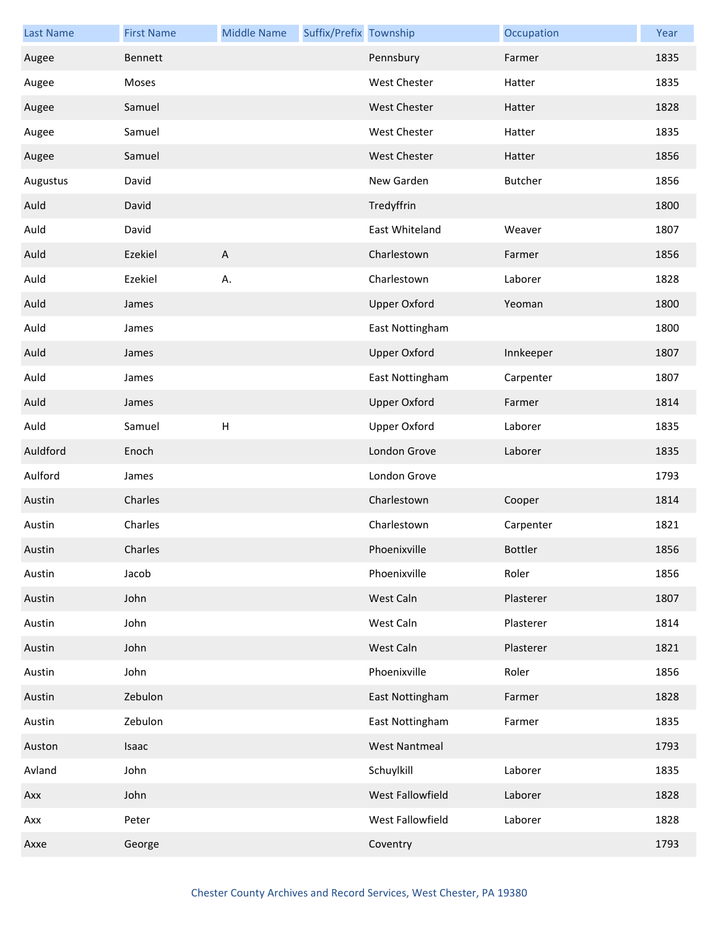| <b>Last Name</b> | <b>First Name</b> | <b>Middle Name</b>        | Suffix/Prefix Township |                      | Occupation     | Year |
|------------------|-------------------|---------------------------|------------------------|----------------------|----------------|------|
| Augee            | Bennett           |                           |                        | Pennsbury            | Farmer         | 1835 |
| Augee            | Moses             |                           |                        | <b>West Chester</b>  | Hatter         | 1835 |
| Augee            | Samuel            |                           |                        | <b>West Chester</b>  | Hatter         | 1828 |
| Augee            | Samuel            |                           |                        | <b>West Chester</b>  | Hatter         | 1835 |
| Augee            | Samuel            |                           |                        | <b>West Chester</b>  | Hatter         | 1856 |
| Augustus         | David             |                           |                        | New Garden           | <b>Butcher</b> | 1856 |
| Auld             | David             |                           |                        | Tredyffrin           |                | 1800 |
| Auld             | David             |                           |                        | East Whiteland       | Weaver         | 1807 |
| Auld             | Ezekiel           | $\boldsymbol{\mathsf{A}}$ |                        | Charlestown          | Farmer         | 1856 |
| Auld             | Ezekiel           | А.                        |                        | Charlestown          | Laborer        | 1828 |
| Auld             | James             |                           |                        | <b>Upper Oxford</b>  | Yeoman         | 1800 |
| Auld             | James             |                           |                        | East Nottingham      |                | 1800 |
| Auld             | James             |                           |                        | <b>Upper Oxford</b>  | Innkeeper      | 1807 |
| Auld             | James             |                           |                        | East Nottingham      | Carpenter      | 1807 |
| Auld             | James             |                           |                        | <b>Upper Oxford</b>  | Farmer         | 1814 |
| Auld             | Samuel            | $\mathsf{H}%$             |                        | <b>Upper Oxford</b>  | Laborer        | 1835 |
| Auldford         | Enoch             |                           |                        | London Grove         | Laborer        | 1835 |
| Aulford          | James             |                           |                        | London Grove         |                | 1793 |
| Austin           | Charles           |                           |                        | Charlestown          | Cooper         | 1814 |
| Austin           | Charles           |                           |                        | Charlestown          | Carpenter      | 1821 |
| Austin           | Charles           |                           |                        | Phoenixville         | <b>Bottler</b> | 1856 |
| Austin           | Jacob             |                           |                        | Phoenixville         | Roler          | 1856 |
| Austin           | John              |                           |                        | West Caln            | Plasterer      | 1807 |
| Austin           | John              |                           |                        | West Caln            | Plasterer      | 1814 |
| Austin           | John              |                           |                        | West Caln            | Plasterer      | 1821 |
| Austin           | John              |                           |                        | Phoenixville         | Roler          | 1856 |
| Austin           | Zebulon           |                           |                        | East Nottingham      | Farmer         | 1828 |
| Austin           | Zebulon           |                           |                        | East Nottingham      | Farmer         | 1835 |
| Auston           | Isaac             |                           |                        | <b>West Nantmeal</b> |                | 1793 |
| Avland           | John              |                           |                        | Schuylkill           | Laborer        | 1835 |
| Axx              | John              |                           |                        | West Fallowfield     | Laborer        | 1828 |
| Axx              | Peter             |                           |                        | West Fallowfield     | Laborer        | 1828 |
| Axxe             | George            |                           |                        | Coventry             |                | 1793 |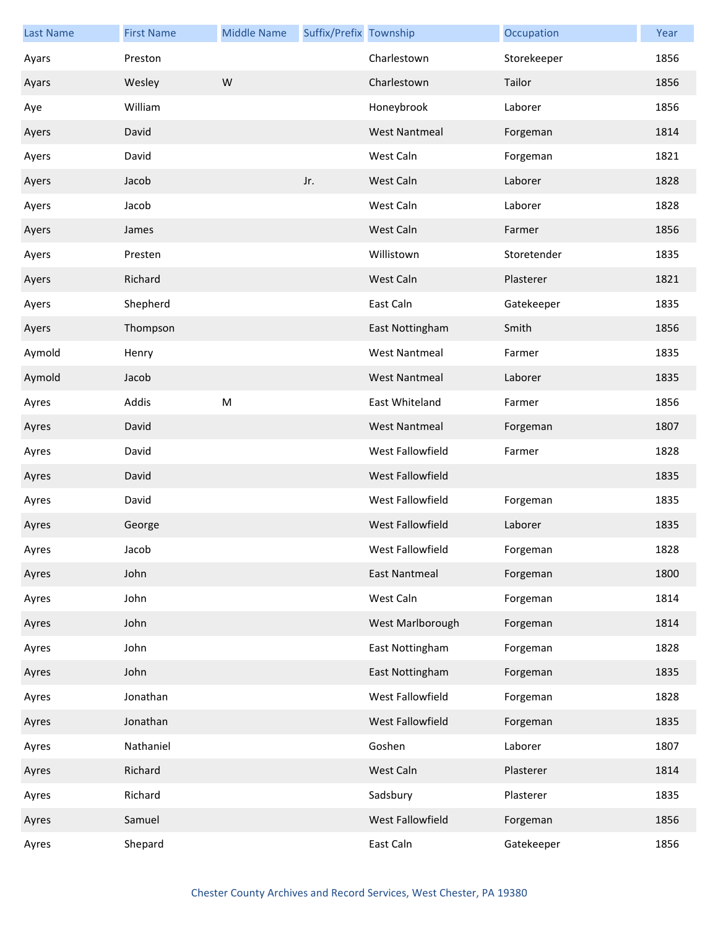| <b>Last Name</b> | <b>First Name</b> | <b>Middle Name</b> | Suffix/Prefix Township |                      | Occupation  | Year |
|------------------|-------------------|--------------------|------------------------|----------------------|-------------|------|
| Ayars            | Preston           |                    |                        | Charlestown          | Storekeeper | 1856 |
| Ayars            | Wesley            | W                  |                        | Charlestown          | Tailor      | 1856 |
| Aye              | William           |                    |                        | Honeybrook           | Laborer     | 1856 |
| Ayers            | David             |                    |                        | <b>West Nantmeal</b> | Forgeman    | 1814 |
| Ayers            | David             |                    |                        | West Caln            | Forgeman    | 1821 |
| Ayers            | Jacob             |                    | Jr.                    | West Caln            | Laborer     | 1828 |
| Ayers            | Jacob             |                    |                        | West Caln            | Laborer     | 1828 |
| Ayers            | James             |                    |                        | West Caln            | Farmer      | 1856 |
| Ayers            | Presten           |                    |                        | Willistown           | Storetender | 1835 |
| Ayers            | Richard           |                    |                        | West Caln            | Plasterer   | 1821 |
| Ayers            | Shepherd          |                    |                        | East Caln            | Gatekeeper  | 1835 |
| Ayers            | Thompson          |                    |                        | East Nottingham      | Smith       | 1856 |
| Aymold           | Henry             |                    |                        | <b>West Nantmeal</b> | Farmer      | 1835 |
| Aymold           | Jacob             |                    |                        | <b>West Nantmeal</b> | Laborer     | 1835 |
| Ayres            | Addis             | M                  |                        | East Whiteland       | Farmer      | 1856 |
| Ayres            | David             |                    |                        | <b>West Nantmeal</b> | Forgeman    | 1807 |
| Ayres            | David             |                    |                        | West Fallowfield     | Farmer      | 1828 |
| Ayres            | David             |                    |                        | West Fallowfield     |             | 1835 |
| Ayres            | David             |                    |                        | West Fallowfield     | Forgeman    | 1835 |
| Ayres            | George            |                    |                        | West Fallowfield     | Laborer     | 1835 |
| Ayres            | Jacob             |                    |                        | West Fallowfield     | Forgeman    | 1828 |
| Ayres            | John              |                    |                        | <b>East Nantmeal</b> | Forgeman    | 1800 |
| Ayres            | John              |                    |                        | West Caln            | Forgeman    | 1814 |
| Ayres            | John              |                    |                        | West Marlborough     | Forgeman    | 1814 |
| Ayres            | John              |                    |                        | East Nottingham      | Forgeman    | 1828 |
| Ayres            | John              |                    |                        | East Nottingham      | Forgeman    | 1835 |
| Ayres            | Jonathan          |                    |                        | West Fallowfield     | Forgeman    | 1828 |
| Ayres            | Jonathan          |                    |                        | West Fallowfield     | Forgeman    | 1835 |
| Ayres            | Nathaniel         |                    |                        | Goshen               | Laborer     | 1807 |
| Ayres            | Richard           |                    |                        | West Caln            | Plasterer   | 1814 |
| Ayres            | Richard           |                    |                        | Sadsbury             | Plasterer   | 1835 |
| Ayres            | Samuel            |                    |                        | West Fallowfield     | Forgeman    | 1856 |
| Ayres            | Shepard           |                    |                        | East Caln            | Gatekeeper  | 1856 |